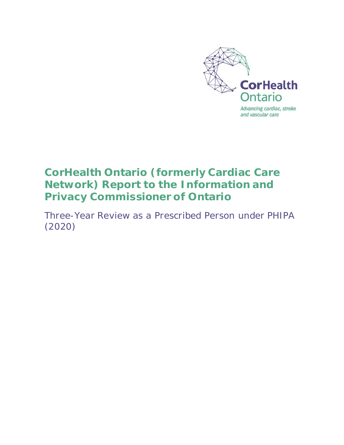

# **CorHealth Ontario (formerly Cardiac Care Network) Report to the Information and Privacy Commissioner of Ontario**

Three-Year Review as a Prescribed Person under PHIPA (2020)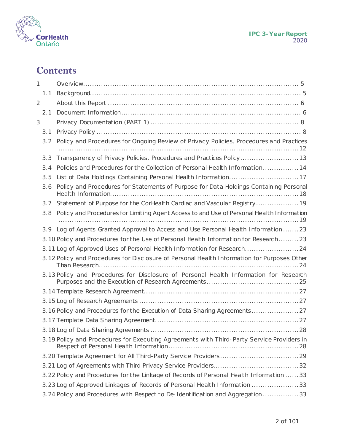

# **Contents**

| 1   |     |                                                                                             |
|-----|-----|---------------------------------------------------------------------------------------------|
| 1.1 |     |                                                                                             |
| 2   |     |                                                                                             |
| 2.1 |     |                                                                                             |
| 3   |     |                                                                                             |
| 3.1 |     |                                                                                             |
|     | 3.2 | Policy and Procedures for Ongoing Review of Privacy Policies, Procedures and Practices      |
| 3.3 |     |                                                                                             |
|     |     | Policies and Procedures for the Collection of Personal Health Information 14                |
| 3.5 | 3.4 |                                                                                             |
|     |     | List of Data Holdings Containing Personal Health Information17                              |
| 3.6 |     | Policy and Procedures for Statements of Purpose for Data Holdings Containing Personal       |
| 3.7 |     | Statement of Purpose for the CorHealth Cardiac and Vascular Registry 19                     |
|     | 3.8 | Policy and Procedures for Limiting Agent Access to and Use of Personal Health Information   |
|     |     | 3.9 Log of Agents Granted Approval to Access and Use Personal Health Information23          |
|     |     | 3.10 Policy and Procedures for the Use of Personal Health Information for Research23        |
|     |     | 3.11 Log of Approved Uses of Personal Health Information for Research24                     |
|     |     | 3.12 Policy and Procedures for Disclosure of Personal Health Information for Purposes Other |
|     |     | 3.13 Policy and Procedures for Disclosure of Personal Health Information for Research       |
|     |     |                                                                                             |
|     |     |                                                                                             |
|     |     | 3.16 Policy and Procedures for the Execution of Data Sharing Agreements                     |
|     |     |                                                                                             |
|     |     |                                                                                             |
|     |     | 3.19 Policy and Procedures for Executing Agreements with Third-Party Service Providers in   |
|     |     |                                                                                             |
|     |     |                                                                                             |
|     |     | 3.22 Policy and Procedures for the Linkage of Records of Personal Health Information  33    |
|     |     | 3.23 Log of Approved Linkages of Records of Personal Health Information 33                  |
|     |     | 3.24 Policy and Procedures with Respect to De-Identification and Aggregation33              |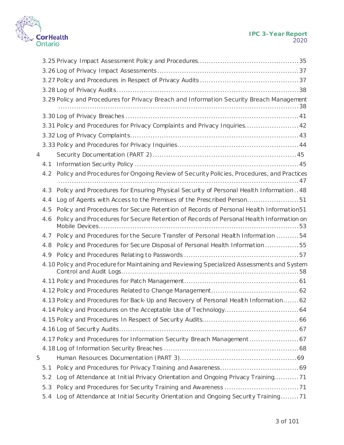

|   |     | 3.29 Policy and Procedures for Privacy Breach and Information Security Breach Management   |
|---|-----|--------------------------------------------------------------------------------------------|
|   |     |                                                                                            |
|   |     | 3.31 Policy and Procedures for Privacy Complaints and Privacy Inquiries 42                 |
|   |     |                                                                                            |
|   |     |                                                                                            |
| 4 |     |                                                                                            |
|   | 4.1 |                                                                                            |
|   | 4.2 | Policy and Procedures for Ongoing Review of Security Policies, Procedures, and Practices   |
|   | 4.3 | Policy and Procedures for Ensuring Physical Security of Personal Health Information48      |
|   | 4.4 | Log of Agents with Access to the Premises of the Prescribed Person51                       |
|   | 4.5 | Policy and Procedures for Secure Retention of Records of Personal Health Information51     |
|   | 4.6 | Policy and Procedures for Secure Retention of Records of Personal Health Information on    |
|   | 4.7 | Policy and Procedures for the Secure Transfer of Personal Health Information 54            |
|   | 4.8 | Policy and Procedures for Secure Disposal of Personal Health Information55                 |
|   | 4.9 |                                                                                            |
|   |     | 4.10 Policy and Procedure for Maintaining and Reviewing Specialized Assessments and System |
|   |     |                                                                                            |
|   |     |                                                                                            |
|   |     | 4.13 Policy and Procedures for Back-Up and Recovery of Personal Health Information62       |
|   |     |                                                                                            |
|   |     |                                                                                            |
|   |     |                                                                                            |
|   |     | 4.17 Policy and Procedures for Information Security Breach Management 67                   |
|   |     |                                                                                            |
| 5 |     |                                                                                            |
|   | 5.1 |                                                                                            |
|   | 5.2 | Log of Attendance at Initial Privacy Orientation and Ongoing Privacy Training71            |
|   | 5.3 |                                                                                            |
|   | 5.4 | Log of Attendance at Initial Security Orientation and Ongoing Security Training71          |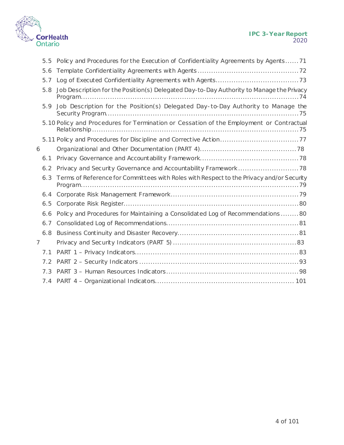

|   | 5.5 | Policy and Procedures for the Execution of Confidentiality Agreements by Agents71        |  |
|---|-----|------------------------------------------------------------------------------------------|--|
|   | 5.6 |                                                                                          |  |
|   | 5.7 |                                                                                          |  |
|   | 5.8 | Job Description for the Position(s) Delegated Day-to-Day Authority to Manage the Privacy |  |
|   | 5.9 | Job Description for the Position(s) Delegated Day-to-Day Authority to Manage the         |  |
|   |     | 5.10 Policy and Procedures for Termination or Cessation of the Employment or Contractual |  |
|   |     |                                                                                          |  |
| 6 |     |                                                                                          |  |
|   | 6.1 |                                                                                          |  |
|   | 6.2 |                                                                                          |  |
|   | 6.3 | Terms of Reference for Committees with Roles with Respect to the Privacy and/or Security |  |
|   | 6.4 |                                                                                          |  |
|   | 6.5 |                                                                                          |  |
|   | 6.6 | Policy and Procedures for Maintaining a Consolidated Log of Recommendations 80           |  |
|   | 6.7 |                                                                                          |  |
|   | 6.8 |                                                                                          |  |
| 7 |     |                                                                                          |  |
|   | 7.1 |                                                                                          |  |
|   |     |                                                                                          |  |
|   | 7.3 |                                                                                          |  |
|   | 7.4 |                                                                                          |  |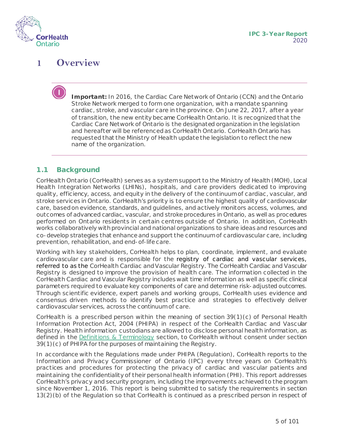

# <span id="page-4-0"></span>**1 Overview**

**Important:** In 2016, the Cardiac Care Network of Ontario (CCN) and the Ontario Stroke Network merged to form one organization, with a mandate spanning cardiac , stroke, and vascular care in the province. On June 22, 2017, after a year of transition, the new entity became CorHealth Ontario. It is recognized that the Cardiac Care Network of Ontario is the designated organization in the legislation and hereafter will be referenced as CorHealth Ontario. CorHealth Ontario has requested that the Ministry of Health update the legislation to reflect the new name of the organization.

#### <span id="page-4-1"></span>**1.1 Background**

CorHealth Ontario (CorHealth) serves as a system support to the Ministry of Health (MOH), Local Health Integration Networks (LHINs), hospitals, and care providers dedicated to improving quality, efficiency, access, and equity in the delivery of the continuum of cardiac, vascular, and stroke services in Ontario. CorHealth's priority is to ensure the highest quality of cardiovascular care, based on evidence, standards, and guidelines, and actively monitors access, volumes, and outcomes of advanced cardiac, vascular, and stroke procedures in Ontario, as well as procedures performed on Ontario residents in certain centres outside of Ontario. In addition, CorHealth works collaboratively with provincial and national organizations to share ideas and resources and co-develop strategies that enhance and support the continuum of cardiovascular care, including prevention, rehabilitation, and end-of-life care.

Working with key stakeholders, CorHealth helps to plan, coordinate, implement, and evaluate cardiovascular care and is responsible for the registry of cardiac and vascular services, referred to as the CorHealth Cardiac and Vascular Registry. The CorHealth Cardiac and Vascular Registry is designed to improve the provision of health care. The information collected in the CorHealth Cardiac and Vascular Registry includes wait time information as well as specific clinical parameters required to evaluate key components of care and determine risk-adjusted outcomes. Through scientific evidence, expert panels and working groups, CorHealth uses evidence and consensus driven methods to identify best practice and strategies to effectively deliver cardiovascular services, across the continuum of care.

CorHealth is a prescribed person within the meaning of section 39(1)(c) of Personal Health Information Protection Act, 2004 (PHIPA) in respect of the CorHealth Cardiac and Vascular Registry. Health information custodians are allowed to disclose personal health information, as defined in the [Definitions & Terminology](#page-5-2) section, to CorHealth without consent under section 39(1)(c) of PHIPA for the purposes of maintaining the Registry.

In accordance with the Regulations made under PHIPA (Regulation), CorHealth reports to the Information and Privacy Commissioner of Ontario (IPC) every three years on CorHealth's practices and procedures for protecting the privacy of cardiac and vascular patients and maintaining the confidentiality of their personal health information (PHI). This report addresses CorHealth's privacy and security program, including the improvements achieved to the program since November 1, 2016. This report is being submitted to satisfy the requirements in section 13(2)(b) of the Regulation so that CorHealth is continued as a prescribed person in respect of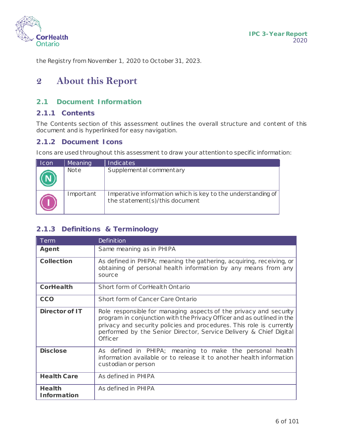

the Registry from November 1, 2020 to October 31, 2023.

# <span id="page-5-0"></span>**2 About this Report**

## <span id="page-5-1"></span>**2.1 Document Information**

### **2.1.1 Contents**

The Contents section of this assessment outlines the overall structure and content of this document and is hyperlinked for easy navigation.

## **2.1.2 Document Icons**

Icons are used throughout this assessment to draw your attention to specific information:

| $\parallel$ Icon | Meaning     | <b>Indicates</b>                                                                              |
|------------------|-------------|-----------------------------------------------------------------------------------------------|
|                  | <b>Note</b> | Supplemental commentary                                                                       |
|                  | Important   | Imperative information which is key to the understanding of<br>the statement(s)/this document |

## <span id="page-5-2"></span>**2.1.3 Definitions & Terminology**

| Term                                | <b>Definition</b>                                                                                                                                                                                                                                                                                           |
|-------------------------------------|-------------------------------------------------------------------------------------------------------------------------------------------------------------------------------------------------------------------------------------------------------------------------------------------------------------|
| Agent                               | Same meaning as in PHIPA                                                                                                                                                                                                                                                                                    |
| <b>Collection</b>                   | As defined in PHIPA; meaning the gathering, acquiring, receiving, or<br>obtaining of personal health information by any means from any<br>source                                                                                                                                                            |
| <b>CorHealth</b>                    | Short form of CorHealth Ontario                                                                                                                                                                                                                                                                             |
| <b>CCO</b>                          | Short form of Cancer Care Ontario                                                                                                                                                                                                                                                                           |
| <b>Director of IT</b>               | Role responsible for managing aspects of the privacy and security<br>program in conjunction with the Privacy Officer and as outlined in the<br>privacy and security policies and procedures. This role is currently<br>performed by the Senior Director, Service Delivery & Chief Digital<br><b>Officer</b> |
| <b>Disclose</b>                     | As defined in PHIPA; meaning to make the personal health<br>information available or to release it to another health information<br>custodian or person                                                                                                                                                     |
| <b>Health Care</b>                  | As defined in PHIPA                                                                                                                                                                                                                                                                                         |
| <b>Health</b><br><b>Information</b> | As defined in PHIPA                                                                                                                                                                                                                                                                                         |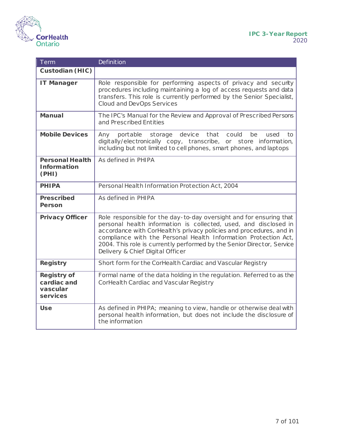i.



| Term                                                      | <b>Definition</b>                                                                                                                                                                                                                                                                                                                                                                               |
|-----------------------------------------------------------|-------------------------------------------------------------------------------------------------------------------------------------------------------------------------------------------------------------------------------------------------------------------------------------------------------------------------------------------------------------------------------------------------|
| <b>Custodian (HIC)</b>                                    |                                                                                                                                                                                                                                                                                                                                                                                                 |
| <b>IT Manager</b>                                         | Role responsible for performing aspects of privacy and security<br>procedures including maintaining a log of access requests and data<br>transfers. This role is currently performed by the Senior Specialist,<br><b>Cloud and DevOps Services</b>                                                                                                                                              |
| <b>Manual</b>                                             | The IPC's Manual for the Review and Approval of Prescribed Persons<br>and Prescribed Entities                                                                                                                                                                                                                                                                                                   |
| <b>Mobile Devices</b>                                     | storage device<br>that<br>could<br>Any<br>portable<br>be<br>used<br>to<br>digitally/electronically copy, transcribe, or store information,<br>including but not limited to cell phones, smart phones, and laptops                                                                                                                                                                               |
| <b>Personal Health</b><br><b>Information</b><br>(PHI)     | As defined in PHIPA                                                                                                                                                                                                                                                                                                                                                                             |
| <b>PHIPA</b>                                              | Personal Health Information Protection Act, 2004                                                                                                                                                                                                                                                                                                                                                |
| <b>Prescribed</b><br><b>Person</b>                        | As defined in PHIPA                                                                                                                                                                                                                                                                                                                                                                             |
| <b>Privacy Officer</b>                                    | Role responsible for the day-to-day oversight and for ensuring that<br>personal health information is collected, used, and disclosed in<br>accordance with CorHealth's privacy policies and procedures, and in<br>compliance with the Personal Health Information Protection Act,<br>2004. This role is currently performed by the Senior Director, Service<br>Delivery & Chief Digital Officer |
| <b>Registry</b>                                           | Short form for the CorHealth Cardiac and Vascular Registry                                                                                                                                                                                                                                                                                                                                      |
| <b>Registry of</b><br>cardiac and<br>vascular<br>services | Formal name of the data holding in the regulation. Referred to as the<br>CorHealth Cardiac and Vascular Registry                                                                                                                                                                                                                                                                                |
| <b>Use</b>                                                | As defined in PHIPA; meaning to view, handle or otherwise deal with<br>personal health information, but does not include the disclosure of<br>the information                                                                                                                                                                                                                                   |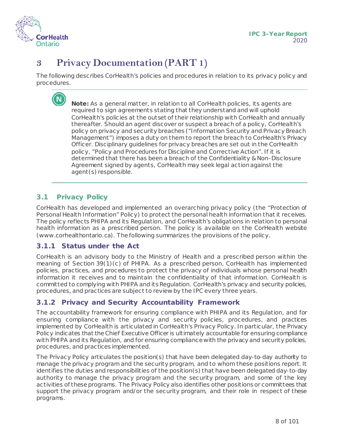

# <span id="page-7-0"></span>**3 Privacy Documentation (PART 1)**

The following describes CorHealth's policies and procedures in relation to its privacy policy and procedures.

> **Note:** As a general matter, in relation to all CorHealth policies, its agents are required to sign agreements stating that they understand and will uphold CorHealth's policies at the outset of their relationship with CorHealth and annually thereafter. Should an agent discover or suspect a breach of a policy, CorHealth's policy on privacy and security breaches ("Information Security and Privacy Breach Management") imposes a duty on them to report the breach to CorHealth's Privacy Officer. Disciplinary guidelines for privacy breaches are set out in the CorHealth policy, "Policy and Procedures for Discipline and Corrective Action". If it is determined that there has been a breach of the Confidentiality & Non-Disclosure Agreement signed by agents, CorHealth may seek legal action against the agent(s) responsible.

## <span id="page-7-1"></span>**3.1 Privacy Policy**

CorHealth has developed and implemented an overarching privacy policy (the "Protection of Personal Health Information" Policy) to protect the personal health information that it receives. The policy reflects PHIPA and its Regulation, and CorHealth's obligations in relation to personal health information as a prescribed person. The policy is available on the CorHealth website (www.corhealthontario.ca). The following summarizes the provisions of the policy.

#### **3.1.1 Status under the Act**

CorHealth is an advisory body to the Ministry of Health and a prescribed person within the meaning of Section 39(1)(c) of PHIPA. As a prescribed person, CorHealth has implemented policies, practices, and procedures to protect the privacy of individuals whose personal health information it receives and to maintain the confidentiality of that information. CorHealth is committed to complying with PHIPA and its Regulation. CorHealth's privacy and security policies, procedures, and practices are subject to review by the IPC every three years.

## **3.1.2 Privacy and Security Accountability Framework**

The accountability framework for ensuring compliance with PHIPA and its Regulation, and for ensuring compliance with the privacy and security policies, procedures, and practices implemented by CorHealth is articulated in CorHealth's Privacy Policy. In particular, the Privacy Policy indicates that the Chief Executive Officer is ultimately accountable for ensuring compliance with PHIPA and its Regulation, and for ensuring compliance with the privacy and security policies, procedures, and practices implemented.

The Privacy Policy articulates the position(s) that have been delegated day-to-day authority to manage the privacy program and the security program, and to whom these positions report. It identifies the duties and responsibilities of the position(s) that have been delegated day-to-day authority to manage the privacy program and the security program, and some of the key activities of these programs. The Privacy Policy also identifies other positions or committees that support the privacy program and/or the security program, and their role in respect of these programs.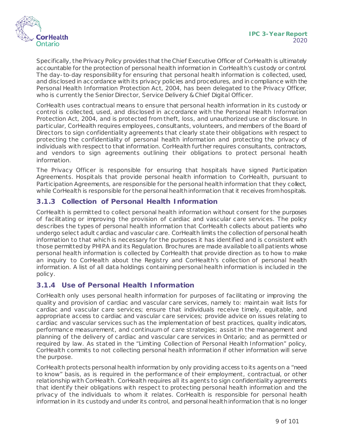

Specifically, the Privacy Policy provides that the Chief Executive Officer of CorHealth is ultimately accountable for the protection of personal health information in CorHealth's custody or control. The day-to-day responsibility for ensuring that personal health information is collected, used, and disclosed in accordance with its privacy policies and procedures, and in compliance with the Personal Health Information Protection Act, 2004, has been delegated to the Privacy Officer, who is currently the Senior Director, Service Delivery & Chief Digital Officer.

CorHealth uses contractual means to ensure that personal health information in its custody or control is collected, used, and disclosed in accordance with the Personal Health Information Protection Act, 2004, and is protected from theft, loss, and unauthorized use or disclosure. In particular, CorHealth requires employees, consultants, volunteers, and members of the Board of Directors to sign confidentiality agreements that clearly state their obligations with respect to protecting the confidentiality of personal health information and protecting the privacy of individuals with respect to that information. CorHealth further requires consultants, contractors, and vendors to sign agreements outlining their obligations to protect personal health information.

The Privacy Officer is responsible for ensuring that hospitals have signed Participation Agreements. Hospitals that provide personal health information to CorHealth, pursuant to Participation Agreements, are responsible for the personal health information that they collect, while CorHealth is responsible for the personal health information that it receives from hospitals.

## **3.1.3 Collection of Personal Health Information**

CorHealth is permitted to collect personal health information without consent for the purposes of facilitating or improving the provision of cardiac and vascular care services. The policy describes the types of personal health information that CorHealth collects about patients who undergo select adult cardiac and vascular care. CorHealth limits the collection of personal health information to that which is necessary for the purposes it has identified and is consistent with those permitted by PHIPA and its Regulation. Brochures are made available to all patients whose personal health information is collected by CorHealth that provide direction as to how to make an inquiry to CorHealth about the Registry and CorHealth's collection of personal health information. A list of all data holdings containing personal health information is included in the policy.

## **3.1.4 Use of Personal Health Information**

CorHealth only uses personal health information for purposes of facilitating or improving the quality and provision of cardiac and vascular care services, namely to: maintain wait lists for cardiac and vascular care services; ensure that individuals receive timely, equitable, and appropriate access to cardiac and vascular care services; provide advice on issues relating to cardiac and vascular services such as the implementation of best practices, quality indicators, performance measurement, and continuum of care strategies; assist in the management and planning of the delivery of cardiac and vascular care services in Ontario; and as permitted or required by law. As stated in the "Limiting Collection of Personal Health Information" policy, CorHealth commits to not collecting personal health information if other information will serve the purpose.

CorHealth protects personal health information by only providing access to its agents on a "need to know" basis, as is required in the performance of their employment, contractual, or other relationship with CorHealth. CorHealth requires all its agents to sign confidentiality agreements that identify their obligations with respect to protecting personal health information and the privacy of the individuals to whom it relates. CorHealth is responsible for personal health information in its custody and under its control, and personal health information that is no longer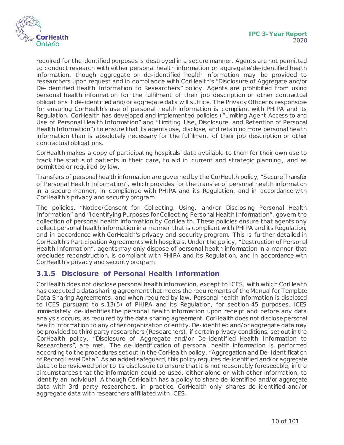

required for the identified purposes is destroyed in a secure manner. Agents are not permitted to conduct research with either personal health information or aggregate/de-identified health information, though aggregate or de-identified health information may be provided to researchers upon request and in compliance with CorHealth's "Disclosure of Aggregate and/or De-identified Health Information to Researchers" policy. Agents are prohibited from using personal health information for the fulfilment of their job description or other contractual obligations if de-identified and/or aggregate data will suffice. The Privacy Officer is responsible for ensuring CorHealth's use of personal health information is compliant with PHIPA and its Regulation. CorHealth has developed and implemented policies ("Limiting Agent Access to and Use of Personal Health Information" and "Limiting Use, Disclosure, and Retention of Personal Health Information") to ensure that its agents use, disclose, and retain no more personal health information than is absolutely necessary for the fulfilment of their job description or other contractual obligations.

CorHealth makes a copy of participating hospitals' data available to them for their own use to track the status of patients in their care, to aid in current and strategic planning¸ and as permitted or required by law.

Transfers of personal health information are governed by the CorHealth policy, "Secure Transfer of Personal Health Information", which provides for the transfer of personal health information in a secure manner, in compliance with PHIPA and its Regulation, and in accordance with CorHealth's privacy and security program.

The policies, "Notice/Consent for Collecting, Using, and/or Disclosing Personal Health Information" and "Identifying Purposes for Collecting Personal Health Information", govern the collection of personal health information by CorHealth. These policies ensure that agents only collect personal health information in a manner that is compliant with PHIPA and its Regulation, and in accordance with CorHealth's privacy and security program. This is further detailed in CorHealth's Participation Agreements with hospitals. Under the policy, "Destruction of Personal Health Information", agents may only dispose of personal health information in a manner that precludes reconstruction, is compliant with PHIPA and its Regulation, and in accordance with CorHealth's privacy and security program.

#### **3.1.5 Disclosure of Personal Health Information**

CorHealth does not disclose personal health information, except to ICES, with which CorHealth has executed a data sharing agreement that meets the requirements of the Manual for Template Data Sharing Agreements, and when required by law. Personal health information is disclosed to ICES pursuant to s.13(5) of PHIPA and its Regulation, for section 45 purposes. ICES immediately de-identifies the personal health information upon receipt and before any data analysis occurs, as required by the data sharing agreement. CorHealth does not disclose personal health information to any other organization or entity. De-identified and/or aggregate data may be provided to third party researchers (Researchers), if certain privacy conditions, set out in the CorHealth policy, "Disclosure of Aggregate and/or De-identified Health Information to Researchers", are met. The de-identification of personal health information is performed according to the procedures set out in the CorHealth policy, "Aggregation and De-Identification of Record Level Data". As an added safeguard, this policy requires de-identified and/or aggregate data to be reviewed prior to its disclosure to ensure that it is not reasonably foreseeable, in the circumstances that the information could be used, either alone or with other information, to identify an individual. Although CorHealth has a policy to share de-identified and/or aggregate data with 3rd party researchers, in practice, CorHealth only shares de-identified and/or aggregate data with researchers affiliated with ICES.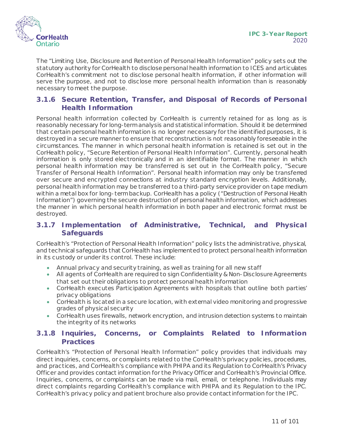

The "Limiting Use, Disclosure and Retention of Personal Health Information" policy sets out the statutory authority for CorHealth to disclose personal health information to ICES and articulates CorHealth's commitment not to disclose personal health information, if other information will serve the purpose, and not to disclose more personal health information than is reasonably necessary to meet the purpose.

## **3.1.6 Secure Retention, Transfer, and Disposal of Records of Personal Health Information**

Personal health information collected by CorHealth is currently retained for as long as is reasonably necessary for long-term analysis and statistical information. Should it be determined that certain personal health information is no longer necessary for the identified purposes, it is destroyed in a secure manner to ensure that reconstruction is not reasonably foreseeable in the circumstances. The manner in which personal health information is retained is set out in the CorHealth policy, "Secure Retention of Personal Health Information". Currently, personal health information is only stored electronically and in an identifiable format. The manner in which personal health information may be transferred is set out in the CorHealth policy, "Secure Transfer of Personal Health Information". Personal health information may only be transferred over secure and encrypted connections at industry standard encryption levels. Additionally, personal health information may be transferred to a third-party service provider on tape medium within a metal box for long-term backup. CorHealth has a policy ("Destruction of Personal Health Information") governing the secure destruction of personal health information, which addresses the manner in which personal health information in both paper and electronic format must be destroyed.

## **3.1.7 Implementation of Administrative, Technical, and Physical Safeguards**

CorHealth's "Protection of Personal Health Information" policy lists the administrative, physical, and technical safeguards that CorHealth has implemented to protect personal health information in its custody or under its control. These include:

- Annual privacy and security training, as well as training for all new staff
- All agents of CorHealth are required to sign Confidentiality & Non-Disclosure Agreements that set out their obligations to protect personal health information
- CorHealth executes Participation Agreements with hospitals that outline both parties' privacy obligations
- CorHealth is located in a secure location, with external video monitoring and progressive grades of physical security
- CorHealth uses firewalls, network encryption, and intrusion detection systems to maintain the integrity of its networks

## **3.1.8 Inquiries, Concerns, or Complaints Related to Information Practices**

CorHealth's "Protection of Personal Health Information" policy provides that individuals may direct inquiries, concerns, or complaints related to the CorHealth's privacy policies, procedures, and practices, and CorHealth's compliance with PHIPA and its Regulation to CorHealth's Privacy Officer and provides contact information for the Privacy Officer and CorHealth's Provincial Office. Inquiries, concerns, or complaints can be made via mail, email, or telephone. Individuals may direct complaints regarding CorHealth's compliance with PHIPA and its Regulation to the IPC. CorHealth's privacy policy and patient brochure also provide contact information for the IPC.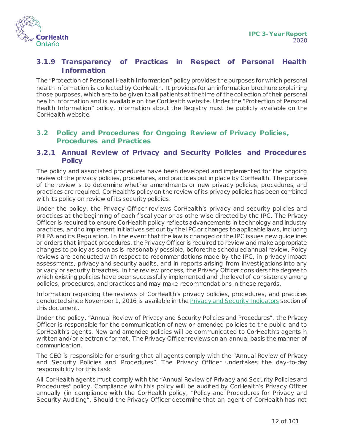

## **3.1.9 Transparency of Practices in Respect of Personal Health Information**

The "Protection of Personal Health Information" policy provides the purposes for which personal health information is collected by CorHealth. It provides for an information brochure explaining those purposes, which are to be given to all patients at the time of the collection of their personal health information and is available on the CorHealth website. Under the "Protection of Personal Health Information" policy, information about the Registry must be publicly available on the CorHealth website.

#### <span id="page-11-0"></span>**3.2 Policy and Procedures for Ongoing Review of Privacy Policies, Procedures and Practices**

#### **3.2.1 Annual Review of Privacy and Security Policies and Procedures Policy**

The policy and associated procedures have been developed and implemented for the ongoing review of the privacy policies, procedures, and practices put in place by CorHealth. The purpose of the review is to determine whether amendments or new privacy policies, procedures, and practices are required. CorHealth's policy on the review of its privacy policies has been combined with its policy on review of its security policies.

Under the policy, the Privacy Officer reviews CorHealth's privacy and security policies and practices at the beginning of each fiscal year or as otherwise directed by the IPC. The Privacy Officer is required to ensure CorHealth policy reflects advancements in technology and industry practices, and to implement initiatives set out by the IPC or changes to applicable laws, including PHIPA and its Regulation. In the event that the law is changed or the IPC issues new guidelines or orders that impact procedures, the Privacy Officer is required to review and make appropriate changes to policy as soon as is reasonably possible, before the scheduled annual review. Policy reviews are conducted with respect to recommendations made by the IPC, in privacy impact assessments, privacy and security audits, and in reports arising from investigations into any privacy or security breaches. In the review process, the Privacy Officer considers the degree to which existing policies have been successfully implemented and the level of consistency among policies, procedures, and practices and may make recommendations in these regards.

Information regarding the reviews of CorHealth's privacy policies, procedures, and practices conducted since November 1, 2016 is available in the **Privacy and Security Indicators** section of this document.

Under the policy, "Annual Review of Privacy and Security Policies and Procedures", the Privacy Officer is responsible for the communication of new or amended policies to the public and to CorHealth's agents. New and amended policies will be communicated to CorHealth's agents in written and/or electronic format. The Privacy Officer reviews on an annual basis the manner of communication.

The CEO is responsible for ensuring that all agents comply with the "Annual Review of Privacy and Security Policies and Procedures". The Privacy Officer undertakes the day-to-day responsibility for this task.

All CorHealth agents must comply with the "Annual Review of Privacy and Security Policies and Procedures" policy. Compliance with this policy will be audited by CorHealth's Privacy Officer annually (in compliance with the CorHealth policy, "Policy and Procedures for Privacy and Security Auditing". Should the Privacy Officer determine that an agent of CorHealth has not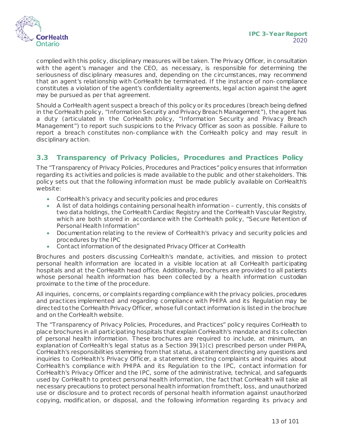

complied with this policy, disciplinary measures will be taken. The Privacy Officer, in consultation with the agent's manager and the CEO, as necessary, is responsible for determining the seriousness of disciplinary measures and, depending on the circumstances, may recommend that an agent's relationship with CorHealth be terminated. If the instance of non-compliance constitutes a violation of the agent's confidentiality agreements, legal action against the agent may be pursued as per that agreement.

Should a CorHealth agent suspect a breach of this policy or its procedures (breach being defined in the CorHealth policy, "Information Security and Privacy Breach Management"), the agent has a duty (articulated in the CorHealth policy, "Information Security and Privacy Breach Management") to report such suspicions to the Privacy Officer as soon as possible. Failure to report a breach constitutes non-compliance with the CorHealth policy and may result in disciplinary action.

## <span id="page-12-0"></span>**3.3 Transparency of Privacy Policies, Procedures and Practices Policy**

The "Transparency of Privacy Policies, Procedures and Practices" policy ensures that information regarding its activities and policies is made available to the public and other stakeholders. This policy sets out that the following information must be made publicly available on CorHealth's website:

- CorHealth's privacy and security policies and procedures
- A list of data holdings containing personal health information currently, this consists of two data holdings, the CorHealth Cardiac Registry and the CorHealth Vascular Registry, which are both stored in accordance with the CorHealth policy, "Secure Retention of Personal Health Information"
- Documentation relating to the review of CorHealth's privacy and security policies and procedures by the IPC
- Contact information of the designated Privacy Officer at CorHealth

Brochures and posters discussing CorHealth's mandate, activities, and mission to protect personal health information are located in a visible location at all CorHealth participating hospitals and at the CorHealth head office. Additionally, brochures are provided to all patients whose personal health information has been collected by a health information custodian proximate to the time of the procedure.

All inquiries, concerns, or complaints regarding compliance with the privacy policies, procedures and practices implemented and regarding compliance with PHIPA and its Regulation may be directed to the CorHealth Privacy Officer, whose full contact information is listed in the brochure and on the CorHealth website.

The "Transparency of Privacy Policies, Procedures, and Practices" policy requires CorHealth to place brochures in all participating hospitals that explain CorHealth's mandate and its collection of personal health information. These brochures are required to include, at minimum, an explanation of CorHealth's legal status as a Section 39(1)(c) prescribed person under PHIPA, CorHealth's responsibilities stemming from that status, a statement directing any questions and inquiries to CorHealth's Privacy Officer, a statement directing complaints and inquiries about CorHealth's compliance with PHIPA and its Regulation to the IPC, contact information for CorHealth's Privacy Officer and the IPC, some of the administrative, technical, and safeguards used by CorHealth to protect personal health information, the fact that CorHealth will take all necessary precautions to protect personal health information from theft, loss, and unauthorized use or disclosure and to protect records of personal health information against unauthorized copying, modification, or disposal, and the following information regarding its privacy and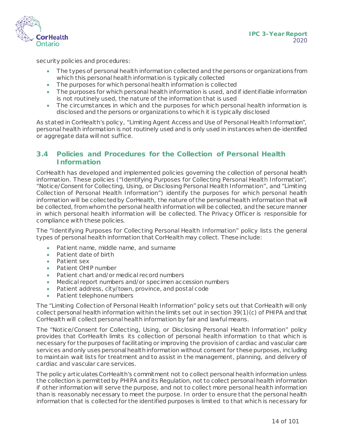

security policies and procedures:

- The types of personal health information collected and the persons or organizations from which this personal health information is typically collected
- The purposes for which personal health information is collected
- The purposes for which personal health information is used, and if identifiable information is not routinely used, the nature of the information that is used
- The circumstances in which and the purposes for which personal health information is disclosed and the persons or organizations to which it is typically disclosed

As stated in CorHealth's policy, "Limiting Agent Access and Use of Personal Health Information", personal health information is not routinely used and is only used in instances when de-identified or aggregate data will not suffice.

#### <span id="page-13-0"></span>**3.4 Policies and Procedures for the Collection of Personal Health Information**

CorHealth has developed and implemented policies governing the collection of personal health information. These policies ("Identifying Purposes for Collecting Personal Health Information", "Notice/Consent for Collecting, Using, or Disclosing Personal Health Information", and "Limiting Collection of Personal Health Information") identify the purposes for which personal health information will be collected by CorHealth, the nature of the personal health information that will be collected, from whom the personal health information will be collected, and the secure manner in which personal health information will be collected. The Privacy Officer is responsible for compliance with these policies.

The "Identifying Purposes for Collecting Personal Health Information" policy lists the general types of personal health information that CorHealth may collect. These include:

- Patient name, middle name, and surname
- Patient date of birth
- Patient sex
- Patient OHIP number
- Patient chart and/or medical record numbers
- Medical report numbers and/or specimen accession numbers
- Patient address, city/town, province, and postal code
- Patient telephone numbers

The "Limiting Collection of Personal Health Information" policy sets out that CorHealth will only collect personal health information within the limits set out in section 39(1)(c) of PHIPA and that CorHealth will collect personal health information by fair and lawful means.

The "Notice/Consent for Collecting, Using, or Disclosing Personal Health Information" policy provides that CorHealth limits its collection of personal health information to that which is necessary for the purposes of facilitating or improving the provision of cardiac and vascular care services and only uses personal health information without consent for these purposes, including to maintain wait lists for treatment and to assist in the management, planning, and delivery of cardiac and vascular care services.

The policy articulates CorHealth's commitment not to collect personal health information unless the collection is permitted by PHIPA and its Regulation, not to collect personal health information if other information will serve the purpose, and not to collect more personal health information than is reasonably necessary to meet the purpose. In order to ensure that the personal health information that is collected for the identified purposes is limited to that which is necessary for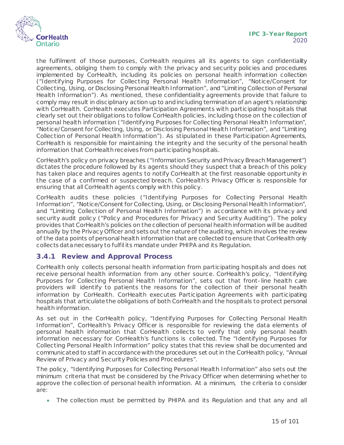

the fulfilment of those purposes, CorHealth requires all its agents to sign confidentiality agreements, obliging them to comply with the privacy and security policies and procedures implemented by CorHealth, including its policies on personal health information collection ("Identifying Purposes for Collecting Personal Health Information", "Notice/Consent for Collecting, Using, or Disclosing Personal Health Information", and "Limiting Collection of Personal Health Information"). As mentioned, these confidentiality agreements provide that failure to comply may result in disciplinary action up to and including termination of an agent's relationship with CorHealth. CorHealth executes Participation Agreements with participating hospitals that clearly set out their obligations to follow CorHealth policies, including those on the collection of personal health information ("Identifying Purposes for Collecting Personal Health Information", "Notice/Consent for Collecting, Using, or Disclosing Personal Health Information", and "Limiting Collection of Personal Health Information"). As stipulated in these Participation Agreements, CorHealth is responsible for maintaining the integrity and the security of the personal health information that CorHealthreceives from participating hospitals.

CorHealth's policy on privacy breaches ("Information Security and Privacy Breach Management") dictates the procedure followed by its agents should they suspect that a breach of this policy has taken place and requires agents to notify CorHealth at the first reasonable opportunity in the case of a confirmed or suspected breach. CorHealth's Privacy Officer is responsible for ensuring that all CorHealth agents comply with this policy.

CorHealth audits these policies ("Identifying Purposes for Collecting Personal Health Information", "Notice/Consent for Collecting, Using, or Disclosing Personal Health Information", and "Limiting Collection of Personal Health Information") in accordance with its privacy and security audit policy ("Policy and Procedures for Privacy and Security Auditing"). The policy provides that CorHealth's policies on the collection of personal health information will be audited annually by the Privacy Officer and sets out the nature of the auditing, which involves the review of the data points of personal health information that are collected to ensure that CorHealth only collects data necessary to fulfil its mandate under PHIPA and its Regulation.

#### **3.4.1 Review and Approval Process**

CorHealth only collects personal health information from participating hospitals and does not receive personal health information from any other source. CorHealth's policy, "Identifying Purposes for Collecting Personal Health Information", sets out that front-line health care providers will identify to patients the reasons for the collection of their personal health information by CorHealth. CorHealth executes Participation Agreements with participating hospitals that articulate the obligations of both CorHealth and the hospitals to protect personal health information.

As set out in the CorHealth policy, "Identifying Purposes for Collecting Personal Health Information", CorHealth's Privacy Officer is responsible for reviewing the data elements of personal health information that CorHealth collects to verify that only personal health information necessary for CorHealth's functions is collected. The "Identifying Purposes for Collecting Personal Health Information" policy states that this review shall be documented and communicated to staff in accordance with the procedures set out in the CorHealth policy, "Annual Review of Privacy and Security Policies and Procedures".

The policy, "Identifying Purposes for Collecting Personal Health Information" also sets out the minimum criteria that must be considered by the Privacy Officer when determining whether to approve the collection of personal health information. At a minimum, the criteria to consider are:

• The collection must be permitted by PHIPA and its Regulation and that any and all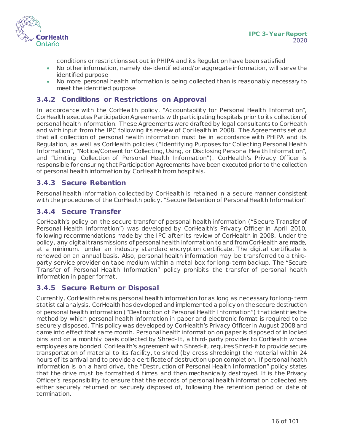

conditions or restrictions set out in PHIPA and its Regulation have been satisfied

- No other information, namely de-identified and/or aggregate information, will serve the identified purpose
- No more personal health information is being collected than is reasonably necessary to meet the identified purpose

#### **3.4.2 Conditions or Restrictions on Approval**

In accordance with the CorHealth policy, "Accountability for Personal Health Information", CorHealth executes Participation Agreements with participating hospitals prior to its collection of personal health information. These Agreements were drafted by legal consultants to CorHealth and with input from the IPC following its review of CorHealth in 2008. The Agreements set out that all collection of personal health information must be in accordance with PHIPA and its Regulation, as well as CorHealth policies ("Identifying Purposes for Collecting Personal Health Information", "Notice/Consent for Collecting, Using, or Disclosing Personal Health Information", and "Limiting Collection of Personal Health Information"). CorHealth's Privacy Officer is responsible for ensuring that Participation Agreements have been executed prior to the collection of personal health information by CorHealth from hospitals.

#### **3.4.3 Secure Retention**

Personal health information collected by CorHealth is retained in a secure manner consistent with the procedures of the CorHealth policy, "Secure Retention of Personal Health Information".

#### **3.4.4 Secure Transfer**

CorHealth's policy on the secure transfer of personal health information ("Secure Transfer of Personal Health Information") was developed by CorHealth's Privacy Officer in April 2010, following recommendations made by the IPC after its review of CorHealth in 2008. Under the policy, any digital transmissions of personal health information to and from CorHealth are made, at a minimum, under an industry standard encryption certificate. The digital certificate is renewed on an annual basis. Also, personal health information may be transferred to a thirdparty service provider on tape medium within a metal box for long-term backup. The "Secure Transfer of Personal Health Information" policy prohibits the transfer of personal health information in paper format.

#### **3.4.5 Secure Return or Disposal**

Currently, CorHealth retains personal health information for as long as necessary for long-term statistical analysis. CorHealth has developed and implemented a policy on the secure destruction of personal health information ("Destruction of Personal Health Information") that identifies the method by which personal health information in paper and electronic format is required to be securely disposed. This policy was developed by CorHealth's Privacy Officer in August 2008 and came into effect that same month. Personal health information on paper is disposed of in locked bins and on a monthly basis collected by Shred-It, a third-party provider to CorHealth whose employees are bonded. CorHealth's agreement with Shred-it, requires Shred-it to provide secure transportation of material to its facility, to shred (by cross shredding) the material within 24 hours of its arrival and to provide a certificate of destruction upon completion. If personal health information is on a hard drive, the "Destruction of Personal Health Information" policy states that the drive must be formatted 4 times and then mechanically destroyed. It is the Privacy Officer's responsibility to ensure that the records of personal health information collected are either securely returned or securely disposed of, following the retention period or date of termination.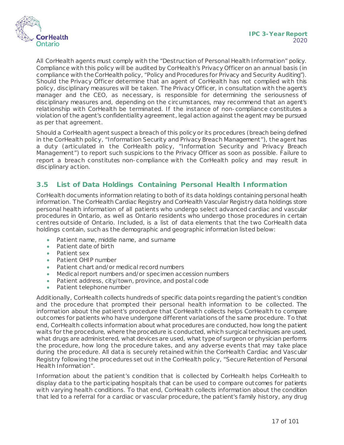

All CorHealth agents must comply with the "Destruction of Personal Health Information" policy. Compliance with this policy will be audited by CorHealth's Privacy Officer on an annual basis (in compliance with the CorHealth policy, "Policy and Procedures for Privacy and Security Auditing"). Should the Privacy Officer determine that an agent of CorHealth has not complied with this policy, disciplinary measures will be taken. The Privacy Officer, in consultation with the agent's manager and the CEO, as necessary, is responsible for determining the seriousness of disciplinary measures and, depending on the circumstances, may recommend that an agent's relationship with CorHealth be terminated. If the instance of non-compliance constitutes a violation of the agent's confidentiality agreement, legal action against the agent may be pursued as per that agreement.

Should a CorHealth agent suspect a breach of this policy or its procedures (breach being defined in the CorHealth policy, "Information Security and Privacy Breach Management"), the agent has a duty (articulated in the CorHealth policy, "Information Security and Privacy Breach Management") to report such suspicions to the Privacy Officer as soon as possible. Failure to report a breach constitutes non-compliance with the CorHealth policy and may result in disciplinary action.

## <span id="page-16-0"></span>**3.5 List of Data Holdings Containing Personal Health Information**

CorHealth documents information relating to both of its data holdings containing personal health information. The CorHealth Cardiac Registry and CorHealth Vascular Registry data holdings store personal health information of all patients who undergo select advanced cardiac and vascular procedures in Ontario, as well as Ontario residents who undergo those procedures in certain centres outside of Ontario. Included, is a list of data elements that the two CorHealth data holdings contain, such as the demographic and geographic information listed below:

- Patient name, middle name, and surname
- Patient date of birth
- Patient sex
- Patient OHIP number
- Patient chart and/or medical record numbers
- Medical report numbers and/or specimen accession numbers
- Patient address, city/town, province, and postal code
- Patient telephone number

Additionally, CorHealth collects hundreds of specific data points regarding the patient's condition and the procedure that prompted their personal health information to be collected. The information about the patient's procedure that CorHealth collects helps CorHealth to compare outcomes for patients who have undergone different variations of the same procedure. To that end, CorHealth collects information about what procedures are conducted, how long the patient waits for the procedure, where the procedure is conducted, which surgical techniques are used, what drugs are administered, what devices are used, what type of surgeon or physician performs the procedure, how long the procedure takes, and any adverse events that may take place during the procedure. All data is securely retained within the CorHealth Cardiac and Vascular Registry following the procedures set out in the CorHealth policy, "Secure Retention of Personal Health Information".

Information about the patient's condition that is collected by CorHealth helps CorHealth to display data to the participating hospitals that can be used to compare outcomes for patients with varying health conditions. To that end, CorHealth collects information about the condition that led to a referral for a cardiac or vascular procedure, the patient's family history, any drug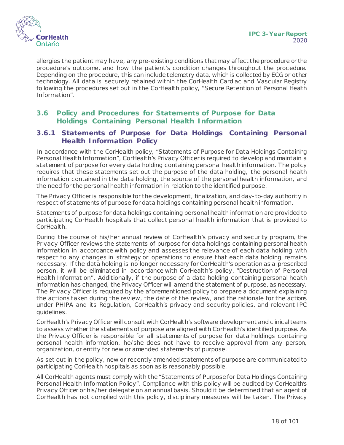

allergies the patient may have, any pre-existing conditions that may affect the procedure or the procedure's outcome, and how the patient's condition changes throughout the procedure. Depending on the procedure, this can include telemetry data, which is collected by ECG or other technology. All data is securely retained within the CorHealth Cardiac and Vascular Registry following the procedures set out in the CorHealth policy, "Secure Retention of Personal Health Information".

## <span id="page-17-0"></span>**3.6 Policy and Procedures for Statements of Purpose for Data Holdings Containing Personal Health Information**

#### **3.6.1 Statements of Purpose for Data Holdings Containing Personal Health Information Policy**

In accordance with the CorHealth policy, "Statements of Purpose for Data Holdings Containing Personal Health Information", CorHealth's Privacy Officer is required to develop and maintain a statement of purpose for every data holding containing personal health information. The policy requires that these statements set out the purpose of the data holding, the personal health information contained in the data holding, the source of the personal health information, and the need for the personal health information in relation to the identified purpose.

The Privacy Officer is responsible for the development, finalization, and day-to-day authority in respect of statements of purpose for data holdings containing personal health information.

Statements of purpose for data holdings containing personal health information are provided to participating CorHealth hospitals that collect personal health information that is provided to CorHealth.

During the course of his/her annual review of CorHealth's privacy and security program, the Privacy Officer reviews the statements of purpose for data holdings containing personal health information in accordance with policy and assesses the relevance of each data holding with respect to any changes in strategy or operations to ensure that each data holding remains necessary. If the data holding is no longer necessary for CorHealth's operation as a prescribed person, it will be eliminated in accordance with CorHealth's policy, "Destruction of Personal Health Information". Additionally, if the purpose of a data holding containing personal health information has changed, the Privacy Officer will amend the statement of purpose, as necessary. The Privacy Officer is required by the aforementioned policy to prepare a document explaining the actions taken during the review, the date of the review, and the rationale for the actions under PHIPA and its Regulation, CorHealth's privacy and security policies, and relevant IPC guidelines.

CorHealth's Privacy Officer will consult with CorHealth's software development and clinical teams to assess whether the statements of purpose are aligned with CorHealth's identified purpose. As the Privacy Officer is responsible for all statements of purpose for data holdings containing personal health information, he/she does not have to receive approval from any person, organization, or entity for new or amended statements of purpose.

As set out in the policy, new or recently amended statements of purpose are communicated to participating CorHealth hospitals as soon as is reasonably possible.

All CorHealth agents must comply with the "Statements of Purpose for Data Holdings Containing Personal Health Information Policy". Compliance with this policy will be audited by CorHealth's Privacy Officer or his/her delegate on an annual basis. Should it be determined that an agent of CorHealth has not complied with this policy, disciplinary measures will be taken. The Privacy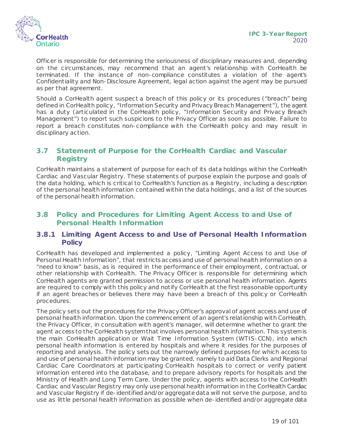

Officer is responsible for determining the seriousness of disciplinary measures and, depending on the circumstances, may recommend that an agent's relationship with CorHealth be terminated. If the instance of non-compliance constitutes a violation of the agent's Confidentiality and Non-Disclosure Agreement, legal action against the agent may be pursued as per that agreement.

Should a CorHealth agent suspect a breach of this policy or its procedures ("breach" being defined in CorHealth policy, "Information Security and Privacy Breach Management"), the agent has a duty (articulated in the CorHealth policy, "Information Security and Privacy Breach Management") to report such suspicions to the Privacy Officer as soon as possible. Failure to report a breach constitutes non-compliance with the CorHealth policy and may result in disciplinary action.

## <span id="page-18-0"></span>**3.7 Statement of Purpose for the CorHealth Cardiac and Vascular Registry**

CorHealth maintains a statement of purpose for each of its data holdings within the CorHealth Cardiac and Vascular Registry. These statements of purpose explain the purpose and goals of the data holding, which is critical to CorHealth's function as a Registry, including a description of the personal health information contained within the data holdings, and a list of the sources of the personal health information.

## <span id="page-18-1"></span>**3.8 Policy and Procedures for Limiting Agent Access to and Use of Personal Health Information**

## **3.8.1 Limiting Agent Access to and Use of Personal Health Information Policy**

CorHealth has developed and implemented a policy, "Limiting Agent Access to and Use of Personal Health Information", that restricts access and use of personal health information on a "need to know" basis, as is required in the performance of their employment, contractual, or other relationship with CorHealth. The Privacy Officer is responsible for determining which CorHealth agents are granted permission to access or use personal health information. Agents are required to comply with this policy and notify CorHealth at the first reasonable opportunity if an agent breaches or believes there may have been a breach of this policy or CorHealth procedures.

The policy sets out the procedures for the Privacy Officer's approval of agent access and use of personal health information. Upon the commencement of an agent's relationship with CorHealth, the Privacy Officer, in consultation with agent's manager, will determine whether to grant the agent access to the CorHealth system that involves personal health information. This system is the main CorHealth application or Wait Time Information System (WTIS-CCN), into which personal health information is entered by hospitals and where it resides for the purposes of reporting and analysis. The policy sets out the narrowly defined purposes for which access to and use of personal health information may be granted, namely to aid Data Clerks and Regional Cardiac Care Coordinators at participating CorHealth hospitals to correct or verify patient information entered into the database, and to prepare advisory reports for hospitals and the Ministry of Health and Long Term Care. Under the policy, agents with access to the CorHealth Cardiac and Vascular Registry may only use personal health information in the CorHealth Cardiac and Vascular Registry if de-identified and/or aggregate data will not serve the purpose, and to use as little personal health information as possible when de-identified and/or aggregate data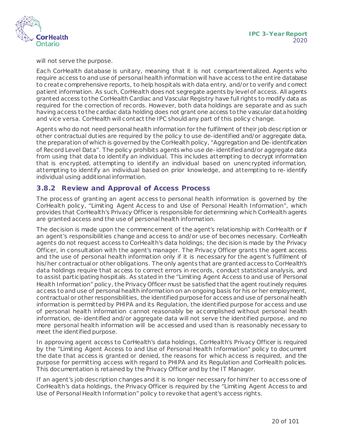

will not serve the purpose.

Each CorHealth database is unitary, meaning that it is not compartmentalized. Agents who require access to and use of personal health information will have access to the entire database to create comprehensive reports, to help hospitals with data entry, and/or to verify and correct patient information. As such, CorHealth does not segregate agents by level of access. All agents granted access to the CorHealth Cardiac and Vascular Registry have full rights to modify data as required for the correction of records. However, both data holdings are separate and as such having access to the cardiac data holding does not grant one access to the vascular data holding and vice versa. CorHealth will contact the IPC should any part of this policy change.

Agents who do not need personal health information for the fulfilment of their job description or other contractual duties are required by the policy to use de-identified and/or aggregate data, the preparation of which is governed by the CorHealth policy, "Aggregation and De-identification of Record Level Data". The policy prohibits agents who use de-identified and/or aggregate data from using that data to identify an individual. This includes attempting to decrypt information that is encrypted, attempting to identify an individual based on unencrypted information, attempting to identify an individual based on prior knowledge, and attempting to re-identify individual using additional information.

## **3.8.2 Review and Approval of Access Process**

The process of granting an agent access to personal health information is governed by the CorHealth policy, "Limiting Agent Access to and Use of Personal Health Information", which provides that CorHealth's Privacy Officer is responsible for determining which CorHealth agents are granted access and the use of personal health information.

The decision is made upon the commencement of the agent's relationship with CorHealth or if an agent's responsibilities change and access to and/or use of becomes necessary. CorHealth agents do not request access to CorHealth's data holdings; the decision is made by the Privacy Officer, in consultation with the agent's manager. The Privacy Officer grants the agent access and the use of personal health information only if it is necessary for the agent's fulfilment of his/her contractual or other obligations. The only agents that are granted access to CorHealth's data holdings require that access to correct errors in records, conduct statistical analysis, and to assist participating hospitals. As stated in the "Limiting Agent Access to and use of Personal Health Information" policy, the Privacy Officer must be satisfied that the agent routinely requires access to and use of personal health information on an ongoing basis for his or her employment, contractual or other responsibilities, the identified purpose for access and use of personal health information is permitted by PHIPA and its Regulation, the identified purpose for access and use of personal health information cannot reasonably be accomplished without personal health information, de-identified and/or aggregate data will not serve the identified purpose, and no more personal health information will be accessed and used than is reasonably necessary to meet the identified purpose.

In approving agent access to CorHealth's data holdings, CorHealth's Privacy Officer is required by the "Limiting Agent Access to and Use of Personal Health Information" policy to document the date that access is granted or denied, the reasons for which access is required, and the purpose for permitting access with regard to PHIPA and its Regulation and CorHealth policies. This documentation is retained by the Privacy Officer and by the IT Manager.

If an agent's job description changes and it is no longer necessary for him/her to access one of CorHealth's data holdings, the Privacy Officer is required by the "Limiting Agent Access to and Use of Personal Health Information" policy to revoke that agent's access rights.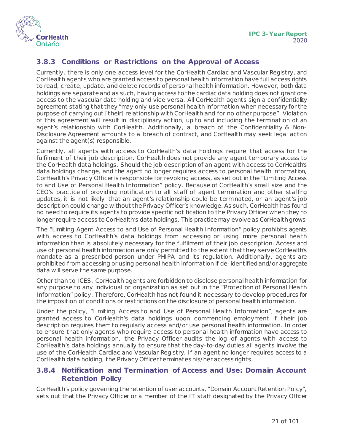

## **3.8.3 Conditions or Restrictions on the Approval of Access**

Currently, there is only one access level for the CorHealth Cardiac and Vascular Registry, and CorHealth agents who are granted access to personal health information have full access rights to read, create, update, and delete records of personal health information. However, both data holdings are separate and as such, having access to the cardiac data holding does not grant one access to the vascular data holding and vice versa. All CorHealth agents sign a confidentiality agreement stating that they "may only use personal health information when necessary for the purpose of carrying out [their] relationship with CorHealth and for no other purpose". Violation of this agreement will result in disciplinary action, up to and including the termination of an agent's relationship with CorHealth. Additionally, a breach of the Confidentiality & Non-Disclosure Agreement amounts to a breach of contract, and CorHealth may seek legal action against the agent(s) responsible.

Currently, all agents with access to CorHealth's data holdings require that access for the fulfilment of their job description. CorHealth does not provide any agent temporary access to the CorHealth data holdings. Should the job description of an agent with access to CorHealth's data holdings change, and the agent no longer requires access to personal health information, CorHealth's Privacy Officer is responsible for revoking access, as set out in the "Limiting Access to and Use of Personal Health Information" policy. Because of CorHealth's small size and the CEO's practice of providing notification to all staff of agent termination and other staffing updates, it is not likely that an agent's relationship could be terminated, or an agent's job description could change without the Privacy Officer's knowledge. As such, CorHealth has found no need to require its agents to provide specific notification to the Privacy Officer when they no longer require access to CorHealth's data holdings. This practice may evolve as CorHealthgrows.

The "Limiting Agent Access to and Use of Personal Health Information" policy prohibits agents with access to CorHealth's data holdings from accessing or using more personal health information than is absolutely necessary for the fulfilment of their job description. Access and use of personal health information are only permitted to the extent that they serve CorHealth's mandate as a prescribed person under PHIPA and its regulation. Additionally, agents are prohibited from accessing or using personal health information if de-identified and/or aggregate data will serve the same purpose.

Other than to ICES, CorHealth agents are forbidden to disclose personal health information for any purpose to any individual or organization as set out in the "Protection of Personal Health Information" policy. Therefore, CorHealth has not found it necessary to develop procedures for the imposition of conditions or restrictions on the disclosure of personal health information.

Under the policy, "Limiting Access to and Use of Personal Health Information", agents are granted access to CorHealth's data holdings upon commencing employment if their job description requires them to regularly access and/or use personal health information. In order to ensure that only agents who require access to personal health information have access to personal health information, the Privacy Officer audits the log of agents with access to CorHealth's data holdings annually to ensure that the day-to-day duties all agents involve the use of the CorHealth Cardiac and Vascular Registry. If an agent no longer requires access to a CorHealth data holding, the Privacy Officer terminates his/her access rights.

## **3.8.4 Notification and Termination of Access and Use: Domain Account Retention Policy**

CorHealth's policy governing the retention of user accounts, "Domain Account Retention Policy", sets out that the Privacy Officer or a member of the IT staff designated by the Privacy Officer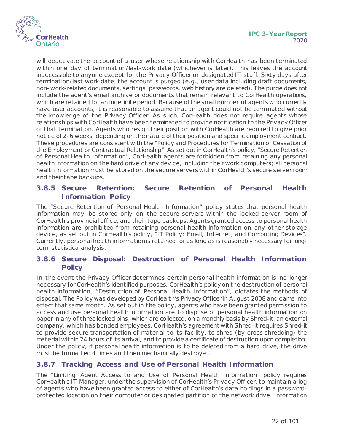

will deactivate the account of a user whose relationship with CorHealth has been terminated within one day of termination/last-work date (whichever is later). This leaves the account inaccessible to anyone except for the Privacy Officer or designated IT staff. Sixty days after termination/last work date, the account is purged (e.g., user data including draft documents, non-work-related documents, settings, passwords, web history are deleted). The purge does not include the agent's email archive or documents that remain relevant to CorHealth operations, which are retained for an indefinite period. Because of the small number of agents who currently have user accounts, it is reasonable to assume that an agent could not be terminated without the knowledge of the Privacy Officer. As such, CorHealth does not require agents whose relationships with CorHealth have been terminated to provide notification to the Privacy Officer of that termination. Agents who resign their position with CorHealth are required to give prior notice of 2-6 weeks, depending on the nature of their position and specific employment contract. These procedures are consistent with the "Policy and Procedures for Termination or Cessation of the Employment or Contractual Relationship". As set out in CorHealth's policy, "Secure Retention of Personal Health Information", CorHealth agents are forbidden from retaining any personal health information on the hard drive of any device, including their work computers; all personal health information must be stored on the secure servers within CorHealth's secure server room and their tape backups.

## **3.8.5 Secure Retention: Secure Retention of Personal Health Information Policy**

The "Secure Retention of Personal Health Information" policy states that personal health information may be stored only on the secure servers within the locked server room of CorHealth's provincial office, and their tape backups. Agents granted access to personal health information are prohibited from retaining personal health information on any other storage device, as set out in CorHealth's policy, "IT Policy: Email, Internet, and Computing Devices". Currently, personal health information is retained for as long as is reasonably necessary for longterm statistical analysis.

#### **3.8.6 Secure Disposal: Destruction of Personal Health Information Policy**

In the event the Privacy Officer determines certain personal health information is no longer necessary for CorHealth's identified purposes, CorHealth's policy on the destruction of personal health information, "Destruction of Personal Health Information", dictates the methods of disposal. The Policy was developed by CorHealth's Privacy Officer in August 2008 and came into effect that same month. As set out in the policy, agents who have been granted permission to access and use personal health information are to dispose of personal health information on paper in any of three locked bins, which are collected, on a monthly basis by Shred-it, an external company, which has bonded employees. CorHealth's agreement with Shred-it requires Shred-it to provide secure transportation of material to its facility, to shred (by cross shredding) the material within 24 hours of its arrival, and to provide a certificate of destruction upon completion. Under the policy, if personal health information is to be deleted from a hard drive, the drive must be formatted 4 times and then mechanically destroyed.

## <span id="page-21-0"></span>**3.8.7 Tracking Access and Use of Personal Health Information**

The "Limiting Agent Access to and Use of Personal Health Information" policy requires CorHealth's IT Manager, under the supervision of CorHealth's Privacy Officer, to maintain a log of agents who have been granted access to either of CorHealth's data holdings in a passwordprotected location on their computer or designated partition of the network drive. Information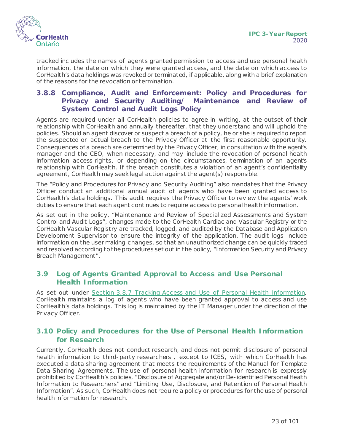

tracked includes the names of agents granted permission to access and use personal health information, the date on which they were granted access, and the date on which access to CorHealth's data holdings was revoked or terminated, if applicable, along with a brief explanation of the reasons for the revocation or termination.

## **3.8.8 Compliance, Audit and Enforcement: Policy and Procedures for Privacy and Security Auditing/ Maintenance and Review of System Control and Audit Logs Policy**

Agents are required under all CorHealth policies to agree in writing, at the outset of their relationship with CorHealth and annually thereafter, that they understand and will uphold the policies. Should an agent discover or suspect a breach of a policy, he or she is required to report the suspected or actual breach to the Privacy Officer at the first reasonable opportunity. Consequences of a breach are determined by the Privacy Officer, in consultation with the agent's manager and the CEO, when necessary, and may include the revocation of personal health information access rights, or depending on the circumstances, termination of an agent's relationship with CorHealth. If the breach constitutes a violation of an agent's confidentiality agreement, CorHealth may seek legal action against the agent(s) responsible.

The "Policy and Procedures for Privacy and Security Auditing" also mandates that the Privacy Officer conduct an additional annual audit of agents who have been granted access to CorHealth's data holdings. This audit requires the Privacy Officer to review the agents' work duties to ensure that each agent continues to require access to personal health information.

As set out in the policy, "Maintenance and Review of Specialized Assessments and System Control and Audit Logs", changes made to the CorHealth Cardiac and Vascular Registry or the CorHealth Vascular Registry are tracked, logged, and audited by the Database and Application Development Supervisor to ensure the integrity of the application. The audit logs include information on the user making changes, so that an unauthorized change can be quickly traced and resolved according to the procedures set out in the policy, "Information Security and Privacy Breach Management".

## <span id="page-22-0"></span>**3.9 Log of Agents Granted Approval to Access and Use Personal Health Information**

As set out under [Section 3.8.7 Tracking Access and Use of Personal Health Information,](#page-21-0) CorHealth maintains a log of agents who have been granted approval to access and use CorHealth's data holdings. This log is maintained by the IT Manager under the direction of the Privacy Officer.

## <span id="page-22-1"></span>**3.10 Policy and Procedures for the Use of Personal Health Information for Research**

Currently, CorHealth does not conduct research, and does not permit disclosure of personal health information to third-party researchers , except to ICES, with which CorHealth has executed a data sharing agreement that meets the requirements of the Manual for Template Data Sharing Agreements. The use of personal health information for research is expressly prohibited by CorHealth's policies, "Disclosure of Aggregate and/or De-identified Personal Health Information to Researchers" and "Limiting Use, Disclosure, and Retention of Personal Health Information". As such, CorHealth does not require a policy or procedures for the use of personal health information for research.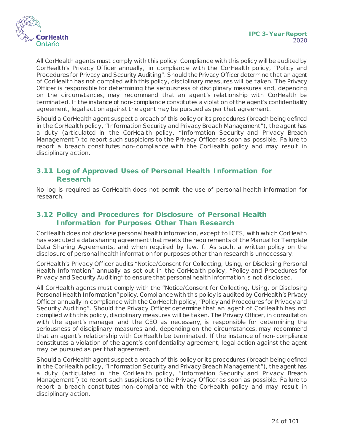



All CorHealth agents must comply with this policy. Compliance with this policy will be audited by CorHealth's Privacy Officer annually, in compliance with the CorHealth policy, "Policy and Procedures for Privacy and Security Auditing". Should the Privacy Officer determine that an agent of CorHealth has not complied with this policy, disciplinary measures will be taken. The Privacy Officer is responsible for determining the seriousness of disciplinary measures and, depending on the circumstances, may recommend that an agent's relationship with CorHealth be terminated. If the instance of non-compliance constitutes a violation of the agent's confidentiality agreement, legal action against the agent may be pursued as per that agreement.

Should a CorHealth agent suspect a breach of this policy or its procedures (breach being defined in the CorHealth policy, "Information Security and Privacy Breach Management"), the agent has a duty (articulated in the CorHealth policy, "Information Security and Privacy Breach Management") to report such suspicions to the Privacy Officer as soon as possible. Failure to report a breach constitutes non-compliance with the CorHealth policy and may result in disciplinary action.

## <span id="page-23-0"></span>**3.11 Log of Approved Uses of Personal Health Information for Research**

No log is required as CorHealth does not permit the use of personal health information for research.

#### <span id="page-23-1"></span>**3.12 Policy and Procedures for Disclosure of Personal Health Information for Purposes Other Than Research**

CorHealth does not disclose personal health information, except to ICES, with which CorHealth has executed a data sharing agreement that meets the requirements of the Manual for Template Data Sharing Agreements, and when required by law. f. As such, a written policy on the disclosure of personal health information for purposes other than research is unnecessary.

CorHealth's Privacy Officer audits "Notice/Consent for Collecting, Using, or Disclosing Personal Health Information" annually as set out in the CorHealth policy, "Policy and Procedures for Privacy and Security Auditing" to ensure that personal health information is not disclosed.

All CorHealth agents must comply with the "Notice/Consent for Collecting, Using, or Disclosing Personal Health Information" policy. Compliance with this policy is audited by CorHealth's Privacy Officer annually in compliance with the CorHealth policy, "Policy and Procedures for Privacy and Security Auditing". Should the Privacy Officer determine that an agent of CorHealth has not complied with this policy, disciplinary measures will be taken. The Privacy Officer, in consultation with the agent's manager and the CEO as necessary, is responsible for determining the seriousness of disciplinary measures and, depending on the circumstances, may recommend that an agent's relationship with CorHealth be terminated. If the instance of non-compliance constitutes a violation of the agent's confidentiality agreement, legal action against the agent may be pursued as per that agreement.

Should a CorHealth agent suspect a breach of this policy or its procedures (breach being defined in the CorHealth policy, "Information Security and Privacy Breach Management"), the agent has a duty (articulated in the CorHealth policy, "Information Security and Privacy Breach Management") to report such suspicions to the Privacy Officer as soon as possible. Failure to report a breach constitutes non-compliance with the CorHealth policy and may result in disciplinary action.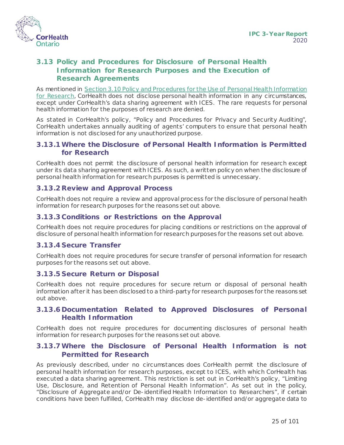

## <span id="page-24-0"></span>**3.13 Policy and Procedures for Disclosure of Personal Health Information for Research Purposes and the Execution of Research Agreements**

As mentioned in [Section 3.10 Policy and Procedures for the Use of Personal Health Information](#page-23-0) [for Research](#page-23-0), CorHealth does not disclose personal health information in any circumstances, except under CorHealth's data sharing agreement with ICES. The rare requests for personal health information for the purposes of research are denied.

As stated in CorHealth's policy, "Policy and Procedures for Privacy and Security Auditing", CorHealth undertakes annually auditing of agents' computers to ensure that personal health information is not disclosed for any unauthorized purpose.

#### **3.13.1Where the Disclosure of Personal Health Information is Permitted for Research**

CorHealth does not permit the disclosure of personal health information for research except under its data sharing agreement with ICES. As such, a written policy on when the disclosure of personal health information for research purposes is permitted is unnecessary.

#### **3.13.2Review and Approval Process**

CorHealth does not require a review and approval process for the disclosure of personal health information for research purposes for the reasons set out above.

#### **3.13.3 Conditions or Restrictions on the Approval**

CorHealth does not require procedures for placing conditions or restrictions on the approval of disclosure of personal health information for research purposes for the reasons set out above.

#### **3.13.4 Secure Transfer**

CorHealth does not require procedures for secure transfer of personal information for research purposes for the reasons set out above.

#### **3.13.5 Secure Return or Disposal**

CorHealth does not require procedures for secure return or disposal of personal health information after it has been disclosed to a third-party for research purposes for the reasons set out above.

#### **3.13.6 Documentation Related to Approved Disclosures of Personal Health Information**

CorHealth does not require procedures for documenting disclosures of personal health information for research purposes for the reasons set out above.

#### **3.13.7Where the Disclosure of Personal Health Information is not Permitted for Research**

As previously described, under no circumstances does CorHealth permit the disclosure of personal health information for research purposes, except to ICES, with which CorHealth has executed a data sharing agreement. This restriction is set out in CorHealth's policy, "Limiting Use, Disclosure, and Retention of Personal Health Information". As set out in the policy, "Disclosure of Aggregate and/or De-identified Health Information to Researchers", if certain conditions have been fulfilled, CorHealth may disclose de-identified and/or aggregate data to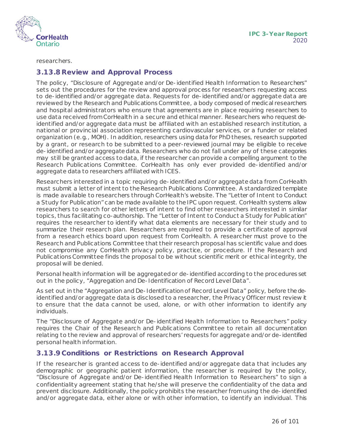

researchers.

#### **3.13.8Review and Approval Process**

The policy, "Disclosure of Aggregate and/or De-identified Health Information to Researchers" sets out the procedures for the review and approval process for researchers requesting access to de-identified and/or aggregate data. Requests for de-identified and/or aggregate data are reviewed by the Research and Publications Committee, a body composed of medical researchers and hospital administrators who ensure that agreements are in place requiring researchers to use data received from CorHealth in a secure and ethical manner. Researchers who request deidentified and/or aggregate data must be affiliated with an established research institution, a national or provincial association representing cardiovascular services, or a funder or related organization (e.g., MOH). In addition, researchers using data for PhD theses, research supported by a grant, or research to be submitted to a peer-reviewed journal may be eligible to receive de-identified and/or aggregate data. Researchers who do not fall under any of these categories may still be granted access to data, if the researcher can provide a compelling argument to the Research Publications Committee. CorHealth has only ever provided de-identified and/or aggregate data to researchers affiliated with ICES.

Researchers interested in a topic requiring de-identified and/or aggregate data from CorHealth must submit a letter of intent to the Research Publications Committee. A standardized template is made available to researchers through CorHealth's website. The "Letter of Intent to Conduct a Study for Publication" can be made available to the IPC upon request. CorHealth systems allow researchers to search for other letters of intent to find other researchers interested in similar topics, thus facilitating co-authorship. The "Letter of Intent to Conduct a Study for Publication" requires the researcher to identify what data elements are necessary for their study and to summarize their research plan. Researchers are required to provide a certificate of approval from a research ethics board upon request from CorHealth. A researcher must prove to the Research and Publications Committee that their research proposal has scientific value and does not compromise any CorHealth privacy policy, practice, or procedure. If the Research and Publications Committee finds the proposal to be without scientific merit or ethical integrity, the proposal will be denied.

Personal health information will be aggregated or de-identified according to the procedures set out in the policy, "Aggregation and De-Identification of Record Level Data".

As set out in the "Aggregation and De-Identification of Record Level Data" policy, before the deidentified and/or aggregate data is disclosed to a researcher, the Privacy Officer must review it to ensure that the data cannot be used, alone, or with other information to identify any individuals.

The "Disclosure of Aggregate and/or De-identified Health Information to Researchers" policy requires the Chair of the Research and Publications Committee to retain all documentation relating to the review and approval of researchers' requests for aggregate and/or de-identified personal health information.

#### **3.13.9 Conditions or Restrictions on Research Approval**

If the researcher is granted access to de-identified and/or aggregate data that includes any demographic or geographic patient information, the researcher is required by the policy, "Disclosure of Aggregate and/or De-identified Health Information to Researchers" to sign a confidentiality agreement stating that he/she will preserve the confidentiality of the data and prevent disclosure. Additionally, the policy prohibits the researcher from using the de-identified and/or aggregate data, either alone or with other information, to identify an individual. This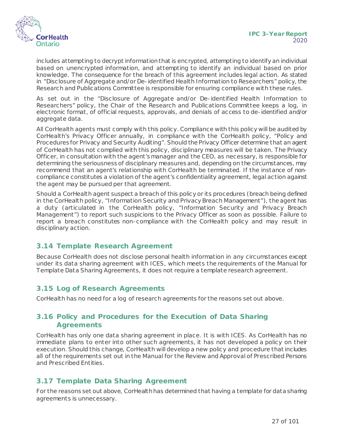

includes attempting to decrypt information that is encrypted, attempting to identify an individual based on unencrypted information, and attempting to identify an individual based on prior knowledge. The consequence for the breach of this agreement includes legal action. As stated in "Disclosure of Aggregate and/or De-identified Health Information to Researchers" policy, the Research and Publications Committee is responsible for ensuring compliance with these rules.

As set out in the "Disclosure of Aggregate and/or De-identified Health Information to Researchers" policy, the Chair of the Research and Publications Committee keeps a log, in electronic format, of official requests, approvals, and denials of access to de-identified and/or aggregate data.

All CorHealth agents must comply with this policy. Compliance with this policy will be audited by CorHealth's Privacy Officer annually, in compliance with the CorHealth policy, "Policy and Procedures for Privacy and Security Auditing". Should the Privacy Officer determine that an agent of CorHealth has not complied with this policy, disciplinary measures will be taken. The Privacy Officer, in consultation with the agent's manager and the CEO, as necessary, is responsible for determining the seriousness of disciplinary measures and, depending on the circumstances, may recommend that an agent's relationship with CorHealth be terminated. If the instance of noncompliance constitutes a violation of the agent's confidentiality agreement, legal action against the agent may be pursued per that agreement.

Should a CorHealth agent suspect a breach of this policy or its procedures (breach being defined in the CorHealth policy, "Information Security and Privacy Breach Management"), the agent has a duty (articulated in the CorHealth policy, "Information Security and Privacy Breach Management") to report such suspicions to the Privacy Officer as soon as possible. Failure to report a breach constitutes non-compliance with the CorHealth policy and may result in disciplinary action.

#### <span id="page-26-0"></span>**3.14 Template Research Agreement**

Because CorHealth does not disclose personal health information in any circumstances except under its data sharing agreement with ICES, which meets the requirements of the Manual for Template Data Sharing Agreements, it does not require a template research agreement.

#### <span id="page-26-1"></span>**3.15 Log of Research Agreements**

CorHealth has no need for a log of research agreements for the reasons set out above.

#### <span id="page-26-2"></span>**3.16 Policy and Procedures for the Execution of Data Sharing Agreements**

CorHealth has only one data sharing agreement in place. It is with ICES. As CorHealth has no immediate plans to enter into other such agreements, it has not developed a policy on their execution. Should this change, CorHealth will develop a new policy and procedure that includes all of the requirements set out in the *Manual for the Review and Approval of Prescribed Persons and Prescribed Entities*.

#### <span id="page-26-3"></span>**3.17 Template Data Sharing Agreement**

For the reasons set out above, CorHealthhas determined that having a template for data sharing agreements is unnecessary.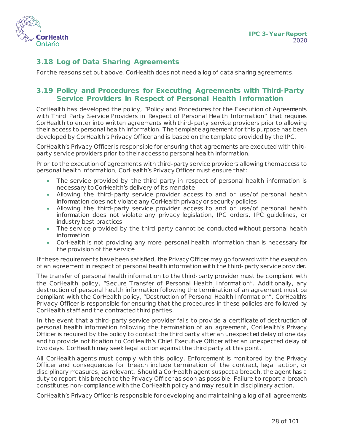

## <span id="page-27-0"></span>**3.18 Log of Data Sharing Agreements**

For the reasons set out above, CorHealth does not need a log of data sharing agreements.

## <span id="page-27-1"></span>**3.19 Policy and Procedures for Executing Agreements with Third-Party Service Providers in Respect of Personal Health Information**

CorHealth has developed the policy, "Policy and Procedures for the Execution of Agreements with Third Party Service Providers in Respect of Personal Health Information" that requires CorHealth to enter into written agreements with third-party service providers prior to allowing their access to personal health information. The template agreement for this purpose has been developed by CorHealth's Privacy Officer and is based on the template provided by the IPC.

CorHealth's Privacy Officer is responsible for ensuring that agreements are executed with thirdparty service providers prior to their access to personal health information.

Prior to the execution of agreements with third-party service providers allowing them access to personal health information, CorHealth's Privacy Officer must ensure that:

- The service provided by the third party in respect of personal health information is necessary to CorHealth's delivery of its mandate
- Allowing the third-party service provider access to and or use/of personal health information does not violate any CorHealth privacy or security policies
- Allowing the third-party service provider access to and or use/of personal health information does not violate any privacy legislation, IPC orders, IPC guidelines, or industry best practices
- The service provided by the third party cannot be conducted without personal health information
- CorHealth is not providing any more personal health information than is necessary for the provision of the service

If these requirements have been satisfied, the Privacy Officer may go forward with the execution of an agreement in respect of personal health information with the third-party service provider.

The transfer of personal health information to the third-party provider must be compliant with the CorHealth policy, "Secure Transfer of Personal Health Information". Additionally, any destruction of personal health information following the termination of an agreement must be compliant with the CorHealth policy, "Destruction of Personal Health Information". CorHealth's Privacy Officer is responsible for ensuring that the procedures in these policies are followed by CorHealth staff and the contracted third parties.

In the event that a third-party service provider fails to provide a certificate of destruction of personal health information following the termination of an agreement, CorHealth's Privacy Officer is required by the policy to contact the third party after an unexpected delay of one day and to provide notification to CorHealth's Chief Executive Officer after an unexpected delay of two days. CorHealth may seek legal action against the third party at this point.

All CorHealth agents must comply with this policy. Enforcement is monitored by the Privacy Officer and consequences for breach include termination of the contract, legal action, or disciplinary measures, as relevant. Should a CorHealth agent suspect a breach, the agent has a duty to report this breach to the Privacy Officer as soon as possible. Failure to report a breach constitutes non-compliance with the CorHealth policy and may result in disciplinary action.

CorHealth's Privacy Officer is responsible for developing and maintaining a log of all agreements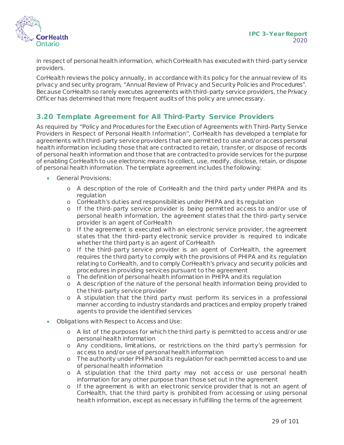

in respect of personal health information, which CorHealth has executed with third-party service providers.

CorHealth reviews the policy annually, in accordance with its policy for the annual review of its privacy and security program, "Annual Review of Privacy and Security Policies and Procedures". Because CorHealth so rarely executes agreements with third-party service providers, the Privacy Officer has determined that more frequent audits of this policy are unnecessary.

## <span id="page-28-0"></span>**3.20 Template Agreement for All Third-Party Service Providers**

As required by "Policy and Procedures for the Execution of Agreements with Third-Party Service Providers in Respect of Personal Health Information", CorHealth has developed a template for agreements with third-party service providers that are permitted to use and/or access personal health information including those that are contracted to retain, transfer, or dispose of records of personal health information and those that are contracted to provide services for the purpose of enabling CorHealth to use electronic means to collect, use, modify, disclose, retain, or dispose of personal health information. The template agreement includes the following:

- General Provisions:
	- o A description of the role of CorHealth and the third party under PHIPA and its regulation
	- o CorHealth's duties and responsibilities under PHIPA and its regulation
	- o If the third-party service provider is being permitted access to and/or use of personal health information, the agreement states that the third-party service provider is an agent of CorHealth
	- o If the agreement is executed with an electronic service provider, the agreement states that the third-party electronic service provider is required to indicate whether the third party is an agent of CorHealth
	- o If the third-party service provider is an agent of CorHealth, the agreement requires the third party to comply with the provisions of PHIPA and its regulation relating to CorHealth, and to comply CorHealth's privacy and security policies and procedures in providing services pursuant to the agreement
	- o The definition of personal health information in PHIPA and its regulation
	- o A description of the nature of the personal health information being provided to the third-party service provider
	- o A stipulation that the third party must perform its services in a professional manner according to industry standards and practices and employ properly trained agents to provide the identified services
- Obligations with Respect to Access and Use:
	- o A list of the purposes for which the third party is permitted to access and/or use personal health information
	- o Any conditions, limitations, or restrictions on the third party's permission for access to and/or use of personal health information
	- o The authority under PHIPA and its regulation for each permitted access to and use of personal health information
	- o A stipulation that the third party may not access or use personal health information for any other purpose than those set out in the agreement
	- o If the agreement is with an electronic service provider that is not an agent of CorHealth, that the third party is prohibited from accessing or using personal health information, except as necessary in fulfilling the terms of the agreement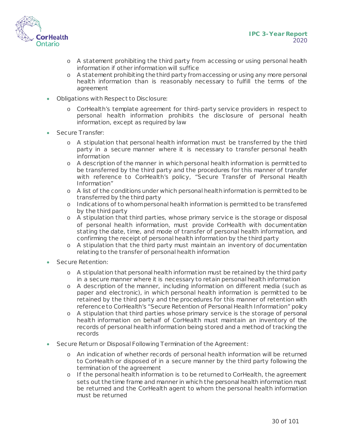

- o A statement prohibiting the third party from accessing or using personal health information if other information will suffice
- o A statement prohibiting the third party from accessing or using any more personal health information than is reasonably necessary to fulfill the terms of the agreement
- Obligations with Respect to Disclosure:
	- o CorHealth's template agreement for third-party service providers in respect to personal health information prohibits the disclosure of personal health information, except as required by law
- Secure Transfer:
	- o A stipulation that personal health information must be transferred by the third party in a secure manner where it is necessary to transfer personal health information
	- o A description of the manner in which personal health information is permitted to be transferred by the third party and the procedures for this manner of transfer with reference to CorHealth's policy, "Secure Transfer of Personal Health Information"
	- o A list of the conditions under which personal health information is permitted to be transferred by the third party
	- o Indications of to whom personal health information is permitted to be transferred by the third party
	- o A stipulation that third parties, whose primary service is the storage or disposal of personal health information, must provide CorHealth with documentation stating the date, time, and mode of transfer of personal health information, and confirming the receipt of personal health information by the third party
	- o A stipulation that the third party must maintain an inventory of documentation relating to the transfer of personal health information
- Secure Retention:
	- o A stipulation that personal health information must be retained by the third party in a secure manner where it is necessary to retain personal health information
	- o A description of the manner, including information on different media (such as paper and electronic), in which personal health information is permitted to be retained by the third party and the procedures for this manner of retention with reference to CorHealth's "Secure Retention of Personal Health Information" policy
	- o A stipulation that third parties whose primary service is the storage of personal health information on behalf of CorHealth must maintain an inventory of the records of personal health information being stored and a method of tracking the records
- Secure Return or Disposal Following Termination of the Agreement:
	- o An indication of whether records of personal health information will be returned to CorHealth or disposed of in a secure manner by the third party following the termination of the agreement
	- o If the personal health information is to be returned to CorHealth, the agreement sets out the time frame and manner in which the personal health information must be returned and the CorHealth agent to whom the personal health information must be returned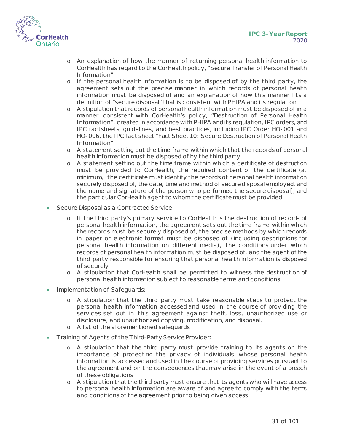

- o An explanation of how the manner of returning personal health information to CorHealth has regard to the CorHealthpolicy, "Secure Transfer of Personal Health Information"
- o If the personal health information is to be disposed of by the third party, the agreement sets out the precise manner in which records of personal health information must be disposed of and an explanation of how this manner fits a definition of "secure disposal" that is consistent with PHIPA and its regulation
- o A stipulation that records of personal health information must be disposed of in a manner consistent with CorHealth's policy, "Destruction of Personal Health Information", created in accordance with PHIPA and its regulation, IPC orders, and IPC factsheets, guidelines, and best practices, including IPC Order HO-001 and HO-006, the IPC fact sheet "Fact Sheet 10: Secure Destruction of Personal Health Information"
- o A statement setting out the time frame within which that the records of personal health information must be disposed of by the third party
- o A statement setting out the time frame within which a certificate of destruction must be provided to CorHealth, the required content of the certificate (at minimum, the certificate must identify the records of personal health information securely disposed of, the date, time and method of secure disposal employed, and the name and signature of the person who performed the secure disposal), and the particular CorHealth agent to whom the certificate must be provided
- Secure Disposal as a Contracted Service:
	- o If the third party's primary service to CorHealth is the destruction of records of personal health information, the agreement sets out the time frame within which the records must be securely disposed of, the precise methods by which records in paper or electronic format must be disposed of (including descriptions for personal health information on different media), the conditions under which records of personal health information must be disposed of, and the agent of the third party responsible for ensuring that personal health information is disposed of securely
	- o A stipulation that CorHealth shall be permitted to witness the destruction of personal health information subject to reasonable terms and conditions
- Implementation of Safeguards:
	- o A stipulation that the third party must take reasonable steps to protect the personal health information accessed and used in the course of providing the services set out in this agreement against theft, loss, unauthorized use or disclosure, and unauthorized copying, modification, and disposal.
	- o A list of the aforementioned safeguards
- Training of Agents of the Third-Party Service Provider:
	- o A stipulation that the third party must provide training to its agents on the importance of protecting the privacy of individuals whose personal health information is accessed and used in the course of providing services pursuant to the agreement and on the consequences that may arise in the event of a breach of these obligations
	- o A stipulation that the third party must ensure that its agents who will have access to personal health information are aware of and agree to comply with the terms and conditions of the agreement prior to being given access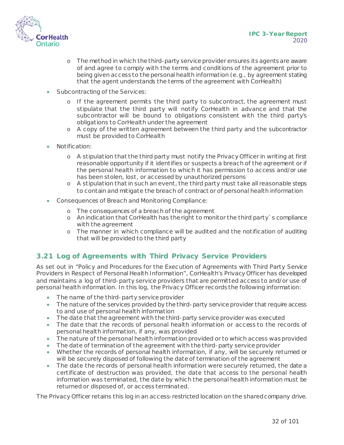

- o The method in which the third-party service provider ensures its agents are aware of and agree to comply with the terms and conditions of the agreement prior to being given access to the personal health information (e.g., by agreement stating that the agent understands the terms of the agreement with CorHealth)
- Subcontracting of the Services:
	- o If the agreement permits the third party to subcontract, the agreement must stipulate that the third party will notify CorHealth in advance and that the subcontractor will be bound to obligations consistent with the third party's obligations to CorHealth under the agreement
	- o A copy of the written agreement between the third party and the subcontractor must be provided to CorHealth
- Notification:
	- o A stipulation that the third party must notify the Privacy Officer in writing at first reasonable opportunity if it identifies or suspects a breach of the agreement or if the personal health information to which it has permission to access and/or use has been stolen, lost, or accessed by unauthorized persons
	- o A stipulation that in such an event, the third party must take all reasonable steps to contain and mitigate the breach of contract or of personal health information
- Consequences of Breach and Monitoring Compliance:
	- o The consequences of a breach of the agreement
	- o An indication that CorHealth has the right to monitor the third party`s compliance with the agreement
	- o The manner in which compliance will be audited and the notification of auditing that will be provided to the third party

## <span id="page-31-0"></span>**3.21 Log of Agreements with Third Privacy Service Providers**

As set out in "Policy and Procedures for the Execution of Agreements with Third Party Service Providers in Respect of Personal Health Information", CorHealth's Privacy Officer has developed and maintains a log of third-party service providers that are permitted access to and/or use of personal health information. In this log, the Privacy Officer records the following information:

- The name of the third-party service provider
- The nature of the services provided by the third-party service provider that require access to and use of personal health information
- $\bullet\quad$  The date that the agreement with the third-party service provider was executed
- The date that the records of personal health information or access to the records of personal health information, if any, was provided
- The nature of the personal health information provided or to which access was provided
- The date of termination of the agreement with the third-party service provider
- Whether the records of personal health information, if any, will be securely returned or will be securely disposed of following the date of termination of the agreement
- The date the records of personal health information were securely returned, the date a certificate of destruction was provided, the date that access to the personal health information was terminated, the date by which the personal health information must be returned or disposed of, or access terminated.

The Privacy Officer retains this log in an access-restricted location on the shared company drive.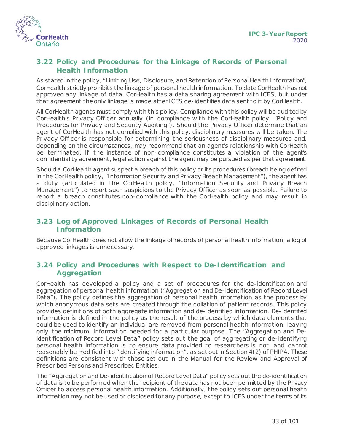

## <span id="page-32-0"></span>**3.22 Policy and Procedures for the Linkage of Records of Personal Health Information**

As stated in the policy, "Limiting Use, Disclosure, and Retention of Personal Health Information", CorHealth strictly prohibits the linkage of personal health information. To date CorHealth has not approved any linkage of data. CorHealth has a data sharing agreement with ICES, but under that agreement the only linkage is made after ICES de-identifies data sent to it by CorHealth.

All CorHealth agents must comply with this policy. Compliance with this policy will be audited by CorHealth's Privacy Officer annually (in compliance with the CorHealth policy, "Policy and Procedures for Privacy and Security Auditing"). Should the Privacy Officer determine that an agent of CorHealth has not complied with this policy, disciplinary measures will be taken. The Privacy Officer is responsible for determining the seriousness of disciplinary measures and, depending on the circumstances, may recommend that an agent's relationship with CorHealth be terminated. If the instance of non-compliance constitutes a violation of the agent's confidentiality agreement, legal action against the agent may be pursued as per that agreement.

Should a CorHealth agent suspect a breach of this policy or its procedures (breach being defined in the CorHealth policy, "Information Security and Privacy Breach Management"), the agent has a duty (articulated in the CorHealth policy, "Information Security and Privacy Breach Management") to report such suspicions to the Privacy Officer as soon as possible. Failure to report a breach constitutes non-compliance with the CorHealth policy and may result in disciplinary action.

## <span id="page-32-1"></span>**3.23 Log of Approved Linkages of Records of Personal Health Information**

Because CorHealth does not allow the linkage of records of personal health information, a log of approved linkages is unnecessary.

#### <span id="page-32-2"></span>**3.24 Policy and Procedures with Respect to De-Identification and Aggregation**

CorHealth has developed a policy and a set of procedures for the de-identification and aggregation of personal health information ("Aggregation and De-identification of Record Level Data"). The policy defines the aggregation of personal health information as the process by which anonymous data sets are created through the collation of patient records. This policy provides definitions of both aggregate information and de-identified information. De-identified information is defined in the policy as the result of the process by which data elements that could be used to identify an individual are removed from personal health information, leaving only the minimum information needed for a particular purpose. The "Aggregation and Deidentification of Record Level Data" policy sets out the goal of aggregating or de-identifying personal health information is to ensure data provided to researchers is not, and cannot reasonably be modified into "identifying information", as set out in Section 4(2) of PHIPA. These definitions are consistent with those set out in the *Manual for the Review and Approval of Prescribed Persons and Prescribed Entities*.

The "Aggregation and De-identification of Record Level Data" policy sets out the de-identification of data is to be performed when the recipient of the data has not been permitted by the Privacy Officer to access personal health information. Additionally, the policy sets out personal health information may not be used or disclosed for any purpose, except to ICES under the terms of its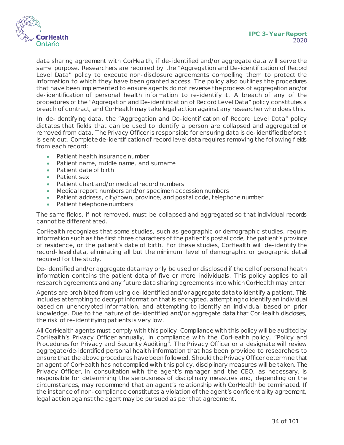

data sharing agreement with CorHealth, if de-identified and/or aggregate data will serve the same purpose. Researchers are required by the "Aggregation and De-identification of Record Level Data" policy to execute non-disclosure agreements compelling them to protect the information to which they have been granted access. The policy also outlines the procedures that have been implemented to ensure agents do not reverse the process of aggregation and/or de-identification of personal health information to re-identify it. A breach of any of the procedures of the "Aggregation and De-identification of Record Level Data" policy constitutes a breach of contract, and CorHealth may take legal action against any researcher who does this.

In de-identifying data, the "Aggregation and De-identification of Record Level Data" policy dictates that fields that can be used to identify a person are collapsed and aggregated or removed from data. The Privacy Officer is responsible for ensuring data is de-identified before it is sent out. Complete de-identification of record level data requires removing the following fields from each record:

- Patient health insurance number
- Patient name, middle name, and surname
- Patient date of birth
- Patient sex
- Patient chart and/or medical record numbers
- Medical report numbers and/or specimen accession numbers
- Patient address, city/town, province, and postal code, telephone number
- Patient telephone numbers

The same fields, if not removed, must be collapsed and aggregated so that individual records cannot be differentiated.

CorHealth recognizes that some studies, such as geographic or demographic studies, require information such as the first three characters of the patient's postal code, the patient's province of residence, or the patient's date of birth. For these studies, CorHealth will de-identify the record-level data, eliminating all but the minimum level of demographic or geographic detail required for the study.

De-identified and/or aggregate data may only be used or disclosed if the cell of personal health information contains the patient data of five or more individuals. This policy applies to all research agreements and any future data sharing agreements into which CorHealth may enter.

Agents are prohibited from using de-identified and/or aggregate data to identify a patient. This includes attempting to decrypt information that is encrypted, attempting to identify an individual based on unencrypted information, and attempting to identify an individual based on prior knowledge. Due to the nature of de-identified and/or aggregate data that CorHealth discloses, the risk of re-identifying patients is very low.

All CorHealth agents must comply with this policy. Compliance with this policy will be audited by CorHealth's Privacy Officer annually, in compliance with the CorHealth policy, "Policy and Procedures for Privacy and Security Auditing". The Privacy Officer or a designate will review aggregate/de-identified personal health information that has been provided to researchers to ensure that the above procedures have been followed. Should the Privacy Officer determine that an agent of CorHealth has not complied with this policy, disciplinary measures will be taken. The Privacy Officer, in consultation with the agent's manager and the CEO, as necessary, is responsible for determining the seriousness of disciplinary measures and, depending on the circumstances, may recommend that an agent's relationship with CorHealth be terminated. If the instance of non-compliance constitutes a violation of the agent's confidentiality agreement, legal action against the agent may be pursued as per that agreement.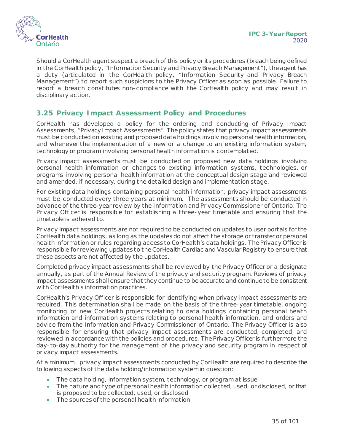

Should a CorHealth agent suspect a breach of this policy or its procedures (breach being defined in the CorHealth policy, "Information Security and Privacy Breach Management"), the agent has a duty (articulated in the CorHealth policy, "Information Security and Privacy Breach Management") to report such suspicions to the Privacy Officer as soon as possible. Failure to report a breach constitutes non-compliance with the CorHealth policy and may result in disciplinary action.

## <span id="page-34-0"></span>**3.25 Privacy Impact Assessment Policy and Procedures**

CorHealth has developed a policy for the ordering and conducting of Privacy Impact Assessments, "Privacy Impact Assessments". The policy states that privacy impact assessments must be conducted on existing and proposed data holdings involving personal health information, and whenever the implementation of a new or a change to an existing information system, technology or program involving personal health information is contemplated.

Privacy impact assessments must be conducted on proposed new data holdings involving personal health information or changes to existing information systems, technologies, or programs involving personal health information at the conceptual design stage and reviewed and amended, if necessary, during the detailed design and implementation stage.

For existing data holdings containing personal health information, privacy impact assessments must be conducted every three years at minimum. The assessments should be conducted in advance of the three-year review by the Information and Privacy Commissioner of Ontario. The Privacy Officer is responsible for establishing a three-year timetable and ensuring that the timetable is adhered to.

Privacy impact assessments are not required to be conducted on updates to user portals for the CorHealth data holdings, as long as the updates do not affect the storage or transfer or personal health information or rules regarding access to CorHealth's data holdings. The Privacy Officer is responsible for reviewing updates to the CorHealth Cardiac and Vascular Registry to ensure that these aspects are not affected by the updates.

Completed privacy impact assessments shall be reviewed by the Privacy Officer or a designate annually, as part of the Annual Review of the privacy and security program. Reviews of privacy impact assessments shall ensure that they continue to be accurate and continue to be consistent with CorHealth's information practices.

CorHealth's Privacy Officer is responsible for identifying when privacy impact assessments are required. This determination shall be made on the basis of the three-year timetable, ongoing monitoring of new CorHealth projects relating to data holdings containing personal health information and information systems relating to personal health information, and orders and advice from the Information and Privacy Commissioner of Ontario. The Privacy Officer is also responsible for ensuring that privacy impact assessments are conducted, completed, and reviewed in accordance with the policies and procedures. The Privacy Officer is furthermore the day-to-day authority for the management of the privacy and security program in respect of privacy impact assessments.

At a minimum, privacy impact assessments conducted by CorHealth are required to describe the following aspects of the data holding/information system in question:

- The data holding, information system, technology, or program at issue
- The nature and type of personal health information collected, used, or disclosed, or that is proposed to be collected, used, or disclosed
- The sources of the personal health information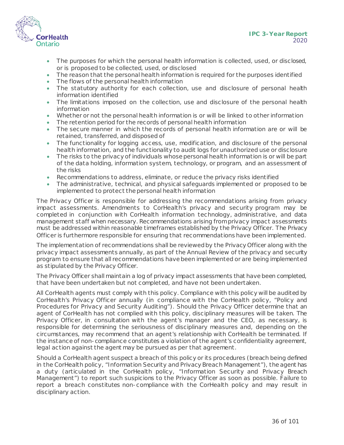



- The purposes for which the personal health information is collected, used, or disclosed, or is proposed to be collected, used, or disclosed
- The reason that the personal health information is required for the purposes identified
- The flows of the personal health information
- The statutory authority for each collection, use and disclosure of personal health information identified
- The limitations imposed on the collection, use and disclosure of the personal health information
- Whether or not the personal health information is or will be linked to other information
- The retention period for the records of personal health information
- The secure manner in which the records of personal health information are or will be retained, transferred, and disposed of
- The functionality for logging access, use, modification, and disclosure of the personal health information, and the functionality to audit logs for unauthorized use or disclosure
- The risks to the privacy of individuals whose personal health information is or will be part of the data holding, information system, technology, or program, and an assessment of the risks
- Recommendations to address, eliminate, or reduce the privacy risks identified
- The administrative, technical, and physical safeguards implemented or proposed to be implemented to protect the personal health information

The Privacy Officer is responsible for addressing the recommendations arising from privacy impact assessments. Amendments to CorHealth's privacy and security program may be completed in conjunction with CorHealth information technology, administrative, and data management staff when necessary. Recommendations arising from privacy impact assessments must be addressed within reasonable timeframes established by the Privacy Officer. The Privacy Officer is furthermore responsible for ensuring that recommendations have been implemented.

The implementation of recommendations shall be reviewed by the Privacy Officer along with the privacy impact assessments annually, as part of the Annual Review of the privacy and security program to ensure that all recommendations have been implemented or are being implemented as stipulated by the Privacy Officer.

The Privacy Officer shall maintain a log of privacy impact assessments that have been completed, that have been undertaken but not completed, and have not been undertaken.

All CorHealth agents must comply with this policy. Compliance with this policy will be audited by CorHealth's Privacy Officer annually (in compliance with the CorHealth policy, "Policy and Procedures for Privacy and Security Auditing"). Should the Privacy Officer determine that an agent of CorHealth has not complied with this policy, disciplinary measures will be taken. The Privacy Officer, in consultation with the agent's manager and the CEO, as necessary, is responsible for determining the seriousness of disciplinary measures and, depending on the circumstances, may recommend that an agent's relationship with CorHealth be terminated. If the instance of non-compliance constitutes a violation of the agent's confidentiality agreement, legal action against the agent may be pursued as per that agreement.

Should a CorHealth agent suspect a breach of this policy or its procedures (breach being defined in the CorHealth policy, "Information Security and Privacy Breach Management"), the agent has a duty (articulated in the CorHealth policy, "Information Security and Privacy Breach Management") to report such suspicions to the Privacy Officer as soon as possible. Failure to report a breach constitutes non-compliance with the CorHealth policy and may result in disciplinary action.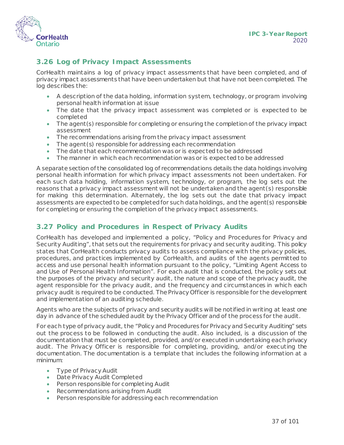

## **3.26 Log of Privacy Impact Assessments**

CorHealth maintains a log of privacy impact assessments that have been completed, and of privacy impact assessments that have been undertaken but that have not been completed. The log describes the:

- A description of the data holding, information system, technology, or program involving personal health information at issue
- The date that the privacy impact assessment was completed or is expected to be completed
- The agent (s) responsible for completing or ensuring the completion of the privacy impact assessment
- The recommendations arising from the privacy impact assessment
- The agent (s) responsible for addressing each recommendation
- The date that each recommendation was or is expected to be addressed
- The manner in which each recommendation was or is expected to be addressed

A separate section of the consolidated log of recommendations details the data holdings involving personal health information for which privacy impact assessments not been undertaken. For each such data holding, information system, technology, or program, the log sets out the reasons that a privacy impact assessment will not be undertaken and the agent(s) responsible for making this determination. Alternately, the log sets out the date that privacy impact assessments are expected to be completed for such data holdings, and the agent(s) responsible for completing or ensuring the completion of the privacy impact assessments.

## **3.27 Policy and Procedures in Respect of Privacy Audits**

CorHealth has developed and implemented a policy, "Policy and Procedures for Privacy and Security Auditing", that sets out the requirements for privacy and security auditing. This policy states that CorHealth conducts privacy audits to assess compliance with the privacy policies, procedures, and practices implemented by CorHealth, and audits of the agents permitted to access and use personal health information pursuant to the policy, "Limiting Agent Access to and Use of Personal Health Information". For each audit that is conducted, the policy sets out the purposes of the privacy and security audit, the nature and scope of the privacy audit, the agent responsible for the privacy audit, and the frequency and circumstances in which each privacy audit is required to be conducted. The Privacy Officer is responsible for the development and implementation of an auditing schedule.

Agents who are the subjects of privacy and security audits will be notified in writing at least one day in advance of the scheduled audit by the Privacy Officer and of the process for the audit.

For each type of privacy audit, the "Policy and Procedures for Privacy and Security Auditing" sets out the process to be followed in conducting the audit. Also included, is a discussion of the documentation that must be completed, provided, and/or executed in undertaking each privacy audit. The Privacy Officer is responsible for completing, providing, and/or executing the documentation. The documentation is a template that includes the following information at a minimum:

- Type of Privacy Audit
- Date Privacy Audit Completed
- Person responsible for completing Audit
- Recommendations arising from Audit
- Person responsible for addressing each recommendation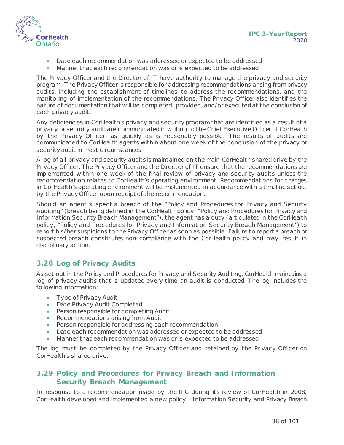

- Date each recommendation was addressed or expected to be addressed
- Manner that each recommendation was or is expected to be addressed

The Privacy Officer and the Director of IT have authority to manage the privacy and security program. The Privacy Officer is responsible for addressing recommendations arising from privacy audits, including the establishment of timelines to address the recommendations, and the monitoring of implementation of the recommendations. The Privacy Officer also identifies the nature of documentation that will be completed, provided, and/or executed at the conclusion of each privacy audit.

Any deficiencies in CorHealth's privacy and security program that are identified as a result of a privacy or security audit are communicated in writing to the Chief Executive Officer of CorHealth by the Privacy Officer, as quickly as is reasonably possible. The results of audits are communicated to CorHealth agents within about one week of the conclusion of the privacy or security audit in most circumstances.

A log of all privacy and security audits is maintained on the main CorHealth shared drive by the Privacy Officer. The Privacy Officer and the Director of IT ensure that the recommendations are implemented within one week of the final review of privacy and security audits unless the recommendation relates to CorHealth's operating environment. Recommendations for changes in CorHealth's operating environment will be implemented in accordance with a timeline set out by the Privacy Officer upon receipt of the recommendation.

Should an agent suspect a breach of the "Policy and Procedures for Privacy and Security Auditing" (breach being defined in the CorHealth policy, "Policy and Procedures for Privacy and Information Security Breach Management"), the agent has a duty (articulated in the CorHealth policy, "Policy and Procedures for Privacy and Information Security Breach Management") to report his/her suspicions to the Privacy Officer as soon as possible. Failure to report a breach or suspected breach constitutes non-compliance with the CorHealth policy and may result in disciplinary action.

## **3.28 Log of Privacy Audits**

As set out in the Policy and Procedures for Privacy and Security Auditing, CorHealth maintains a log of privacy audits that is updated every time an audit is conducted. The log includes the following information:

- Type of Privacy Audit
- Date Privacy Audit Completed
- Person responsible for completing Audit
- Recommendations arising from Audit
- Person responsible for addressing each recommendation
- Date each recommendation was addressed or expected to be addressed
- Manner that each recommendation was or is expected to be addressed

The log must be completed by the Privacy Officer and retained by the Privacy Officer on CorHealth's shared drive.

#### **3.29 Policy and Procedures for Privacy Breach and Information Security Breach Management**

In response to a recommendation made by the IPC during its review of CorHealth in 2008, CorHealth developed and implemented a new policy, "Information Security and Privacy Breach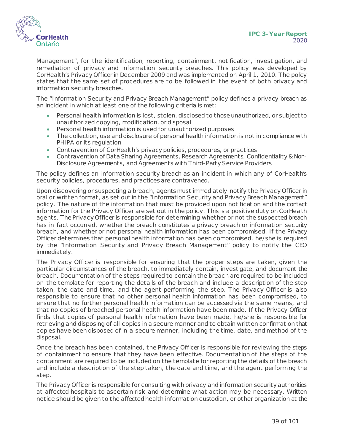

Management", for the identification, reporting, containment, notification, investigation, and remediation of privacy and information security breaches. This policy was developed by CorHealth's Privacy Officer in December 2009 and was implemented on April 1, 2010. The policy states that the same set of procedures are to be followed in the event of both privacy and information security breaches.

The "Information Security and Privacy Breach Management" policy defines a privacy breach as an incident in which at least one of the following criteria is met:

- Personal health information is lost, stolen, disclosed to those unauthorized, or subject to unauthorized copying, modification, or disposal
- Personal health information is used for unauthorized purposes
- The collection, use and disclosure of personal health information is not in compliance with PHIPA or its regulation
- Contravention of CorHealth's privacy policies, procedures, or practices
- Contravention of Data Sharing Agreements, Research Agreements, Confidentiality & Non-Disclosure Agreements, and Agreements with Third-Party Service Providers

The policy defines an information security breach as an incident in which any of CorHealth's security policies, procedures, and practices are contravened.

Upon discovering or suspecting a breach, agents must immediately notify the Privacy Officer in oral or written format, as set out in the "Information Security and Privacy Breach Management" policy. The nature of the information that must be provided upon notification and the contact information for the Privacy Officer are set out in the policy. This is a positive duty on CorHealth agents. The Privacy Officer is responsible for determining whether or not the suspected breach has in fact occurred, whether the breach constitutes a privacy breach or information security breach, and whether or not personal health information has been compromised. If the Privacy Officer determines that personal health information has been compromised, he/she is required by the "Information Security and Privacy Breach Management" policy to notify the CEO immediately.

The Privacy Officer is responsible for ensuring that the proper steps are taken, given the particular circumstances of the breach, to immediately contain, investigate, and document the breach. Documentation of the steps required to contain the breach are required to be included on the template for reporting the details of the breach and include a description of the step taken, the date and time, and the agent performing the step. The Privacy Officer is also responsible to ensure that no other personal health information has been compromised, to ensure that no further personal health information can be accessed via the same means, and that no copies of breached personal health information have been made. If the Privacy Officer finds that copies of personal health information have been made, he/she is responsible for retrieving and disposing of all copies in a secure manner and to obtain written confirmation that copies have been disposed of in a secure manner, including the time, date, and method of the disposal.

Once the breach has been contained, the Privacy Officer is responsible for reviewing the steps of containment to ensure that they have been effective. Documentation of the steps of the containment are required to be included on the template for reporting the details of the breach and include a description of the step taken, the date and time, and the agent performing the step.

The Privacy Officer is responsible for consulting with privacy and information security authorities at affected hospitals to ascertain risk and determine what action may be necessary. Written notice should be given to the affected health information custodian, or other organization at the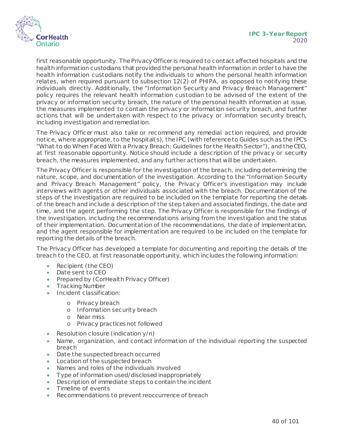

first reasonable opportunity. The Privacy Officer is required to contact affected hospitals and the health information custodians that provided the personal health information in order to have the health information custodians notify the individuals to whom the personal health information relates, when required pursuant to subsection 12(2) of PHIPA, as opposed to notifying these individuals directly. Additionally, the "Information Security and Privacy Breach Management" policy requires the relevant health information custodian to be advised of the extent of the privacy or information security breach, the nature of the personal health information at issue, the measures implemented to contain the privacy or information security breach, and further actions that will be undertaken with respect to the privacy or information security breach, including investigation and remediation.

The Privacy Officer must also take or recommend any remedial action required, and provide notice, where appropriate, to the hospital(s), the IPC (with reference to Guides such as the IPC's "What to do When Faced With a Privacy Breach: Guidelines for the Health Sector"), and the CEO, at first reasonable opportunity. Notice should include a description of the privacy or security breach, the measures implemented, and any further actions that will be undertaken.

The Privacy Officer is responsible for the investigation of the breach, including determining the nature, scope, and documentation of the investigation. According to the "Information Security and Privacy Breach Management" policy, the Privacy Officer's investigation may include interviews with agents or other individuals associated with the breach. Documentation of the steps of the investigation are required to be included on the template for reporting the details of the breach and include a description of the step taken and associated findings, the date and time, and the agent performing the step. The Privacy Officer is responsible for the findings of the investigation, including the recommendations arising from the investigation and the status of their implementation. Documentation of the recommendations, the date of implementation, and the agent responsible for implementation are required to be included on the template for reporting the details of the breach.

The Privacy Officer has developed a template for documenting and reporting the details of the breach to the CEO, at first reasonable opportunity, which includes the following information:

- Recipient (the CEO)
- Date sent to CEO
- Prepared by (CorHealth Privacy Officer)
- Tracking Number
- Incident classification:
	- o Privacy breach
	- o Information security breach
	- o Near miss
	- o Privacy practices not followed
- Resolution closure (indication y/n)
- Name, organization, and contact information of the individual reporting the suspected breach
- Date the suspected breach occurred
- Location of the suspected breach
- Names and roles of the individuals involved
- Type of information used/disclosed inappropriately
- Description of immediate steps to contain the incident
- Timeline of events
- Recommendations to prevent reoccurrence of breach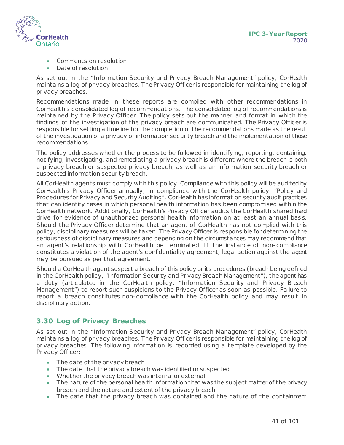

- Comments on resolution
- Date of resolution

As set out in the "Information Security and Privacy Breach Management" policy, CorHealth maintains a log of privacy breaches. The Privacy Officer is responsible for maintaining the log of privacy breaches.

Recommendations made in these reports are compiled with other recommendations in CorHealth's consolidated log of recommendations. The consolidated log of recommendations is maintained by the Privacy Officer. The policy sets out the manner and format in which the findings of the investigation of the privacy breach are communicated. The Privacy Officer is responsible for setting a timeline for the completion of the recommendations made as the result of the investigation of a privacy or information security breach and the implementation of those recommendations.

The policy addresses whether the process to be followed in identifying, reporting, containing, notifying, investigating, and remediating a privacy breach is different where the breach is both a privacy breach or suspected privacy breach, as well as an information security breach or suspected information security breach.

All CorHealth agents must comply with this policy. Compliance with this policy will be audited by CorHealth's Privacy Officer annually, in compliance with the CorHealth policy, "Policy and Procedures for Privacy and Security Auditing". CorHealth has information security audit practices that can identify cases in which personal health information has been compromised within the CorHealth network. Additionally, CorHealth's Privacy Officer audits the CorHealth shared hard drive for evidence of unauthorized personal health information on at least an annual basis. Should the Privacy Officer determine that an agent of CorHealth has not complied with this policy, disciplinary measures will be taken. The Privacy Officer is responsible for determining the seriousness of disciplinary measures and depending on the circumstances may recommend that an agent's relationship with CorHealth be terminated. If the instance of non-compliance constitutes a violation of the agent's confidentiality agreement, legal action against the agent may be pursued as per that agreement.

Should a CorHealth agent suspect a breach of this policy or its procedures (breach being defined in the CorHealth policy, "Information Security and Privacy Breach Management"), the agent has a duty (articulated in the CorHealth policy, "Information Security and Privacy Breach Management") to report such suspicions to the Privacy Officer as soon as possible. Failure to report a breach constitutes non-compliance with the CorHealth policy and may result in disciplinary action.

## **3.30 Log of Privacy Breaches**

As set out in the "Information Security and Privacy Breach Management" policy, CorHealth maintains a log of privacy breaches. The Privacy Officer is responsible for maintaining the log of privacy breaches. The following information is recorded using a template developed by the Privacy Officer:

- The date of the privacy breach
- The date that the privacy breach was identified or suspected
- Whether the privacy breach was internal or external
- The nature of the personal health information that was the subject matter of the privacy breach and the nature and extent of the privacy breach
- The date that the privacy breach was contained and the nature of the containment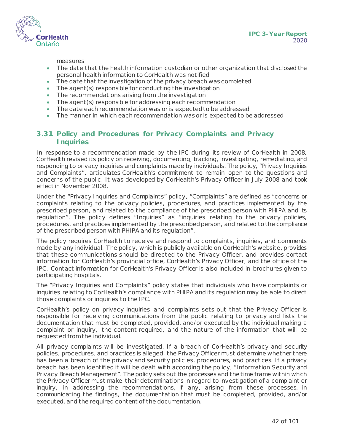

**IPC 3-Year Report** 2020

measures

- The date that the health information custodian or other organization that disclosed the personal health information to CorHealth was notified
- The date that the investigation of the privacy breach was completed
- The agent(s) responsible for conducting the investigation
- The recommendations arising from the investigation
- The agent (s) responsible for addressing each recommendation
- The date each recommendation was or is expected to be addressed
- The manner in which each recommendation was or is expected to be addressed

#### **3.31 Policy and Procedures for Privacy Complaints and Privacy Inquiries**

In response to a recommendation made by the IPC during its review of CorHealth in 2008, CorHealth revised its policy on receiving, documenting, tracking, investigating, remediating, and responding to privacy inquiries and complaints made by individuals. The policy, "Privacy Inquiries and Complaints", articulates CorHealth's commitment to remain open to the questions and concerns of the public . It was developed by CorHealth's Privacy Officer in July 2008 and took effect in November 2008.

Under the "Privacy Inquiries and Complaints" policy, "Complaints" are defined as "concerns or complaints relating to the privacy policies, procedures, and practices implemented by the prescribed person, and related to the compliance of the prescribed person with PHIPA and its regulation". The policy defines "Inquiries" as "inquiries relating to the privacy policies, procedures, and practices implemented by the prescribed person, and related to the compliance of the prescribed person with PHIPA and its regulation".

The policy requires CorHealth to receive and respond to complaints, inquiries, and comments made by any individual. The policy, which is publicly available on CorHealth's website, provides that these communications should be directed to the Privacy Officer, and provides contact information for CorHealth's provincial office, CorHealth's Privacy Officer, and the office of the IPC. Contact information for CorHealth's Privacy Officer is also included in brochures given to participating hospitals.

The "Privacy Inquiries and Complaints" policy states that individuals who have complaints or inquiries relating to CorHealth's compliance with PHIPA and its regulation may be able to direct those complaints or inquiries to the IPC.

CorHealth's policy on privacy inquiries and complaints sets out that the Privacy Officer is responsible for receiving communications from the public relating to privacy and lists the documentation that must be completed, provided, and/or executed by the individual making a complaint or inquiry, the content required, and the nature of the information that will be requested from the individual.

All privacy complaints will be investigated. If a breach of CorHealth's privacy and security policies, procedures, and practices is alleged, the Privacy Officer must determine whether there has been a breach of the privacy and security policies, procedures, and practices. If a privacy breach has been identified it will be dealt with according the policy, "Information Security and Privacy Breach Management". The policy sets out the processes and the time frame within which the Privacy Officer must make their determinations in regard to investigation of a complaint or inquiry, in addressing the recommendations, if any, arising from these processes, in communicating the findings, the documentation that must be completed, provided, and/or executed, and the required content of the documentation.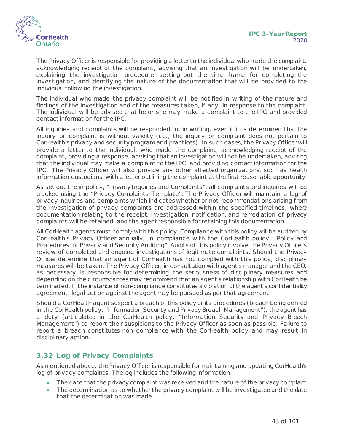

The Privacy Officer is responsible for providing a letter to the individual who made the complaint, acknowledging receipt of the complaint, advising that an investigation will be undertaken, explaining the investigation procedure, setting out the time frame for completing the investigation, and identifying the nature of the documentation that will be provided to the individual following the investigation.

The individual who made the privacy complaint will be notified in writing of the nature and findings of the investigation and of the measures taken, if any, in response to the complaint. The individual will be advised that he or she may make a complaint to the IPC and provided contact information for the IPC.

All inquiries and complaints will be responded to, in writing, even if it is determined that the inquiry or complaint is without validity (i.e., the inquiry or complaint does not pertain to CorHealth's privacy and security program and practices). In such cases, the Privacy Officer will provide a letter to the individual, who made the complaint, acknowledging receipt of the complaint, providing a response, advising that an investigation will not be undertaken, advising that the individual may make a complaint to the IPC, and providing contact information for the IPC. The Privacy Officer will also provide any other affected organizations, such as health information custodians, with a letter outlining the complaint at the first reasonable opportunity.

As set out the in policy, "Privacy Inquiries and Complaints", all complaints and inquiries will be tracked using the "Privacy Complaints Template". The Privacy Officer will maintain a log of privacy inquiries and complaints which indicates whether or not recommendations arising from the investigation of privacy complaints are addressed within the specified timelines, where documentation relating to the receipt, investigation, notification, and remediation of privacy complaints will be retained, and the agent responsible for retaining this documentation.

All CorHealth agents must comply with this policy. Compliance with this policy will be audited by CorHealth's Privacy Officer annually, in compliance with the CorHealth policy, "Policy and Procedures for Privacy and Security Auditing". Audits of this policy involve the Privacy Officer's review of completed and ongoing investigations of legitimate complaints. Should the Privacy Officer determine that an agent of CorHealth has not complied with this policy, disciplinary measures will be taken. The Privacy Officer, in consultation with agent's manager and the CEO, as necessary, is responsible for determining the seriousness of disciplinary measures and depending on the circumstances may recommend that an agent's relationship with CorHealth be terminated. If the instance of non-compliance constitutes a violation of the agent's confidentiality agreement, legal action against the agent may be pursued as per that agreement.

Should a CorHealth agent suspect a breach of this policy or its procedures (breach being defined in the CorHealth policy, "Information Security and Privacy Breach Management"), the agent has a duty (articulated in the CorHealth policy, "Information Security and Privacy Breach Management") to report their suspicions to the Privacy Officer as soon as possible. Failure to report a breach constitutes non-compliance with the CorHealth policy and may result in disciplinary action.

## **3.32 Log of Privacy Complaints**

As mentioned above, the Privacy Officer is responsible for maintaining and updating CorHealth's log of privacy complaints. The log includes the following information:

- The date that the privacy complaint was received and the nature of the privacy complaint
- The determination as to whether the privacy complaint will be investigated and the date that the determination was made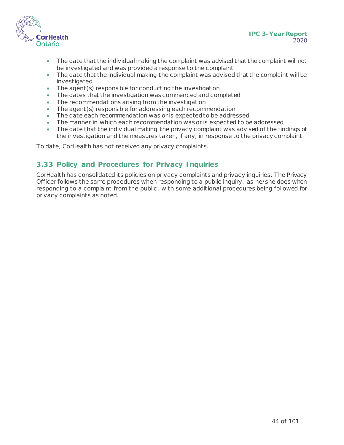

**IPC 3-Year Report** 2020

- The date that the individual making the complaint was advised that the complaint will not be investigated and was provided a response to the complaint
- The date that the individual making the complaint was advised that the complaint will be investigated
- The agent (s) responsible for conducting the investigation
- The dates that the investigation was commenced and completed
- The recommendations arising from the investigation
- The agent (s) responsible for addressing each recommendation
- The date each recommendation was or is expected to be addressed
- The manner in which each recommendation was or is expected to be addressed
- The date that the individual making the privacy complaint was advised of the findings of the investigation and the measures taken, if any, in response to the privacy complaint

To date, CorHealth has not received any privacy complaints.

#### **3.33 Policy and Procedures for Privacy Inquiries**

CorHealth has consolidated its policies on privacy complaints and privacy inquiries. The Privacy Officer follows the same procedures when responding to a public inquiry, as he/she does when responding to a complaint from the public , with some additional procedures being followed for privacy complaints as noted.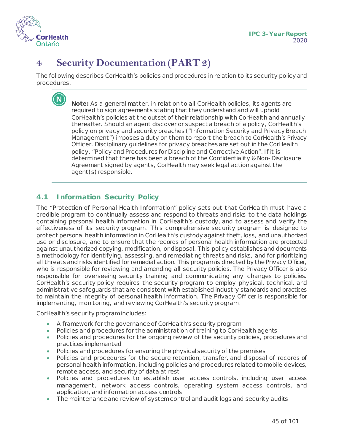

# **4 Security Documentation (PART 2)**

The following describes CorHealth's policies and procedures in relation to its security policy and procedures.

> **Note:** As a general matter, in relation to all CorHealth policies, its agents are required to sign agreements stating that they understand and will uphold CorHealth's policies at the outset of their relationship with CorHealth and annually thereafter. Should an agent discover or suspect a breach of a policy, CorHealth's policy on privacy and security breaches ("Information Security and Privacy Breach Management") imposes a duty on them to report the breach to CorHealth's Privacy Officer. Disciplinary guidelines for privacy breaches are set out in the CorHealth policy, "Policy and Procedures for Discipline and Corrective Action". If it is determined that there has been a breach of the Confidentiality & Non-Disclosure Agreement signed by agents, CorHealth may seek legal action against the agent(s) responsible.

## **4.1 Information Security Policy**

The "Protection of Personal Health Information" policy sets out that CorHealth must have a credible program to continually assess and respond to threats and risks to the data holdings containing personal health information in CorHealth's custody, and to assess and verify the effectiveness of its security program. This comprehensive security program is designed to protect personal health information in CorHealth's custody against theft, loss, and unauthorized use or disclosure, and to ensure that the records of personal health information are protected against unauthorized copying, modification, or disposal. This policy establishes and documents a methodology for identifying, assessing, and remediating threats and risks, and for prioritizing all threats and risks identified for remedial action. This program is directed by the Privacy Officer, who is responsible for reviewing and amending all security policies. The Privacy Officer is also responsible for overseeing security training and communicating any changes to policies. CorHealth's security policy requires the security program to employ physical, technical, and administrative safeguards that are consistent with established industry standards and practices to maintain the integrity of personal health information. The Privacy Officer is responsible for implementing, monitoring, and reviewing CorHealth's security program.

CorHealth's security program includes:

- A framework for the governance of CorHealth's security program
- Policies and procedures for the administration of training to CorHealth agents
- Policies and procedures for the ongoing review of the security policies, procedures and practices implemented
- Policies and procedures for ensuring the physical security of the premises
- Policies and procedures for the secure retention, transfer, and disposal of records of personal health information, including policies and procedures related to mobile devices, remote access, and security of data at rest
- Policies and procedures to establish user access controls, including user access management, network access controls, operating system access controls, and application, and information access controls
- The maintenance and review of system control and audit logs and security audits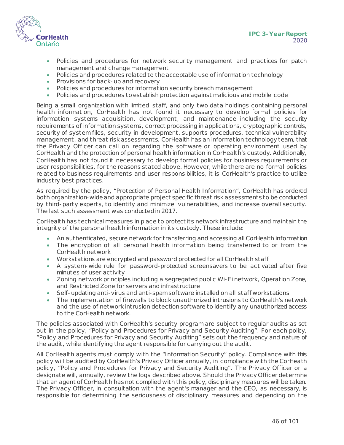

- Policies and procedures for network security management and practices for patch management and change management
- Policies and procedures related to the acceptable use of information technology
- Provisions for back-up and recovery
- Policies and procedures for information security breach management
- Policies and procedures to establish protection against malicious and mobile code

Being a small organization with limited staff, and only two data holdings containing personal health information, CorHealth has not found it necessary to develop formal policies for information systems acquisition, development, and maintenance including the security requirements of information systems, correct processing in applications, cryptographic controls, security of system files, security in development, supports procedures, technical vulnerability management, and threat risk assessments. CorHealth has an information technology team, that the Privacy Officer can call on regarding the software or operating environment used by CorHealth and the protection of personal health information in CorHealth's custody. Additionally, CorHealth has not found it necessary to develop formal policies for business requirements or user responsibilities, for the reasons stated above. However, while there are no formal policies related to business requirements and user responsibilities, it is CorHealth's practice to utilize industry best practices.

As required by the policy, "Protection of Personal Health Information", CorHealth has ordered both organization-wide and appropriate project specific threat risk assessments to be conducted by third-party experts, to identify and minimize vulnerabilities, and increase overall security. The last such assessment was conducted in 2017.

CorHealth has technical measures in place to protect its network infrastructure and maintain the integrity of the personal health information in its custody. These include:

- An authenticated, secure network for transferring and accessing all CorHealth information
- The encryption of all personal health information being transferred to or from the CorHealth network
- Workstations are encrypted and password protected for all CorHealth staff
- A system-wide rule for password-protected screensavers to be activated after five minutes of user activity
- Zoning network principles including a segregated public Wi-Fi network, Operation Zone, and Restricted Zone for servers and infrastructure
- Self-updating anti-virus and anti-spam software installed on all staff workstations
- The implementation of firewalls to block unauthorized intrusions to CorHealth's network and the use of network intrusion detection software to identify any unauthorized access to the CorHealth network.

The policies associated with CorHealth's security program are subject to regular audits as set out in the policy, "Policy and Procedures for Privacy and Security Auditing". For each policy, "Policy and Procedures for Privacy and Security Auditing" sets out the frequency and nature of the audit, while identifying the agent responsible for carrying out the audit.

All CorHealth agents must comply with the "Information Security" policy. Compliance with this policy will be audited by CorHealth's Privacy Officer annually, in compliance with the CorHealth policy, "Policy and Procedures for Privacy and Security Auditing". The Privacy Officer or a designate will, annually, review the logs described above. Should the Privacy Officer determine that an agent of CorHealth has not complied with this policy, disciplinary measures will be taken. The Privacy Officer, in consultation with the agent's manager and the CEO, as necessary, is responsible for determining the seriousness of disciplinary measures and depending on the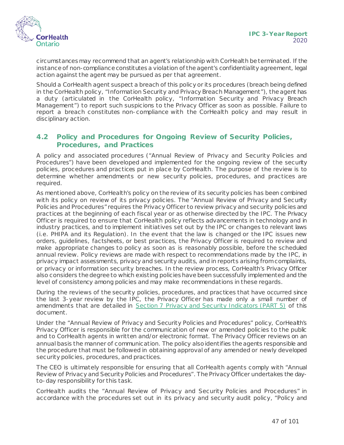

circumstances may recommend that an agent's relationship with CorHealth be terminated. If the instance of non-compliance constitutes a violation of the agent's confidentiality agreement, legal action against the agent may be pursued as per that agreement.

Should a CorHealth agent suspect a breach of this policy or its procedures (breach being defined in the CorHealth policy, "Information Security and Privacy Breach Management"), the agent has a duty (articulated in the CorHealth policy, "Information Security and Privacy Breach Management") to report such suspicions to the Privacy Officer as soon as possible. Failure to report a breach constitutes non-compliance with the CorHealth policy and may result in disciplinary action.

#### **4.2 Policy and Procedures for Ongoing Review of Security Policies, Procedures, and Practices**

A policy and associated procedures ("Annual Review of Privacy and Security Policies and Procedures") have been developed and implemented for the ongoing review of the security policies, procedures and practices put in place by CorHealth. The purpose of the review is to determine whether amendments or new security policies, procedures, and practices are required.

As mentioned above, CorHealth's policy on the review of its security policies has been combined with its policy on review of its privacy policies. The "Annual Review of Privacy and Security Policies and Procedures" requires the Privacy Officer to review privacy and security policies and practices at the beginning of each fiscal year or as otherwise directed by the IPC. The Privacy Officer is required to ensure that CorHealth policy reflects advancements in technology and in industry practices, and to implement initiatives set out by the IPC or changes to relevant laws (i.e. PHIPA and its Regulation). In the event that the law is changed or the IPC issues new orders, guidelines, factsheets, or best practices, the Privacy Officer is required to review and make appropriate changes to policy as soon as is reasonably possible, before the scheduled annual review. Policy reviews are made with respect to recommendations made by the IPC, in privacy impact assessments, privacy and security audits, and in reports arising from complaints, or privacy or information security breaches. In the review process, CorHealth's Privacy Officer also considers the degree to which existing policies have been successfully implemented and the level of consistency among policies and may make recommendations in these regards.

During the reviews of the security policies, procedures, and practices that have occurred since the last 3-year review by the IPC, the Privacy Officer has made only a small number of amendments that are detailed in [Section 7 Privacy and Security Indicators \(PART 5\)](#page-82-0) of this document.

Under the "Annual Review of Privacy and Security Policies and Procedures" policy, CorHealth's Privacy Officer is responsible for the communication of new or amended policies to the public and to CorHealth agents in written and/or electronic format. The Privacy Officer reviews on an annual basis the manner of communication. The policy also identifies the agents responsible and the procedure that must be followed in obtaining approval of any amended or newly developed security policies, procedures, and practices.

The CEO is ultimately responsible for ensuring that all CorHealth agents comply with "Annual Review of Privacy and Security Policies and Procedures". The Privacy Officer undertakes the dayto-day responsibility for this task.

CorHealth audits the "Annual Review of Privacy and Security Policies and Procedures" in accordance with the procedures set out in its privacy and security audit policy, "Policy and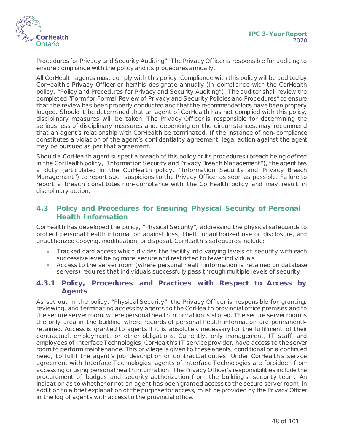

Procedures for Privacy and Security Auditing". The Privacy Officer is responsible for auditing to ensure compliance with the policy and its procedures annually.

All CorHealth agents must comply with this policy. Compliance with this policy will be audited by CorHealth's Privacy Officer or her/his designate annually (in compliance with the CorHealth policy, "Policy and Procedures for Privacy and Security Auditing"). The auditor shall review the completed "Form for Formal Review of Privacy and Security Policies and Procedures" to ensure that the review has been properly conducted and that the recommendations have been properly logged. Should it be determined that an agent of CorHealth has not complied with this policy, disciplinary measures will be taken. The Privacy Officer is responsible for determining the seriousness of disciplinary measures and, depending on the circumstances, may recommend that an agent's relationship with CorHealth be terminated. If the instance of non-compliance constitutes a violation of the agent's confidentiality agreement, legal action against the agent may be pursued as per that agreement.

Should a CorHealth agent suspect a breach of this policy or its procedures (breach being defined in the CorHealth policy, "Information Security and Privacy Breach Management"), the agent has a duty (articulated in the CorHealth policy, "Information Security and Privacy Breach Management") to report such suspicions to the Privacy Officer as soon as possible. Failure to report a breach constitutes non-compliance with the CorHealth policy and may result in disciplinary action.

## **4.3 Policy and Procedures for Ensuring Physical Security of Personal Health Information**

CorHealth has developed the policy, "Physical Security", addressing the physical safeguards to protect personal health information against loss, theft, unauthorized use or disclosure, and unauthorized copying, modification, or disposal. CorHealth's safeguards include:

- Tracked card access which divides the facility into varying levels of security with each successive level being more secure and restricted to fewer individuals
- Access to the server room (where personal health information is retained on database servers) requires that individuals successfully pass through multiple levels of security

#### **4.3.1 Policy, Procedures and Practices with Respect to Access by Agents**

As set out in the policy, "Physical Security", the Privacy Officer is responsible for granting, reviewing, and terminating access by agents to the CorHealth provincial office premises and to the secure server room, where personal health information is stored. The secure server room is the only area in the building where records of personal health information are permanently retained. Access is granted to agents if it is absolutely necessary for the fulfillment of their contractual, employment, or other obligations. Currently, only management, IT staff, and employees of Interface Technologies, CorHealth's IT service provider, have access to the server room to perform maintenance. This privilege is given to these agents, conditional on a continued need, to fulfil the agent's job description or contractual duties. Under CorHealth's service agreement with Interface Technologies, agents of Interface Technologies are forbidden from accessing or using personal health information. The Privacy Officer's responsibilities include the procurement of badges and security authorization from the building's security team. An indication as to whether or not an agent has been granted access to the secure server room, in addition to a brief explanation of the purpose for access, must be provided by the Privacy Officer in the log of agents with access to the provincial office.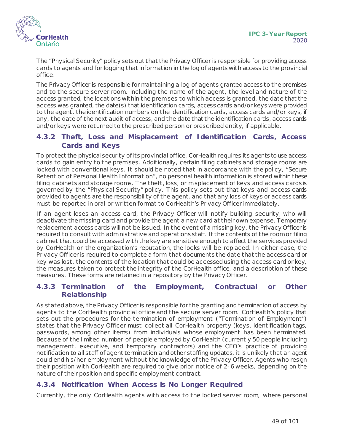

The "Physical Security" policy sets out that the Privacy Officer is responsible for providing access cards to agents and for logging that information in the log of agents with access to the provincial office.

The Privacy Officer is responsible for maintaining a log of agents granted access to the premises and to the secure server room, including the name of the agent, the level and nature of the access granted, the locations within the premises to which access is granted, the date that the access was granted, the date(s) that identification cards, access cards and/or keys were provided to the agent, the identification numbers on the identification cards, access cards and/or keys, if any, the date of the next audit of access, and the date that the identification cards, access cards and/or keys were returned to the prescribed person or prescribed entity, if applicable.

#### **4.3.2 Theft, Loss and Misplacement of Identification Cards, Access Cards and Keys**

To protect the physical security of its provincial office, CorHealth requires its agents to use access cards to gain entry to the premises. Additionally, certain filing cabinets and storage rooms are locked with conventional keys. It should be noted that in accordance with the policy, "Secure Retention of Personal Health Information", no personal health information is stored within these filing cabinets and storage rooms. The theft, loss, or misplacement of keys and access cards is governed by the "Physical Security" policy. This policy sets out that keys and access cards provided to agents are the responsibility of the agent, and that any loss of keys or access cards must be reported in oral or written format to CorHealth's Privacy Officer immediately.

If an agent loses an access card, the Privacy Officer will notify building security, who will deactivate the missing card and provide the agent a new card at their own expense. Temporary replacement access cards will not be issued. In the event of a missing key, the Privacy Officer is required to consult with administrative and operations staff. If the contents of the room or filing cabinet that could be accessed with the key are sensitive enough to affect the services provided by CorHealth or the organization's reputation, the locks will be replaced. In either case, the Privacy Officer is required to complete a form that documents the date that the access card or key was lost, the contents of the location that could be accessed using the access card or key, the measures taken to protect the integrity of the CorHealth office, and a description of these measures. These forms are retained in a repository by the Privacy Officer.

#### **4.3.3 Termination of the Employment, Contractual or Other Relationship**

As stated above, the Privacy Officer is responsible for the granting and termination of access by agents to the CorHealth provincial office and the secure server room. CorHealth's policy that sets out the procedures for the termination of employment ("Termination of Employment") states that the Privacy Officer must collect all CorHealth property (keys, identification tags, passwords, among other items) from individuals whose employment has been terminated. Because of the limited number of people employed by CorHealth (currently 50 people including management, executive, and temporary contractors) and the CEO's practice of providing notification to all staff of agent termination and other staffing updates, it is unlikely that an agent could end his/her employment without the knowledge of the Privacy Officer. Agents who resign their position with CorHealth are required to give prior notice of 2-6 weeks, depending on the nature of their position and specific employment contract.

## **4.3.4 Notification When Access is No Longer Required**

Currently, the only CorHealth agents with access to the locked server room, where personal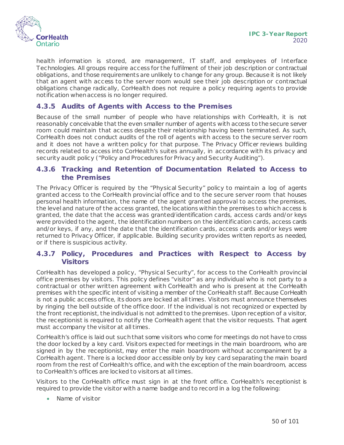

health information is stored, are management, IT staff, and employees of Interface Technologies. All groups require access for the fulfilment of their job description or contractual obligations, and those requirements are unlikely to change for any group. Because it is not likely that an agent with access to the server room would see their job description or contractual obligations change radically, CorHealth does not require a policy requiring agents to provide notification when access is no longer required.

#### **4.3.5 Audits of Agents with Access to the Premises**

Because of the small number of people who have relationships with CorHealth, it is not reasonably conceivable that the even smaller number of agents with access to the secure server room could maintain that access despite their relationship having been terminated. As such, CorHealth does not conduct audits of the roll of agents with access to the secure server room and it does not have a written policy for that purpose. The Privacy Officer reviews building records related to access into CorHealth's suites annually, in accordance with its privacy and security audit policy ("Policy and Procedures for Privacy and Security Auditing").

#### **4.3.6 Tracking and Retention of Documentation Related to Access to the Premises**

The Privacy Officer is required by the "Physical Security" policy to maintain a log of agents granted access to the CorHealth provincial office and to the secure server room that houses personal health information, the name of the agent granted approval to access the premises, the level and nature of the access granted, the locations within the premises to which access is granted, the date that the access was granted/identification cards, access cards and/or keys were provided to the agent, the identification numbers on the identification cards, access cards and/or keys, if any, and the date that the identification cards, access cards and/or keys were returned to Privacy Officer, if applicable. Building security provides written reports as needed, or if there is suspicious activity.

#### **4.3.7 Policy, Procedures and Practices with Respect to Access by Visitors**

CorHealth has developed a policy, "Physical Security", for access to the CorHealth provincial office premises by visitors. This policy defines "visitor" as any individual who is not party to a contractual or other written agreement with CorHealth and who is present at the CorHealth premises with the specific intent of visiting a member of the CorHealth staff. Because CorHealth is not a public access office, its doors are locked at all times. Visitors must announce themselves by ringing the bell outside of the office door. If the individual is not recognized or expected by the front receptionist, the individual is not admitted to the premises. Upon reception of a visitor, the receptionist is required to notify the CorHealth agent that the visitor requests. That agent must accompany the visitor at all times.

CorHealth's office is laid out such that some visitors who come for meetings do not have to cross the door locked by a key card. Visitors expected for meetings in the main boardroom, who are signed in by the receptionist, may enter the main boardroom without accompaniment by a CorHealth agent. There is a locked door accessible only by key card separating the main board room from the rest of CorHealth's office, and with the exception of the main boardroom, access to CorHealth's offices are locked to visitors at all times.

Visitors to the CorHealth office must sign in at the front office. CorHealth's receptionist is required to provide the visitor with a name badge and to record in a log the following:

• Name of visitor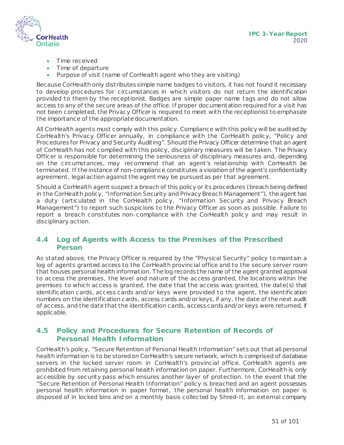

- Time received
- Time of departure
- Purpose of visit (name of CorHealth agent who they are visiting)

Because CorHealth only distributes simple name badges to visitors, it has not found it necessary to develop procedures for circumstances in which visitors do not return the identification provided to them by the receptionist. Badges are simple paper name tags and do not allow access to any of the secure areas of the office. If proper documentation required for a visit has not been completed, the Privacy Officer is required to meet with the receptionist to emphasize the importance of the appropriate documentation.

All CorHealth agents must comply with this policy. Compliance with this policy will be audited by CorHealth's Privacy Officer annually, in compliance with the CorHealth policy, "Policy and Procedures for Privacy and Security Auditing". Should the Privacy Officer determine that an agent of CorHealth has not complied with this policy, disciplinary measures will be taken. The Privacy Officer is responsible for determining the seriousness of disciplinary measures and, depending on the circumstances, may recommend that an agent's relationship with CorHealth be terminated. If the instance of non-compliance constitutes a violation of the agent's confidentiality agreement, legal action against the agent may be pursued as per that agreement.

Should a CorHealth agent suspect a breach of this policy or its procedures (breach being defined in the CorHealth policy, "Information Security and Privacy Breach Management"), the agent has a duty (articulated in the CorHealth policy, "Information Security and Privacy Breach Management") to report such suspicions to the Privacy Officer as soon as possible. Failure to report a breach constitutes non-compliance with the CorHealth policy and may result in disciplinary action.

## **4.4 Log of Agents with Access to the Premises of the Prescribed Person**

As stated above, the Privacy Officer is required by the "Physical Security" policy to maintain a log of agents granted access to the CorHealth provincial office and to the secure server room that houses personal health information. The log records the name of the agent granted approval to access the premises, the level and nature of the access granted, the locations within the premises to which access is granted, the date that the access was granted, the date(s) that identification cards, access cards and/or keys were provided to the agent, the identification numbers on the identification cards, access cards and/or keys, if any, the date of the next audit of access, and the date that the identification cards, access cards and/or keys were returned, if applicable.

#### **4.5 Policy and Procedures for Secure Retention of Records of Personal Health Information**

CorHealth's policy, "Secure Retention of Personal Health Information" sets out that all personal health information is to be stored on CorHealth's secure network, which is comprised of database servers in the locked server room in CorHealth's provincial office. CorHealth agents are prohibited from retaining personal health information on paper. Furthermore, CorHealth is only accessible by security pass which ensures another layer of protection. In the event that the "Secure Retention of Personal Health Information" policy is breached and an agent possesses personal health information in paper format, the personal health information on paper is disposed of in locked bins and on a monthly basis collected by Shred-It, an external company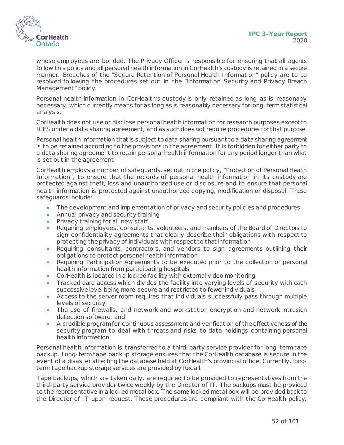

whose employees are bonded. The Privacy Officer is responsible for ensuring that all agents follow this policy and all personal health information in CorHealth's custody is retained in a secure manner. Breaches of the "Secure Retention of Personal Health Information" policy are to be resolved following the procedures set out in the "Information Security and Privacy Breach Management" policy.

Personal health information in CorHealth's custody is only retained as long as is reasonably necessary, which currently means for as long as is reasonably necessary for long-term statistical analysis.

CorHealth does not use or disclose personal health information for research purposes except to ICES under a data sharing agreement, and as such does not require procedures for that purpose.

Personal health information that is subject to data sharing pursuant to a data sharing agreement is to be retained according to the provisions in the agreement. It is forbidden for either party to a data sharing agreement to retain personal health information for any period longer than what is set out in the agreement.

CorHealth employs a number of safeguards, set out in the policy, "Protection of Personal Health Information", to ensure that the records of personal health information in its custody are protected against theft, loss and unauthorized use or disclosure and to ensure that personal health information is protected against unauthorized copying, modification or disposal. These safeguards include:

- The development and implementation of privacy and security policies and procedures
- Annual privacy and security training
- Privacy training for all new staff
- Requiring employees, consultants, volunteers, and members of the Board of Directors to sign confidentiality agreements that clearly describe their obligations with respect to protecting the privacy of individuals with respect to that information
- Requiring consultants, contractors, and vendors to sign agreements outlining their obligations to protect personal health information
- Requiring Participation Agreements to be executed prior to the collection of personal health information from participating hospitals
- CorHealth is located in a locked facility with external video monitoring
- Tracked card access which divides the facility into varying levels of security with each successive level being more secure and restricted to fewer individuals
- Access to the server room requires that individuals successfully pass through multiple levels of security
- The use of firewalls, and network and workstation encryption and network intrusion detection software; and
- A credible program for continuous assessment and verification of the effectiveness of the security program to deal with threats and risks to data holdings containing personal health information

Personal health information is transferred to a third-party service provider for long-term tape backup. Long-term tape backup storage ensures that the CorHealth database is secure in the event of a disaster affecting the database held at CorHealth's provincial office. Currently, longterm tape backup storage services are provided by Recall.

Tape backups, which are taken daily, are required to be provided to representatives from the third-party service provider twice weekly by the Director of IT. The backups must be provided to the representative in a locked metal box. The same locked metal box will be provided back to the Director of IT upon request. These procedures are compliant with the CorHealth policy,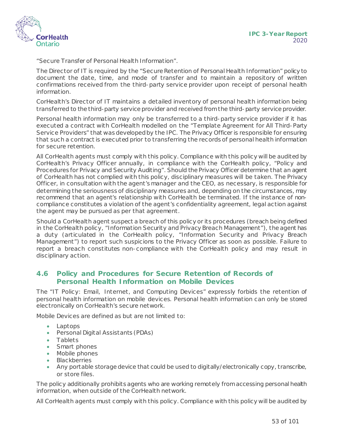

"Secure Transfer of Personal Health Information".

The Director of IT is required by the "Secure Retention of Personal Health Information" policy to document the date, time, and mode of transfer and to maintain a repository of written confirmations received from the third-party service provider upon receipt of personal health information.

CorHealth's Director of IT maintains a detailed inventory of personal health information being transferred to the third-party service provider and received from the third-party service provider.

Personal health information may only be transferred to a third-party service provider if it has executed a contract with CorHealth modelled on the "Template Agreement for All Third-Party Service Providers" that was developed by the IPC. The Privacy Officer is responsible for ensuring that such a contract is executed prior to transferring the records of personal health information for secure retention.

All CorHealth agents must comply with this policy. Compliance with this policy will be audited by CorHealth's Privacy Officer annually, in compliance with the CorHealth policy, "Policy and Procedures for Privacy and Security Auditing". Should the Privacy Officer determine that an agent of CorHealth has not complied with this policy, disciplinary measures will be taken. The Privacy Officer, in consultation with the agent's manager and the CEO, as necessary, is responsible for determining the seriousness of disciplinary measures and, depending on the circumstances, may recommend that an agent's relationship with CorHealth be terminated. If the instance of noncompliance constitutes a violation of the agent's confidentiality agreement, legal action against the agent may be pursued as per that agreement.

Should a CorHealth agent suspect a breach of this policy or its procedures (breach being defined in the CorHealth policy, "Information Security and Privacy Breach Management"), the agent has a duty (articulated in the CorHealth policy, "Information Security and Privacy Breach Management") to report such suspicions to the Privacy Officer as soon as possible. Failure to report a breach constitutes non-compliance with the CorHealth policy and may result in disciplinary action.

#### **4.6 Policy and Procedures for Secure Retention of Records of Personal Health Information on Mobile Devices**

The "IT Policy: Email, Internet, and Computing Devices" expressly forbids the retention of personal health information on mobile devices. Personal health information can only be stored electronically on CorHealth's secure network.

Mobile Devices are defined as but are not limited to:

- Laptops
- Personal Digital Assistants (PDAs)
- Tablets
- Smart phones
- Mobile phones
- Blackberries
- Any portable storage device that could be used to digitally/electronically copy, transcribe, or store files.

The policy additionally prohibits agents who are working remotely from accessing personal health information, when outside of the CorHealth network.

All CorHealth agents must comply with this policy. Compliance with this policy will be audited by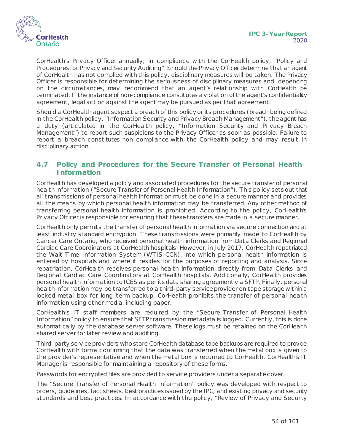

CorHealth's Privacy Officer annually, in compliance with the CorHealth policy, "Policy and Procedures for Privacy and Security Auditing". Should the Privacy Officer determine that an agent of CorHealth has not complied with this policy, disciplinary measures will be taken. The Privacy Officer is responsible for determining the seriousness of disciplinary measures and, depending on the circumstances, may recommend that an agent's relationship with CorHealth be terminated. If the instance of non-compliance constitutes a violation of the agent's confidentiality agreement, legal action against the agent may be pursued as per that agreement.

Should a CorHealth agent suspect a breach of this policy or its procedures (breach being defined in the CorHealth policy, "Information Security and Privacy Breach Management"), the agent has a duty (articulated in the CorHealth policy, "Information Security and Privacy Breach Management") to report such suspicions to the Privacy Officer as soon as possible. Failure to report a breach constitutes non-compliance with the CorHealth policy and may result in disciplinary action.

#### **4.7 Policy and Procedures for the Secure Transfer of Personal Health Information**

CorHealth has developed a policy and associated procedures for the secure transfer of personal health information ("Secure Transfer of Personal Health Information"). This policy sets out that all transmissions of personal health information must be done in a secure manner and provides all the means by which personal health information may be transferred. Any other method of transferring personal health information is prohibited. According to the policy, CorHealth's Privacy Officer is responsible for ensuring that these transfers are made in a secure manner.

CorHealth only permits the transfer of personal health information via secure connection and at least industry standard encryption. These transmissions were primarily made to CorHealth by Cancer Care Ontario, who received personal health information from Data Clerks and Regional Cardiac Care Coordinators at CorHealth hospitals. However, in July 2017, CorHealth repatriated the Wait Time Information System (WTIS-CCN), into which personal health information is entered by hospitals and where it resides for the purposes of reporting and analysis. Since repatriation, CorHealth receives personal health information directly from Data Clerks and Regional Cardiac Care Coordinators at CorHealth hospitals. Additionally, CorHealth provides personal health information to ICES as per its data sharing agreement via SFTP. Finally, personal health information may be transferred to a third-party service provider on tape storage within a locked metal box for long-term backup. CorHealth prohibits the transfer of personal health information using other media, including paper.

CorHealth's IT staff members are required by the "Secure Transfer of Personal Health Information" policy to ensure that SFTP transmission metadata is logged. Currently, this is done automatically by the database server software. These logs must be retained on the CorHealth shared server for later review and auditing.

Third-party service providers who store CorHealth database tape backups are required to provide CorHealth with forms confirming that the data was transferred when the metal box is given to the provider's representative and when the metal box is returned to CorHealth. CorHealth's IT Manager is responsible for maintaining a repository of these forms.

Passwords for encrypted files are provided to service providers under a separate cover.

The "Secure Transfer of Personal Health Information" policy was developed with respect to orders, guidelines, fact sheets, best practices issued by the IPC, and existing privacy and security standards and best practices. In accordance with the policy, "Review of Privacy and Security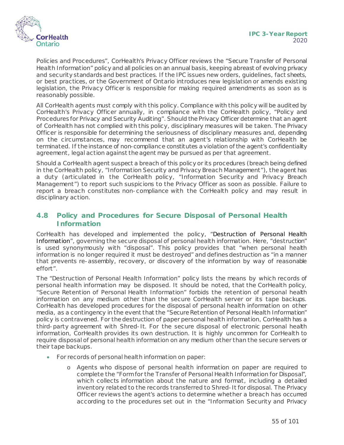

Policies and Procedures", CorHealth's Privacy Officer reviews the "Secure Transfer of Personal Health Information" policy and all policies on an annual basis, keeping abreast of evolving privacy and security standards and best practices. If the IPC issues new orders, guidelines, fact sheets, or best practices, or the Government of Ontario introduces new legislation or amends existing legislation, the Privacy Officer is responsible for making required amendments as soon as is reasonably possible.

All CorHealth agents must comply with this policy. Compliance with this policy will be audited by CorHealth's Privacy Officer annually, in compliance with the CorHealth policy, "Policy and Procedures for Privacy and Security Auditing". Should the Privacy Officer determine that an agent of CorHealth has not complied with this policy, disciplinary measures will be taken. The Privacy Officer is responsible for determining the seriousness of disciplinary measures and, depending on the circumstances, may recommend that an agent's relationship with CorHealth be terminated. If the instance of non-compliance constitutes a violation of the agent's confidentiality agreement, legal action against the agent may be pursued as per that agreement.

Should a CorHealth agent suspect a breach of this policy or its procedures (breach being defined in the CorHealth policy, "Information Security and Privacy Breach Management"), the agent has a duty (articulated in the CorHealth policy, "Information Security and Privacy Breach Management") to report such suspicions to the Privacy Officer as soon as possible. Failure to report a breach constitutes non-compliance with the CorHealth policy and may result in disciplinary action.

## **4.8 Policy and Procedures for Secure Disposal of Personal Health Information**

CorHealth has developed and implemented the policy, "Destruction of Personal Health Information", governing the secure disposal of personal health information. Here, "destruction" is used synonymously with "disposal". This policy provides that "when personal health information is no longer required it must be destroyed" and defines destruction as "in a manner that prevents re-assembly, recovery, or discovery of the information by way of reasonable effort".

The "Destruction of Personal Health Information" policy lists the means by which records of personal health information may be disposed. It should be noted, that the CorHealth policy, "Secure Retention of Personal Health Information" forbids the retention of personal health information on any medium other than the secure CorHealth server or its tape backups. CorHealth has developed procedures for the disposal of personal health information on other media, as a contingency in the event that the "Secure Retention of Personal Health Information" policy is contravened. For the destruction of paper personal health information, CorHealth has a third-party agreement with Shred-It. For the secure disposal of electronic personal health information, CorHealth provides its own destruction. It is highly uncommon for CorHealth to require disposal of personal health information on any medium other than the secure servers or their tape backups.

- For records of personal health information on paper:
	- o Agents who dispose of personal health information on paper are required to complete the "Form for the Transfer of Personal Health Information for Disposal", which collects information about the nature and format, including a detailed inventory related to the records transferred to Shred-It for disposal. The Privacy Officer reviews the agent's actions to determine whether a breach has occurred according to the procedures set out in the "Information Security and Privacy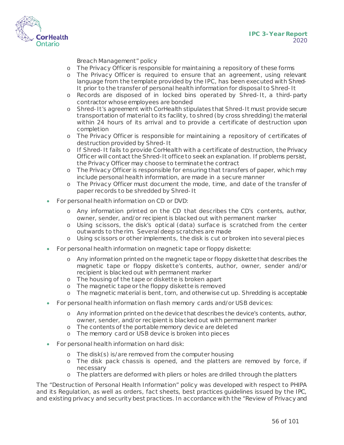

Breach Management" policy

- o The Privacy Officer is responsible for maintaining a repository of these forms
- o The Privacy Officer is required to ensure that an agreement, using relevant language from the template provided by the IPC, has been executed with Shred-It prior to the transfer of personal health information for disposal to Shred-It
- o Records are disposed of in locked bins operated by Shred-It, a third-party contractor whose employees are bonded
- o Shred-It's agreement with CorHealth stipulates that Shred-It must provide secure transportation of material to its facility, to shred (by cross shredding) the material within 24 hours of its arrival and to provide a certificate of destruction upon completion
- o The Privacy Officer is responsible for maintaining a repository of certificates of destruction provided by Shred-It
- o If Shred-It fails to provide CorHealth with a certificate of destruction, the Privacy Officer will contact the Shred-It office to seek an explanation. If problems persist, the Privacy Officer may choose to terminate the contract
- o The Privacy Officer is responsible for ensuring that transfers of paper, which may include personal health information, are made in a secure manner
- o The Privacy Officer must document the mode, time, and date of the transfer of paper records to be shredded by Shred-It
- For personal health information on CD or DVD:
	- o Any information printed on the CD that describes the CD's contents, author, owner, sender, and/or recipient is blacked out with permanent marker
	- o Using scissors, the disk's optical (data) surface is scratched from the center outwards to the rim. Several deep scratches are made
	- o Using scissors or other implements, the disk is cut or broken into several pieces
- For personal health information on magnetic tape or floppy diskette:
	- o Any information printed on the magnetic tape or floppy diskette that describes the magnetic tape or floppy diskette's contents, author, owner, sender and/or recipient is blacked out with permanent marker
	- o The housing of the tape or diskette is broken apart
	- o The magnetic tape or the floppy diskette is removed
	- o The magnetic material is bent, torn, and otherwise cut up. Shredding is acceptable
- For personal health information on flash memory cards and/or USB devices:
	- o Any information printed on the device that describes the device's contents, author, owner, sender, and/or recipient is blacked out with permanent marker
	- o The contents of the portable memory device are deleted
	- o The memory card or USB device is broken into pieces
- For personal health information on hard disk:
	- o The disk(s) is/are removed from the computer housing
	- o The disk pack chassis is opened, and the platters are removed by force, if necessary
	- o The platters are deformed with pliers or holes are drilled through the platters

The "Destruction of Personal Health Information" policy was developed with respect to PHIPA and its Regulation, as well as orders, fact sheets, best practices guidelines issued by the IPC, and existing privacy and security best practices. In accordance with the "Review of Privacy and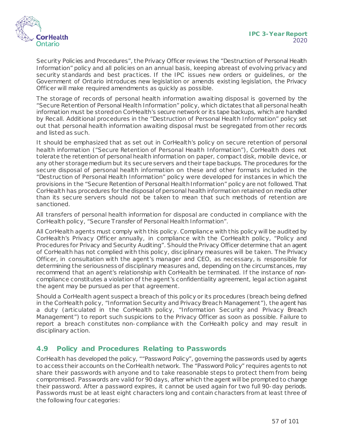

Security Policies and Procedures", the Privacy Officer reviews the "Destruction of Personal Health Information" policy and all policies on an annual basis, keeping abreast of evolving privacy and security standards and best practices. If the IPC issues new orders or guidelines, or the Government of Ontario introduces new legislation or amends existing legislation, the Privacy Officer will make required amendments as quickly as possible.

The storage of records of personal health information awaiting disposal is governed by the "Secure Retention of Personal Health Information" policy, which dictates that all personal health information must be stored on CorHealth's secure network or its tape backups, which are handled by Recall. Additional procedures in the "Destruction of Personal Health Information" policy set out that personal health information awaiting disposal must be segregated from other records and listed as such.

It should be emphasized that as set out in CorHealth's policy on secure retention of personal health information ("Secure Retention of Personal Health Information"), CorHealth does not tolerate the retention of personal health information on paper, compact disk, mobile device, or any other storage medium but its secure servers and their tape backups. The procedures for the secure disposal of personal health information on these and other formats included in the "Destruction of Personal Health Information" policy were developed for instances in which the provisions in the "Secure Retention of Personal Health Information" policy are not followed. That CorHealth has procedures for the disposal of personal health information retained on media other than its secure servers should not be taken to mean that such methods of retention are sanctioned.

All transfers of personal health information for disposal are conducted in compliance with the CorHealth policy, "Secure Transfer of Personal Health Information".

All CorHealth agents must comply with this policy. Compliance with this policy will be audited by CorHealth's Privacy Officer annually, in compliance with the CorHealth policy, "Policy and Procedures for Privacy and Security Auditing". Should the Privacy Officer determine that an agent of CorHealth has not complied with this policy, disciplinary measures will be taken. The Privacy Officer, in consultation with the agent's manager and CEO, as necessary, is responsible for determining the seriousness of disciplinary measures and, depending on the circumstances, may recommend that an agent's relationship with CorHealth be terminated. If the instance of noncompliance constitutes a violation of the agent's confidentiality agreement, legal action against the agent may be pursued as per that agreement.

Should a CorHealth agent suspect a breach of this policy or its procedures (breach being defined in the CorHealth policy, "Information Security and Privacy Breach Management"), the agent has a duty (articulated in the CorHealth policy, "Information Security and Privacy Breach Management") to report such suspicions to the Privacy Officer as soon as possible. Failure to report a breach constitutes non-compliance with the CorHealth policy and may result in disciplinary action.

#### **4.9 Policy and Procedures Relating to Passwords**

CorHealth has developed the policy, ""Password Policy", governing the passwords used by agents to access their accounts on the CorHealth network. The "Password Policy" requires agents to not share their passwords with anyone and to take reasonable steps to protect them from being compromised. Passwords are valid for 90 days, after which the agent will be prompted to change their password. After a password expires, it cannot be used again for two full 90-day periods. Passwords must be at least eight characters long and contain characters from at least three of the following four categories: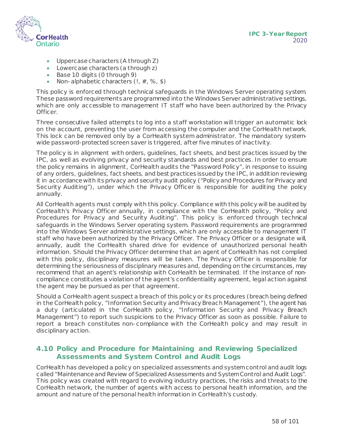

- Uppercase characters (A through Z)
- Lowercase characters (a through z)
- Base 10 digits (0 through 9)
- Non-alphabetic characters  $(1, #, %, $)$

This policy is enforced through technical safeguards in the Windows Server operating system. These password requirements are programmed into the Windows Server administrative settings, which are only accessible to management IT staff who have been authorized by the Privacy Officer.

Three consecutive failed attempts to log into a staff workstation will trigger an automatic lock on the account, preventing the user from accessing the computer and the CorHealth network. This lock can be removed only by a CorHealth system administrator. The mandatory systemwide password-protected screen saver is triggered, after five minutes of inactivity.

The policy is in alignment with orders, guidelines, fact sheets, and best practices issued by the IPC, as well as evolving privacy and security standards and best practices. In order to ensure the policy remains in alignment, CorHealth audits the "Password Policy", in response to issuing of any orders, guidelines, fact sheets, and best practices issued by the IPC, in addition reviewing it in accordance with its privacy and security audit policy ("Policy and Procedures for Privacy and Security Auditing"), under which the Privacy Officer is responsible for auditing the policy annually.

All CorHealth agents must comply with this policy. Compliance with this policy will be audited by CorHealth's Privacy Officer annually, in compliance with the CorHealth policy, "Policy and Procedures for Privacy and Security Auditing". This policy is enforced through technical safeguards in the Windows Server operating system. Password requirements are programmed into the Windows Server administrative settings, which are only accessible to management IT staff who have been authorized by the Privacy Officer. The Privacy Officer or a designate will, annually, audit the CorHealth shared drive for evidence of unauthorized personal health information. Should the Privacy Officer determine that an agent of CorHealth has not complied with this policy, disciplinary measures will be taken. The Privacy Officer is responsible for determining the seriousness of disciplinary measures and, depending on the circumstances, may recommend that an agent's relationship with CorHealth be terminated. If the instance of noncompliance constitutes a violation of the agent's confidentiality agreement, legal action against the agent may be pursued as per that agreement.

Should a CorHealth agent suspect a breach of this policy or its procedures (breach being defined in the CorHealth policy, "Information Security and Privacy Breach Management"), the agent has a duty (articulated in the CorHealth policy, "Information Security and Privacy Breach Management") to report such suspicions to the Privacy Officer as soon as possible. Failure to report a breach constitutes non-compliance with the CorHealth policy and may result in disciplinary action.

#### **4.10 Policy and Procedure for Maintaining and Reviewing Specialized Assessments and System Control and Audit Logs**

CorHealth has developed a policy on specialized assessments and system control and audit logs called "Maintenance and Review of Specialized Assessments and System Control and Audit Logs". This policy was created with regard to evolving industry practices, the risks and threats to the CorHealth network, the number of agents with access to personal health information, and the amount and nature of the personal health information in CorHealth's custody.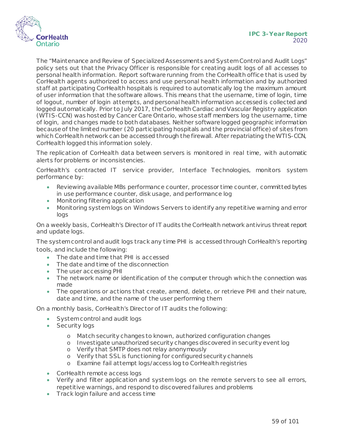

The "Maintenance and Review of Specialized Assessments and System Control and Audit Logs" policy sets out that the Privacy Officer is responsible for creating audit logs of all accesses to personal health information. Report software running from the CorHealth office that is used by CorHealth agents authorized to access and use personal health information and by authorized staff at participating CorHealth hospitals is required to automatically log the maximum amount of user information that the software allows. This means that the username, time of login, time of logout, number of login attempts, and personal health information accessed is collected and logged automatically. Prior to July 2017, the CorHealth Cardiac and Vascular Registry application (WTIS-CCN) was hosted by Cancer Care Ontario, whose staff members log the username, time of login, and changes made to both databases. Neither software logged geographic information because of the limited number (20 participating hospitals and the provincial office) of sites from which CorHealth network can be accessed through the firewall. After repatriating the WTIS-CCN, CorHealth logged this information solely.

The replication of CorHealth data between servers is monitored in real time, with automatic alerts for problems or inconsistencies.

CorHealth's contracted IT service provider, Interface Technologies, monitors system performance by:

- Reviewing available MBs performance counter, processor time counter, committed bytes in use performance counter, disk usage, and performance log
- Monitoring filtering application
- Monitoring system logs on Windows Servers to identify any repetitive warning and error logs

On a weekly basis, CorHealth's Director of IT audits the CorHealth network antivirus threat report and update logs.

The system control and audit logs track any time PHI is accessed through CorHealth's reporting tools, and include the following:

- The date and time that PHI is accessed
- The date and time of the disconnection
- The user accessing PHI
- The network name or identification of the computer through which the connection was made
- The operations or actions that create, amend, delete, or retrieve PHI and their nature, date and time, and the name of the user performing them

On a monthly basis, CorHealth's Director of IT audits the following:

- System control and audit logs
- Security logs
	- o Match security changes to known, authorized configuration changes
	- o Investigate unauthorized security changes discovered in security event log
	- o Verify that SMTP does not relay anonymously
	- o Verify that SSL is functioning for configured security channels
	- o Examine fail attempt logs/access log to CorHealth registries
- CorHealth remote access logs
- Verify and filter application and system logs on the remote servers to see all errors, repetitive warnings, and respond to discovered failures and problems
- Track login failure and access time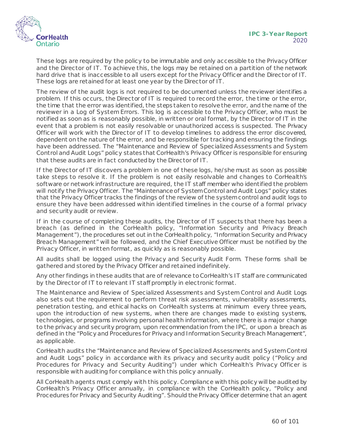

These logs are required by the policy to be immutable and only accessible to the Privacy Officer and the Director of IT. To achieve this, the logs may be retained on a partition of the network hard drive that is inaccessible to all users except for the Privacy Officer and the Director of IT. These logs are retained for at least one year by the Director of IT.

The review of the audit logs is not required to be documented unless the reviewer identifies a problem. If this occurs, the Director of IT is required to record the error, the time or the error, the time that the error was identified, the steps taken to resolve the error, and the name of the reviewer in a Log of System Errors. This log is accessible to the Privacy Officer, who must be notified as soon as is reasonably possible, in written or oral format, by the Director of IT in the event that a problem is not easily resolvable or unauthorized access is suspected. The Privacy Officer will work with the Director of IT to develop timelines to address the error discovered, dependent on the nature of the error, and be responsible for tracking and ensuring the findings have been addressed. The "Maintenance and Review of Specialized Assessments and System Control and Audit Logs" policy states that CorHealth's Privacy Officer is responsible for ensuring that these audits are in fact conducted by the Director of IT.

If the Director of IT discovers a problem in one of these logs, he/she must as soon as possible take steps to resolve it. If the problem is not easily resolvable and changes to CorHealth's software or network infrastructure are required, the IT staff member who identified the problem will notify the Privacy Officer. The "Maintenance of System Control and Audit Logs" policy states that the Privacy Officer tracks the findings of the review of the system control and audit logs to ensure they have been addressed within identified timelines in the course of a formal privacy and security audit or review.

If in the course of completing these audits, the Director of IT suspects that there has been a breach (as defined in the CorHealth policy, "Information Security and Privacy Breach Management"), the procedures set out in the CorHealth policy, "Information Security and Privacy Breach Management" will be followed, and the Chief Executive Officer must be notified by the Privacy Officer, in written format, as quickly as is reasonably possible.

All audits shall be logged using the Privacy and Security Audit Form. These forms shall be gathered and stored by the Privacy Officer and retained indefinitely.

Any other findings in these audits that are of relevance to CorHealth's IT staff are communicated by the Director of IT to relevant IT staff promptly in electronic format.

The Maintenance and Review of Specialized Assessments and System Control and Audit Logs also sets out the requirement to perform threat risk assessments, vulnerability assessments, penetration testing, and ethical hacks on CorHealth systems at minimum every three years, upon the introduction of new systems, when there are changes made to existing systems, technologies, or programs involving personal health information, where there is a major change to the privacy and security program, upon recommendation from the IPC, or upon a breach as defined in the "Policy and Procedures for Privacy and Information Security Breach Management", as applicable.

CorHealth audits the "Maintenance and Review of Specialized Assessments and System Control and Audit Logs" policy in accordance with its privacy and security audit policy ("Policy and Procedures for Privacy and Security Auditing") under which CorHealth's Privacy Officer is responsible with auditing for compliance with this policy annually.

All CorHealth agents must comply with this policy. Compliance with this policy will be audited by CorHealth's Privacy Officer annually, in compliance with the CorHealth policy, "Policy and Procedures for Privacy and Security Auditing". Should the Privacy Officer determine that an agent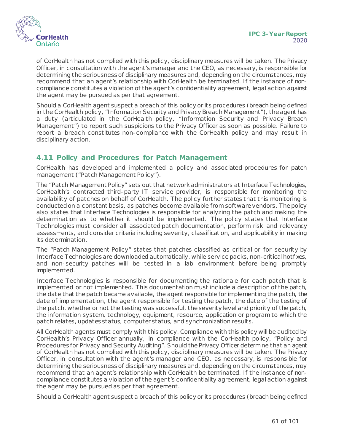

of CorHealth has not complied with this policy, disciplinary measures will be taken. The Privacy Officer, in consultation with the agent's manager and the CEO, as necessary, is responsible for determining the seriousness of disciplinary measures and, depending on the circumstances, may recommend that an agent's relationship with CorHealth be terminated. If the instance of noncompliance constitutes a violation of the agent's confidentiality agreement, legal action against the agent may be pursued as per that agreement.

Should a CorHealth agent suspect a breach of this policy or its procedures (breach being defined in the CorHealth policy, "Information Security and Privacy Breach Management"), the agent has a duty (articulated in the CorHealth policy, "Information Security and Privacy Breach Management") to report such suspicions to the Privacy Officer as soon as possible. Failure to report a breach constitutes non-compliance with the CorHealth policy and may result in disciplinary action.

#### **4.11 Policy and Procedures for Patch Management**

CorHealth has developed and implemented a policy and associated procedures for patch management ("Patch Management Policy").

The "Patch Management Policy" sets out that network administrators at Interface Technologies, CorHealth's contracted third-party IT service provider, is responsible for monitoring the availability of patches on behalf of CorHealth. The policy further states that this monitoring is conducted on a constant basis, as patches become available from software vendors. The policy also states that Interface Technologies is responsible for analyzing the patch and making the determination as to whether it should be implemented. The policy states that Interface Technologies must consider all associated patch documentation, perform risk and relevancy assessments, and consider criteria including severity, classification, and applicability in making its determination.

The "Patch Management Policy" states that patches classified as critical or for security by Interface Technologies are downloaded automatically, while service packs, non-critical hotfixes, and non-security patches will be tested in a lab environment before being promptly implemented.

Interface Technologies is responsible for documenting the rationale for each patch that is implemented or not implemented. This documentation must include a description of the patch, the date that the patch became available, the agent responsible for implementing the patch, the date of implementation, the agent responsible for testing the patch, the date of the testing of the patch, whether or not the testing was successful, the severity level and priority of the patch, the information system, technology, equipment, resource, application or program to which the patch relates, updates status, computer status, and synchronization results.

All CorHealth agents must comply with this policy. Compliance with this policy will be audited by CorHealth's Privacy Officer annually, in compliance with the CorHealth policy, "Policy and Procedures for Privacy and Security Auditing". Should the Privacy Officer determine that an agent of CorHealth has not complied with this policy, disciplinary measures will be taken. The Privacy Officer, in consultation with the agent's manager and CEO, as necessary, is responsible for determining the seriousness of disciplinary measures and, depending on the circumstances, may recommend that an agent's relationship with CorHealth be terminated. If the instance of noncompliance constitutes a violation of the agent's confidentiality agreement, legal action against the agent may be pursued as per that agreement.

Should a CorHealth agent suspect a breach of this policy or its procedures (breach being defined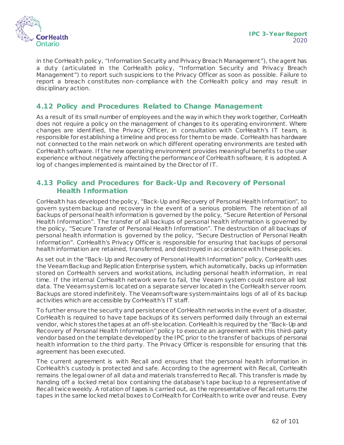

in the CorHealth policy, "Information Security and Privacy Breach Management"), the agent has a duty (articulated in the CorHealth policy, "Information Security and Privacy Breach Management") to report such suspicions to the Privacy Officer as soon as possible. Failure to report a breach constitutes non-compliance with the CorHealth policy and may result in disciplinary action.

### **4.12 Policy and Procedures Related to Change Management**

As a result of its small number of employees and the way in which they work together, CorHealth does not require a policy on the management of changes to its operating environment. Where changes are identified, the Privacy Officer, in consultation with CorHealth's IT team, is responsible for establishing a timeline and process for them to be made. CorHealth has hardware not connected to the main network on which different operating environments are tested with CorHealth software. If the new operating environment provides meaningful benefits to the user experience without negatively affecting the performance of CorHealth software, it is adopted. A log of changes implemented is maintained by the Director of IT.

#### **4.13 Policy and Procedures for Back-Up and Recovery of Personal Health Information**

CorHealth has developed the policy, "Back-Up and Recovery of Personal Health Information", to govern system backup and recovery in the event of a serious problem. The retention of all backups of personal health information is governed by the policy, "Secure Retention of Personal Health Information". The transfer of all backups of personal health information is governed by the policy, "Secure Transfer of Personal Health Information". The destruction of all backups of personal health information is governed by the policy, "Secure Destruction of Personal Health Information". CorHealth's Privacy Officer is responsible for ensuring that backups of personal health information are retained, transferred, and destroyed in accordance with these policies.

As set out in the "Back-Up and Recovery of Personal Health Information" policy, CorHealth uses the Veeam Backup and Replication Enterprise system, which automatically, backs up information stored on CorHealth servers and workstations, including personal health information, in real time. If the internal CorHealth network were to fail, the Veeam system could restore all lost data. The Veeam system is located on a separate server located in the CorHealth server room. Backups are stored indefinitely. The Veeam software system maintains logs of all of its backup activities which are accessible by CorHealth's IT staff.

To further ensure the security and persistence of CorHealth networks in the event of a disaster, CorHealth is required to have tape backups of its servers performed daily through an external vendor, which stores the tapes at an off-site location. CorHealthis required by the "Back-Up and Recovery of Personal Health Information" policy to execute an agreement with this third-party vendor based on the template developed by the IPC prior to the transfer of backups of personal health information to the third party. The Privacy Officer is responsible for ensuring that this agreement has been executed.

The current agreement is with Recall and ensures that the personal health information in CorHealth's custody is protected and safe. According to the agreement with Recall, CorHealth remains the legal owner of all data and materials transferred to Recall. This transfer is made by handing off a locked metal box containing the database's tape backup to a representative of Recall twice weekly. A rotation of tapes is carried out, as the representative of Recall returns the tapes in the same locked metal boxes to CorHealth for CorHealth to write over and reuse. Every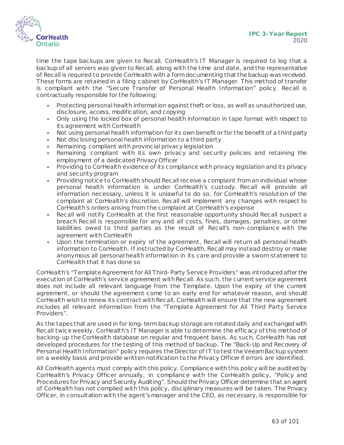

time the tape backups are given to Recall, CorHealth's IT Manager is required to log that a backup of all servers was given to Recall, along with the time and date, and the representative of Recall is required to provide CorHealth with a form documenting that the backup was received. These forms are retained in a filing cabinet by CorHealth's IT Manager. This method of transfer is compliant with the "Secure Transfer of Personal Health Information" policy. Recall is contractually responsible for the following:

- Protecting personal health information against theft or loss, as well as unauthorized use, disclosure, access, modification, and copying
- Only using the locked box of personal health information in tape format with respect to its agreement with CorHealth
- Not using personal health information for its own benefit or for the benefit of a third party
- Not disclosing personal health information to a third party
- Remaining compliant with provincial privacy legislation
- Remaining compliant with its own privacy and security policies and retaining the employment of a dedicated Privacy Officer
- Providing to CorHealth evidence of its compliance with privacy legislation and its privacy and security program
- Providing notice to CorHealth should Recall receive a complaint from an individual whose personal health information is under CorHealth's custody. Recall will provide all information necessary, unless it is unlawful to do so, for CorHealth's resolution of the complaint at CorHealth's discretion. Recall will implement any changes with respect to CorHealth's orders arising from the complaint at CorHealth's expense
- Recall will notify CorHealth at the first reasonable opportunity should Recall suspect a breach Recall is responsible for any and all costs, fines, damages, penalties, or other liabilities owed to third parties as the result of Recall's non-compliance with the agreement with CorHealth
- Upon the termination or expiry of the agreement, Recall will return all personal health information to CorHealth. If instructed by CorHealth, Recall may instead destroy or make anonymous all personal health information in its care and provide a sworn statement to CorHealth that it has done so

CorHealth's "Template Agreement for All Third-Party Service Providers" was introduced after the execution of CorHealth's service agreement with Recall. As such, the current service agreement does not include all relevant language from the Template. Upon the expiry of the current agreement, or should the agreement come to an early end for whatever reason, and should CorHealth wish to renew its contract with Recall, CorHealth will ensure that the new agreement includes all relevant information from the "Template Agreement for All Third Party Service Providers".

As the tapes that are used in for long-term backup storage are rotated daily and exchanged with Recall twice weekly, CorHealth's IT Manager is able to determine the efficacy of this method of backing-up the CorHealth database on regular and frequent basis. As such, CorHealth has not developed procedures for the testing of this method of backup. The "Back-Up and Recovery of Personal Health Information" policy requires the Director of IT to test the Veeam Backup system on a weekly basis and provide written notification to the Privacy Officer if errors are identified.

All CorHealth agents must comply with this policy. Compliance with this policy will be audited by CorHealth's Privacy Officer annually, in compliance with the CorHealth policy, "Policy and Procedures for Privacy and Security Auditing". Should the Privacy Officer determine that an agent of CorHealth has not complied with this policy, disciplinary measures will be taken. The Privacy Officer, in consultation with the agent's manager and the CEO, as necessary, is responsible for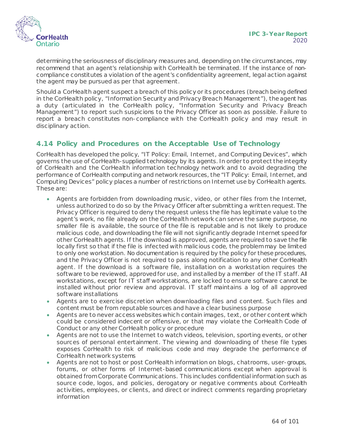

determining the seriousness of disciplinary measures and, depending on the circumstances, may recommend that an agent's relationship with CorHealth be terminated. If the instance of noncompliance constitutes a violation of the agent's confidentiality agreement, legal action against the agent may be pursued as per that agreement.

Should a CorHealth agent suspect a breach of this policy or its procedures (breach being defined in the CorHealth policy, "Information Security and Privacy Breach Management"), the agent has a duty (articulated in the CorHealth policy, "Information Security and Privacy Breach Management") to report such suspicions to the Privacy Officer as soon as possible. Failure to report a breach constitutes non-compliance with the CorHealth policy and may result in disciplinary action.

#### **4.14 Policy and Procedures on the Acceptable Use of Technology**

CorHealth has developed the policy, "IT Policy: Email, Internet, and Computing Devices", which governs the use of CorHealth-supplied technology by its agents. In order to protect the integrity of CorHealth and the CorHealth information technology network and to avoid degrading the performance of CorHealth computing and network resources, the "IT Policy: Email, Internet, and Computing Devices" policy places a number of restrictions on Internet use by CorHealth agents. These are:

- Agents are forbidden from downloading music , video, or other files from the Internet, unless authorized to do so by the Privacy Officer after submitting a written request. The Privacy Officer is required to deny the request unless the file has legitimate value to the agent's work, no file already on the CorHealth network can serve the same purpose, no smaller file is available, the source of the file is reputable and is not likely to produce malicious code, and downloading the file will not significantly degrade Internet speed for other CorHealth agents. If the download is approved, agents are required to save the file locally first so that if the file is infected with malicious code, the problem may be limited to only one workstation. No documentation is required by the policy for these procedures, and the Privacy Officer is not required to pass along notification to any other CorHealth agent. If the download is a software file, installation on a workstation requires the software to be reviewed, approved for use, and installed by a member of the IT staff. All workstations, except for IT staff workstations, are locked to ensure software cannot be installed without prior review and approval. IT staff maintains a log of all approved software installations
- Agents are to exercise discretion when downloading files and content. Such files and content must be from reputable sources and have a clear business purpose
- Agents are to never access websites which contain images, text, or other content which could be considered indecent or offensive, or that may violate the CorHealth Code of Conduct or any other CorHealth policy or procedure
- Agents are not to use the Internet to watch videos, television, sporting events, or other sources of personal entertainment. The viewing and downloading of these file types exposes CorHealth to risk of malicious code and may degrade the performance of CorHealth network systems
- Agents are not to host or post CorHealth information on blogs, chatrooms, user-groups, forums, or other forms of Internet-based communications except when approval is obtained from Corporate Communications. This includes confidential information such as source code, logos, and policies, derogatory or negative comments about CorHealth activities, employees, or clients, and direct or indirect comments regarding proprietary information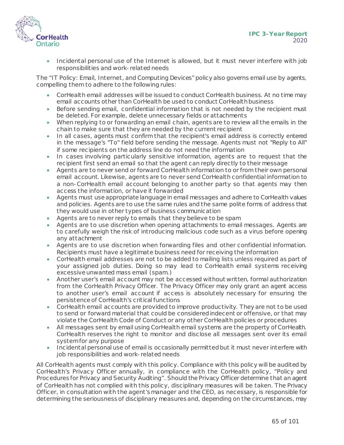

• Incidental personal use of the Internet is allowed, but it must never interfere with job responsibilities and work-related needs

The "IT Policy: Email, Internet, and Computing Devices" policy also governs email use by agents, compelling them to adhere to the following rules:

- CorHealth email addresses will be issued to conduct CorHealth business. At no time may email accounts other than CorHealth be used to conduct CorHealthbusiness
- Before sending email, confidential information that is not needed by the recipient must be deleted. For example, delete unnecessary fields or attachments
- When replying to or forwarding an email chain, agents are to review allthe emails in the chain to make sure that they are needed by the current recipient
- In all cases, agents must confirm that the recipient's email address is correctly entered in the message's "To" field before sending the message. Agents must not "Reply to All" if some recipients on the address line do not need the information
- In cases involving particularly sensitive information, agents are to request that the recipient first send an email so that the agent can reply directly to their message
- Agents are to never send or forward CorHealth information to or from their own personal email account. Likewise, agents are to never send CorHealth confidential information to a non-CorHealth email account belonging to another party so that agents may then access the information, or have it forwarded
- Agents must use appropriate language in email messages and adhere to CorHealth values and policies. Agents are to use the same rules and the same polite forms of address that they would use in other types of business communication
- Agents are to never reply to emails that they believe to be spam
- Agents are to use discretion when opening attachments to email messages. Agents are to carefully weigh the risk of introducing malicious code such as a virus before opening any attachment
- Agents are to use discretion when forwarding files and other confidential information. Recipients must have a legitimate business need for receiving the information
- CorHealth email addresses are not to be added to mailing lists unless required as part of your assigned job duties. Doing so may lead to CorHealth email systems receiving excessive unwanted mass email (spam.)
- Another user's email account may not be accessed without written, formal authorization from the CorHealth Privacy Officer. The Privacy Officer may only grant an agent access to another user's email account if access is absolutely necessary for ensuring the persistence of CorHealth's critical functions
- CorHealth email accounts are provided to improve productivity. They are not to be used to send or forward material that could be considered indecent or offensive, or that may violate the CorHealth Code of Conduct or any other CorHealth policies or procedures
- All messages sent by email using CorHealth email systems are the property of CorHealth. CorHealth reserves the right to monitor and disclose all messages sent over its email system for any purpose
- Incidental personal use of email is occasionally permitted but it must never interfere with job responsibilities and work-related needs

All CorHealth agents must comply with this policy. Compliance with this policy will be audited by CorHealth's Privacy Officer annually, in compliance with the CorHealth policy, "Policy and Procedures for Privacy and Security Auditing". Should the Privacy Officer determine that an agent of CorHealth has not complied with this policy, disciplinary measures will be taken. The Privacy Officer, in consultation with the agent's manager and the CEO, as necessary, is responsible for determining the seriousness of disciplinary measures and, depending on the circumstances, may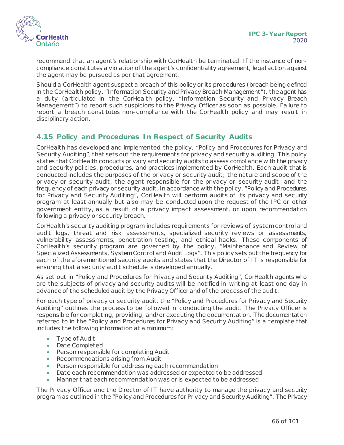

recommend that an agent's relationship with CorHealth be terminated. If the instance of noncompliance constitutes a violation of the agent's confidentiality agreement, legal action against the agent may be pursued as per that agreement.

Should a CorHealth agent suspect a breach of this policy or its procedures (breach being defined in the CorHealth policy, "Information Security and Privacy Breach Management"), the agent has a duty (articulated in the CorHealth policy, "Information Security and Privacy Breach Management") to report such suspicions to the Privacy Officer as soon as possible. Failure to report a breach constitutes non-compliance with the CorHealth policy and may result in disciplinary action.

#### **4.15 Policy and Procedures In Respect of Security Audits**

CorHealth has developed and implemented the policy, "Policy and Procedures for Privacy and Security Auditing", that sets out the requirements for privacy and security auditing. This policy states that CorHealth conducts privacy and security audits to assess compliance with the privacy and security policies, procedures, and practices implemented by CorHealth. Each audit that is conducted includes the purposes of the privacy or security audit; the nature and scope of the privacy or security audit; the agent responsible for the privacy or security audit; and the frequency of each privacy or security audit. In accordance with the policy, "Policy and Procedures for Privacy and Security Auditing", CorHealth will perform audits of its privacy and security program at least annually but also may be conducted upon the request of the IPC or other government entity, as a result of a privacy impact assessment, or upon recommendation following a privacy or security breach.

CorHealth's security auditing program includes requirements for reviews of system control and audit logs, threat and risk assessments, specialized security reviews or assessments, vulnerability assessments, penetration testing, and ethical hacks. These components of CorHealth's security program are governed by the policy, "Maintenance and Review of Specialized Assessments, System Control and Audit Logs". This policy sets out the frequency for each of the aforementioned security audits and states that the Director of IT is responsible for ensuring that a security audit schedule is developed annually.

As set out in "Policy and Procedures for Privacy and Security Auditing", CorHealth agents who are the subjects of privacy and security audits will be notified in writing at least one day in advance of the scheduled audit by the Privacy Officer and of the process of the audit.

For each type of privacy or security audit, the "Policy and Procedures for Privacy and Security Auditing" outlines the process to be followed in conducting the audit. The Privacy Officer is responsible for completing, providing, and/or executing the documentation. The documentation referred to in the "Policy and Procedures for Privacy and Security Auditing" is a template that includes the following information at a minimum:

- Type of Audit
- Date Completed
- Person responsible for completing Audit
- Recommendations arising from Audit
- Person responsible for addressing each recommendation
- Date each recommendation was addressed or expected to be addressed
- Manner that each recommendation was or is expected to be addressed

The Privacy Officer and the Director of IT have authority to manage the privacy and security program as outlined in the "Policy and Procedures for Privacy and Security Auditing". The Privacy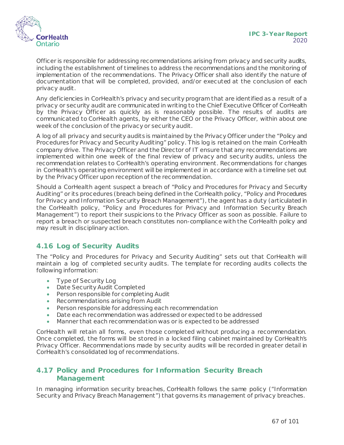

Officer is responsible for addressing recommendations arising from privacy and security audits, including the establishment of timelines to address the recommendations and the monitoring of implementation of the recommendations. The Privacy Officer shall also identify the nature of documentation that will be completed, provided, and/or executed at the conclusion of each privacy audit.

Any deficiencies in CorHealth's privacy and security program that are identified as a result of a privacy or security audit are communicated in writing to the Chief Executive Officer of CorHealth by the Privacy Officer as quickly as is reasonably possible. The results of audits are communicated to CorHealth agents, by either the CEO or the Privacy Officer, within about one week of the conclusion of the privacy or security audit.

A log of all privacy and security audits is maintained by the Privacy Officer under the "Policy and Procedures for Privacy and Security Auditing" policy. This log is retained on the main CorHealth company drive. The Privacy Officer and the Director of IT ensure that any recommendations are implemented within one week of the final review of privacy and security audits, unless the recommendation relates to CorHealth's operating environment. Recommendations for changes in CorHealth's operating environment will be implemented in accordance with a timeline set out by the Privacy Officer upon reception of the recommendation.

Should a CorHealth agent suspect a breach of "Policy and Procedures for Privacy and Security Auditing" or its procedures (breach being defined in the CorHealth policy, "Policy and Procedures for Privacy and Information Security Breach Management"), the agent has a duty (articulated in the CorHealth policy, "Policy and Procedures for Privacy and Information Security Breach Management") to report their suspicions to the Privacy Officer as soon as possible. Failure to report a breach or suspected breach constitutes non-compliance with the CorHealth policy and may result in disciplinary action.

## **4.16 Log of Security Audits**

The "Policy and Procedures for Privacy and Security Auditing" sets out that CorHealth will maintain a log of completed security audits. The template for recording audits collects the following information:

- Type of Security Log
- Date Security Audit Completed
- Person responsible for completing Audit
- Recommendations arising from Audit
- Person responsible for addressing each recommendation
- Date each recommendation was addressed or expected to be addressed
- Manner that each recommendation was or is expected to be addressed

CorHealth will retain all forms, even those completed without producing a recommendation. Once completed, the forms will be stored in a locked filing cabinet maintained by CorHealth's Privacy Officer. Recommendations made by security audits will be recorded in greater detail in CorHealth's consolidated log of recommendations.

#### **4.17 Policy and Procedures for Information Security Breach Management**

In managing information security breaches, CorHealth follows the same policy ("Information Security and Privacy Breach Management") that governs its management of privacy breaches.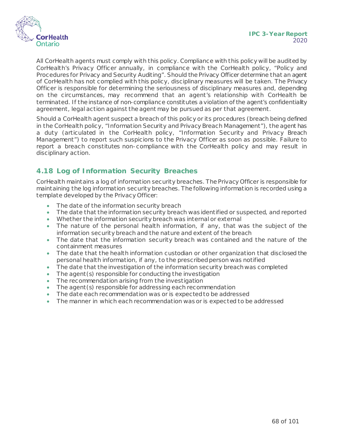

All CorHealth agents must comply with this policy. Compliance with this policy will be audited by CorHealth's Privacy Officer annually, in compliance with the CorHealth policy, "Policy and Procedures for Privacy and Security Auditing". Should the Privacy Officer determine that an agent of CorHealth has not complied with this policy, disciplinary measures will be taken. The Privacy Officer is responsible for determining the seriousness of disciplinary measures and, depending on the circumstances, may recommend that an agent's relationship with CorHealth be terminated. If the instance of non-compliance constitutes a violation of the agent's confidentiality agreement, legal action against the agent may be pursued as per that agreement.

Should a CorHealth agent suspect a breach of this policy or its procedures (breach being defined in the CorHealth policy, "Information Security and Privacy Breach Management"), the agent has a duty (articulated in the CorHealth policy, "Information Security and Privacy Breach Management") to report such suspicions to the Privacy Officer as soon as possible. Failure to report a breach constitutes non-compliance with the CorHealth policy and may result in disciplinary action.

## **4.18 Log of Information Security Breaches**

CorHealth maintains a log of information security breaches. The Privacy Officer is responsible for maintaining the log information security breaches. The following information is recorded using a template developed by the Privacy Officer:

- The date of the information security breach
- The date that the information security breach was identified or suspected, and reported
- Whether the information security breach was internal or external
- The nature of the personal health information, if any, that was the subject of the information security breach and the nature and extent of the breach
- The date that the information security breach was contained and the nature of the containment measures
- The date that the health information custodian or other organization that disclosed the personal health information, if any, to the prescribed person was notified
- The date that the investigation of the information security breach was completed
- The agent (s) responsible for conducting the investigation
- The recommendation arising from the investigation
- The agent (s) responsible for addressing each recommendation
- The date each recommendation was or is expected to be addressed
- The manner in which each recommendation was or is expected to be addressed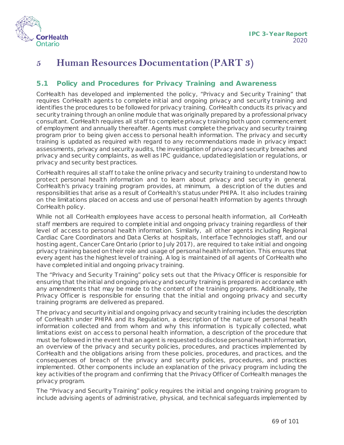

## **5 Human Resources Documentation (PART 3)**

#### <span id="page-68-0"></span>**5.1 Policy and Procedures for Privacy Training and Awareness**

CorHealth has developed and implemented the policy, "Privacy and Security Training" that requires CorHealth agents to complete initial and ongoing privacy and security training and identifies the procedures to be followed for privacy training. CorHealth conducts its privacy and security training through an online module that was originally prepared by a professional privacy consultant. CorHealth requires all staff to complete privacy training both upon commencement of employment and annually thereafter. Agents must complete the privacy and security training program prior to being given access to personal health information. The privacy and security training is updated as required with regard to any recommendations made in privacy impact assessments, privacy and security audits, the investigation of privacy and security breaches and privacy and security complaints, as well as IPC guidance, updated legislation or regulations, or privacy and security best practices.

CorHealth requires all staff to take the online privacy and security training to understand how to protect personal health information and to learn about privacy and security in general. CorHealth's privacy training program provides, at minimum, a description of the duties and responsibilities that arise as a result of CorHealth's status under PHIPA. It also includes training on the limitations placed on access and use of personal health information by agents through CorHealth policy.

While not all CorHealth employees have access to personal health information, all CorHealth staff members are required to complete initial and ongoing privacy training regardless of their level of access to personal health information. Similarly, all other agents including Regional Cardiac Care Coordinators and Data Clerks at hospitals, Interface Technologies staff, and our hosting agent, Cancer Care Ontario (prior to July 2017), are required to take initial and ongoing privacy training based on their role and usage of personal health information. This ensures that every agent has the highest level of training. A log is maintained of all agents of CorHealth who have completed initial and ongoing privacy training.

The "Privacy and Security Training" policy sets out that the Privacy Officer is responsible for ensuring that the initial and ongoing privacy and security training is prepared in accordance with any amendments that may be made to the content of the training programs. Additionally, the Privacy Officer is responsible for ensuring that the initial and ongoing privacy and security training programs are delivered as prepared.

The privacy and security initial and ongoing privacy and security training includes the description of CorHealth under PHIPA and its Regulation, a description of the nature of personal health information collected and from whom and why this information is typically collected, what limitations exist on access to personal health information, a description of the procedure that must be followed in the event that an agent is requested to disclose personal health information, an overview of the privacy and security policies, procedures, and practices implemented by CorHealth and the obligations arising from these policies, procedures, and practices, and the consequences of breach of the privacy and security policies, procedures, and practices implemented. Other components include an explanation of the privacy program including the key activities of the program and confirming that the Privacy Officer of CorHealth manages the privacy program.

The "Privacy and Security Training" policy requires the initial and ongoing training program to include advising agents of administrative, physical, and technical safeguards implemented by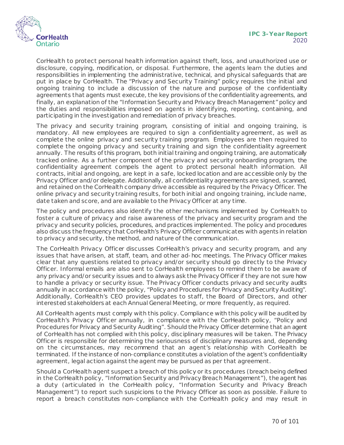

CorHealth to protect personal health information against theft, loss, and unauthorized use or disclosure, copying, modification, or disposal. Furthermore, the agents learn the duties and responsibilities in implementing the administrative, technical, and physical safeguards that are put in place by CorHealth. The "Privacy and Security Training" policy requires the initial and ongoing training to include a discussion of the nature and purpose of the confidentiality agreements that agents must execute, the key provisions of the confidentiality agreements, and finally, an explanation of the "Information Security and Privacy Breach Management" policy and the duties and responsibilities imposed on agents in identifying, reporting, containing, and participating in the investigation and remediation of privacy breaches.

The privacy and security training program, consisting of initial and ongoing training, is mandatory. All new employees are required to sign a confidentiality agreement, as well as complete the online privacy and security training program. Employees are then required to complete the ongoing privacy and security training and sign the confidentiality agreement annually. The results of this program, both initial training and ongoing training, are automatically tracked online. As a further component of the privacy and security onboarding program, the confidentiality agreement compels the agent to protect personal health information. All contracts, initial and ongoing, are kept in a safe, locked location and are accessible only by the Privacy Officer and/or delegate. Additionally, all confidentiality agreements are signed, scanned, and retained on the CorHealth company drive accessible as required by the Privacy Officer. The online privacy and security training results, for both initial and ongoing training, include name, date taken and score, and are available to the Privacy Officer at any time.

The policy and procedures also identify the other mechanisms implemented by CorHealth to foster a culture of privacy and raise awareness of the privacy and security program and the privacy and security policies, procedures, and practices implemented. The policy and procedures also discuss the frequency that CorHealth's Privacy Officer communicates with agents in relation to privacy and security, the method, and nature of the communication.

The CorHealth Privacy Officer discusses CorHealth's privacy and security program, and any issues that have arisen, at staff, team, and other ad-hoc meetings. The Privacy Officer makes clear that any questions related to privacy and/or security should go directly to the Privacy Officer. Informal emails are also sent to CorHealth employees to remind them to be aware of any privacy and/or security issues and to always ask the Privacy Officer if they are not sure how to handle a privacy or security issue. The Privacy Officer conducts privacy and security audits annually in accordance with the policy, "Policy and Procedures for Privacy and Security Auditing". Additionally, CorHealth's CEO provides updates to staff, the Board of Directors, and other interested stakeholders at each Annual General Meeting, or more frequently, as required.

All CorHealth agents must comply with this policy. Compliance with this policy will be audited by CorHealth's Privacy Officer annually, in compliance with the CorHealth policy, "Policy and Procedures for Privacy and Security Auditing". Should the Privacy Officer determine that an agent of CorHealth has not complied with this policy, disciplinary measures will be taken. The Privacy Officer is responsible for determining the seriousness of disciplinary measures and, depending on the circumstances, may recommend that an agent's relationship with CorHealth be terminated. If the instance of non-compliance constitutes a violation of the agent's confidentiality agreement, legal action against the agent may be pursued as per that agreement.

Should a CorHealth agent suspect a breach of this policy or its procedures (breach being defined in the CorHealth policy, "Information Security and Privacy Breach Management"), the agent has a duty (articulated in the CorHealth policy, "Information Security and Privacy Breach Management") to report such suspicions to the Privacy Officer as soon as possible. Failure to report a breach constitutes non-compliance with the CorHealth policy and may result in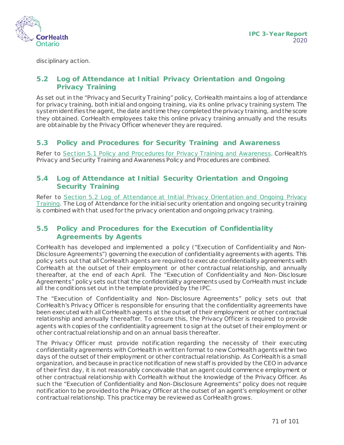

disciplinary action.

### <span id="page-70-0"></span>**5.2 Log of Attendance at Initial Privacy Orientation and Ongoing Privacy Training**

As set out in the "Privacy and Security Training" policy, CorHealth maintains a log of attendance for privacy training, both initial and ongoing training, via its online privacy training system. The system identifies the agent, the date and time they completed the privacy training, and the score they obtained. CorHealth employees take this online privacy training annually and the results are obtainable by the Privacy Officer whenever they are required.

#### **5.3 Policy and Procedures for Security Training and Awareness**

Refer to [Section 5.1 Policy and Procedures for Privacy Training and Awareness](#page-68-0). CorHealth's Privacy and Security Training and Awareness Policy and Procedures are combined.

#### **5.4 Log of Attendance at Initial Security Orientation and Ongoing Security Training**

Refer to Section 5.2 Log of Attendance at Initial Privacy Orientation and Ongoing Privacy [Training.](#page-70-0) The Log of Attendance for the initial security orientation and ongoing security training is combined with that used for the privacy orientation and ongoing privacy training.

#### **5.5 Policy and Procedures for the Execution of Confidentiality Agreements by Agents**

CorHealth has developed and implemented a policy ("Execution of Confidentiality and Non-Disclosure Agreements") governing the execution of confidentiality agreements with agents. This policy sets out that all CorHealth agents are required to execute confidentiality agreements with CorHealth at the outset of their employment or other contractual relationship, and annually thereafter, at the end of each April. The "Execution of Confidentiality and Non-Disclosure Agreements" policy sets out that the confidentiality agreements used by CorHealth must include all the conditions set out in the template provided by the IPC.

The "Execution of Confidentiality and Non-Disclosure Agreements" policy sets out that CorHealth's Privacy Officer is responsible for ensuring that the confidentiality agreements have been executed with all CorHealth agents at the outset of their employment or other contractual relationship and annually thereafter. To ensure this, the Privacy Officer is required to provide agents with copies of the confidentiality agreement to sign at the outset of their employment or other contractual relationship and on an annual basis thereafter.

The Privacy Officer must provide notification regarding the necessity of their executing confidentiality agreements with CorHealth in written format to new CorHealth agents within two days of the outset of their employment or other contractual relationship. As CorHealthis a small organization, and because in practice notification of new staff is provided by the CEO in advance of their first day, it is not reasonably conceivable that an agent could commence employment or other contractual relationship with CorHealth without the knowledge of the Privacy Officer. As such the "Execution of Confidentiality and Non-Disclosure Agreements" policy does not require notification to be provided to the Privacy Officer at the outset of an agent's employment or other contractual relationship. This practice may be reviewed as CorHealth grows.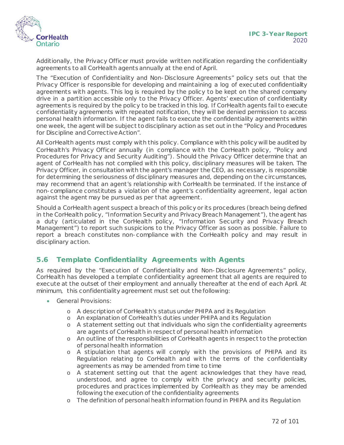

Additionally, the Privacy Officer must provide written notification regarding the confidentiality agreements to all CorHealth agents annually at the end of April.

The "Execution of Confidentiality and Non-Disclosure Agreements" policy sets out that the Privacy Officer is responsible for developing and maintaining a log of executed confidentiality agreements with agents. This log is required by the policy to be kept on the shared company drive in a partition accessible only to the Privacy Officer. Agents' execution of confidentiality agreements is required by the policy to be tracked in this log. If CorHealth agents fail to execute confidentiality agreements with repeated notification, they will be denied permission to access personal health information. If the agent fails to execute the confidentiality agreements within one week, the agent will be subject to disciplinary action as set out in the "Policy and Procedures for Discipline and Corrective Action".

All CorHealth agents must comply with this policy. Compliance with this policy will be audited by CorHealth's Privacy Officer annually (in compliance with the CorHealth policy, "Policy and Procedures for Privacy and Security Auditing"). Should the Privacy Officer determine that an agent of CorHealth has not complied with this policy, disciplinary measures will be taken. The Privacy Officer, in consultation with the agent's manager the CEO, as necessary, is responsible for determining the seriousness of disciplinary measures and, depending on the circumstances, may recommend that an agent's relationship with CorHealth be terminated. If the instance of non-compliance constitutes a violation of the agent's confidentiality agreement, legal action against the agent may be pursued as per that agreement.

Should a CorHealth agent suspect a breach of this policy or its procedures (breach being defined in the CorHealth policy, "Information Security and Privacy Breach Management"), the agent has a duty (articulated in the CorHealth policy, "Information Security and Privacy Breach Management") to report such suspicions to the Privacy Officer as soon as possible. Failure to report a breach constitutes non-compliance with the CorHealth policy and may result in disciplinary action.

## **5.6 Template Confidentiality Agreements with Agents**

As required by the "Execution of Confidentiality and Non-Disclosure Agreements" policy, CorHealth has developed a template confidentiality agreement that all agents are required to execute at the outset of their employment and annually thereafter at the end of each April. At minimum, this confidentiality agreement must set out the following:

- General Provisions:
	- o A description of CorHealth's status under PHIPA and its Regulation
	- o An explanation of CorHealth's duties under PHIPA and its Regulation
	- o A statement setting out that individuals who sign the confidentiality agreements are agents of CorHealth in respect of personal health information
	- o An outline of the responsibilities of CorHealth agents in respect to the protection of personal health information
	- o A stipulation that agents will comply with the provisions of PHIPA and its Regulation relating to CorHealth and with the terms of the confidentiality agreements as may be amended from time to time
	- o A statement setting out that the agent acknowledges that they have read, understood, and agree to comply with the privacy and security policies, procedures and practices implemented by CorHealth as they may be amended following the execution of the confidentiality agreements
	- o The definition of personal health information found in PHIPA and its Regulation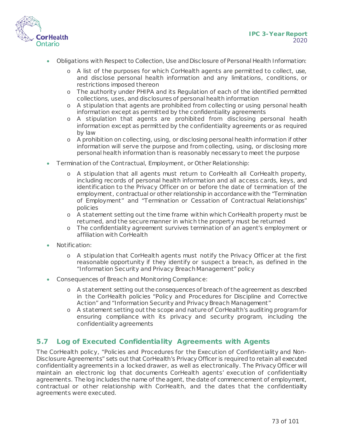



- Obligations with Respect to Collection, Use and Disclosure of Personal Health Information:
	- o A list of the purposes for which CorHealth agents are permitted to collect, use, and disclose personal health information and any limitations, conditions, or restrictions imposed thereon
	- o The authority under PHIPA and its Regulation of each of the identified permitted collections, uses, and disclosures of personal health information
	- o A stipulation that agents are prohibited from collecting or using personal health information except as permitted by the confidentiality agreements
	- o A stipulation that agents are prohibited from disclosing personal health information except as permitted by the confidentiality agreements or as required by law
	- o A prohibition on collecting, using, or disclosing personal health information if other information will serve the purpose and from collecting, using, or disclosing more personal health information than is reasonably necessary to meet the purpose
- Termination of the Contractual, Employment, or Other Relationship:
	- o A stipulation that all agents must return to CorHealth all CorHealth property, including records of personal health information and all access cards, keys, and identification to the Privacy Officer on or before the date of termination of the employment, contractual or other relationship in accordance with the "Termination of Employment" and "Termination or Cessation of Contractual Relationships" policies
	- o A statement setting out the time frame within which CorHealth property must be returned, and the secure manner in which the property must be returned
	- o The confidentiality agreement survives termination of an agent's employment or affiliation with CorHealth
- Notification:
	- o A stipulation that CorHealth agents must notify the Privacy Officer at the first reasonable opportunity if they identify or suspect a breach, as defined in the "Information Security and Privacy Breach Management" policy
- Consequences of Breach and Monitoring Compliance:
	- o A statement setting out the consequences of breach of the agreement as described in the CorHealth policies "Policy and Procedures for Discipline and Corrective Action" and "Information Security and Privacy Breach Management"
	- o A statement setting out the scope and nature of CorHealth's auditing program for ensuring compliance with its privacy and security program, including the confidentiality agreements

#### **5.7 Log of Executed Confidentiality Agreements with Agents**

The CorHealth policy, "Policies and Procedures for the Execution of Confidentiality and Non-Disclosure Agreements" sets out that CorHealth's Privacy Officer is required to retain all executed confidentiality agreements in a locked drawer, as well as electronically. The Privacy Officer will maintain an electronic log that documents CorHealth agents' execution of confidentiality agreements. The log includes the name of the agent, the date of commencement of employment, contractual or other relationship with CorHealth, and the dates that the confidentiality agreements were executed.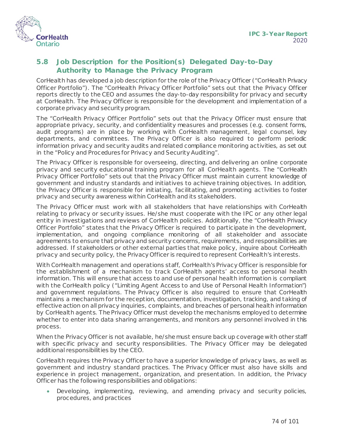

#### <span id="page-73-0"></span>**5.8 Job Description for the Position(s) Delegated Day-to-Day Authority to Manage the Privacy Program**

CorHealth has developed a job description for the role of the Privacy Officer ("CorHealth Privacy Officer Portfolio"). The "CorHealth Privacy Officer Portfolio" sets out that the Privacy Officer reports directly to the CEO and assumes the day-to-day responsibility for privacy and security at CorHealth. The Privacy Officer is responsible for the development and implementation of a corporate privacy and security program.

The "CorHealth Privacy Officer Portfolio" sets out that the Privacy Officer must ensure that appropriate privacy, security, and confidentiality measures and processes (e.g. consent forms, audit programs) are in place by working with CorHealth management, legal counsel, key departments, and committees. The Privacy Officer is also required to perform periodic information privacy and security audits and related compliance monitoring activities, as set out in the "Policy and Procedures for Privacy and Security Auditing".

The Privacy Officer is responsible for overseeing, directing, and delivering an online corporate privacy and security educational training program for all CorHealth agents. The "CorHealth Privacy Officer Portfolio" sets out that the Privacy Officer must maintain current knowledge of government and industry standards and initiatives to achieve training objectives. In addition, the Privacy Officer is responsible for initiating, facilitating, and promoting activities to foster privacy and security awareness within CorHealth and its stakeholders.

The Privacy Officer must work with all stakeholders that have relationships with CorHealth relating to privacy or security issues. He/she must cooperate with the IPC or any other legal entity in investigations and reviews of CorHealth policies. Additionally, the "CorHealth Privacy Officer Portfolio" states that the Privacy Officer is required to participate in the development, implementation, and ongoing compliance monitoring of all stakeholder and associate agreements to ensure that privacy and security concerns, requirements, and responsibilities are addressed. If stakeholders or other external parties that make policy, inquire about CorHealth privacy and security policy, the Privacy Officer is required to represent CorHealth's interests.

With CorHealth management and operations staff, CorHealth's Privacy Officer is responsible for the establishment of a mechanism to track CorHealth agents' access to personal health information. This will ensure that access to and use of personal health information is compliant with the CorHealth policy ("Limiting Agent Access to and Use of Personal Health Information") and government regulations. The Privacy Officer is also required to ensure that CorHealth maintains a mechanism for the reception, documentation, investigation, tracking, and taking of effective action on all privacy inquiries, complaints, and breaches of personal health information by CorHealth agents. The Privacy Officer must develop the mechanisms employed to determine whether to enter into data sharing arrangements, and monitors any personnel involved in this process.

When the Privacy Officer is not available, he/she must ensure back up coverage with other staff with specific privacy and security responsibilities. The Privacy Officer may be delegated additional responsibilities by the CEO.

CorHealth requires the Privacy Officer to have a superior knowledge of privacy laws, as well as government and industry standard practices. The Privacy Officer must also have skills and experience in project management, organization, and presentation. In addition, the Privacy Officer has the following responsibilities and obligations:

• Developing, implementing, reviewing, and amending privacy and security policies, procedures, and practices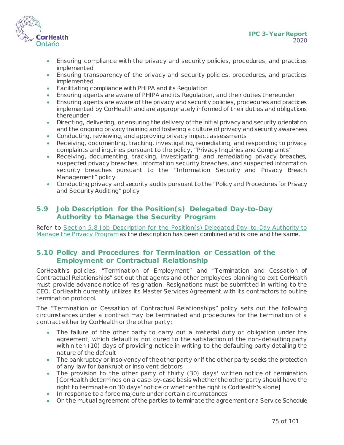

- Ensuring compliance with the privacy and security policies, procedures, and practices implemented
- Ensuring transparency of the privacy and security policies, procedures, and practices implemented
- Facilitating compliance with PHIPA and its Regulation
- Ensuring agents are aware of PHIPA and its Regulation, and their duties thereunder
- Ensuring agents are aware of the privacy and security policies, procedures and practices implemented by CorHealth and are appropriately informed of their duties and obligations thereunder
- Directing, delivering, or ensuring the delivery of the initial privacy and security orientation and the ongoing privacy training and fostering a culture of privacy and security awareness
- Conducting, reviewing, and approving privacy impact assessments
- Receiving, documenting, tracking, investigating, remediating, and responding to privacy complaints and inquiries pursuant to the policy, "Privacy Inquiries and Complaints"
- Receiving, documenting, tracking, investigating, and remediating privacy breaches, suspected privacy breaches, information security breaches, and suspected information security breaches pursuant to the "Information Security and Privacy Breach Management" policy
- Conducting privacy and security audits pursuant to the "Policy and Procedures for Privacy and Security Auditing" policy

#### **5.9 Job Description for the Position(s) Delegated Day-to-Day Authority to Manage the Security Program**

Refer to [Section 5.8 Job Description for the Position\(s\) Delegated Day-to-Day Authority to](#page-73-0)  [Manage the Privacy Program](#page-73-0)as the description has been combined and is one and the same.

#### **5.10 Policy and Procedures for Termination or Cessation of the Employment or Contractual Relationship**

CorHealth's policies, "Termination of Employment" and "Termination and Cessation of Contractual Relationships" set out that agents and other employees planning to exit CorHealth must provide advance notice of resignation. Resignations must be submitted in writing to the CEO. CorHealth currently utilizes its Master Services Agreement with its contractors to outline termination protocol.

The "Termination or Cessation of Contractual Relationships" policy sets out the following circumstances under a contract may be terminated and procedures for the termination of a contract either by CorHealth or the other party:

- The failure of the other party to carry out a material duty or obligation under the agreement, which default is not cured to the satisfaction of the non-defaulting party within ten (10) days of providing notice in writing to the defaulting party detailing the nature of the default
- The bankruptcy or insolvency of the other party or if the other party seeks the protection of any law for bankrupt or insolvent debtors
- The provision to the other party of thirty (30) days' written notice of termination [CorHealth determines on a case-by-case basis whether the other party should have the right to terminate on 30 days' notice or whether the right is CorHealth's alone]
- In response to a force majeure under certain circumstances
- On the mutual agreement of the parties to terminate the agreement or a Service Schedule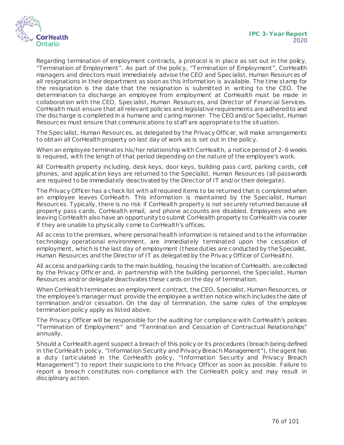

Regarding termination of employment contracts, a protocol is in place as set out in the policy, "Termination of Employment". As part of the policy, "Termination of Employment", CorHealth managers and directors must immediately advise the CEO and Specialist, Human Resources of all resignations in their department as soon as this information is available. The time stamp for the resignation is the date that the resignation is submitted in writing to the CEO. The determination to discharge an employee from employment at CorHealth must be made in collaboration with the CEO, Specialist, Human Resources, and Director of Financial Services. CorHealth must ensure that all relevant policies and legislative requirements are adhered to and the discharge is completed in a humane and caring manner. The CEO and/or Specialist, Human Resources must ensure that communications to staff are appropriate to the situation.

The Specialist, Human Resources, as delegated by the Privacy Officer, will make arrangements to obtain all CorHealth property on last day of work as is set out in the policy.

When an employee terminates his/her relationship with CorHealth, a notice period of 2-6 weeks is required, with the length of that period depending on the nature of the employee's work.

All CorHealth property including, desk keys, door keys, building pass card, parking cards, cell phones, and application keys are returned to the Specialist, Human Resources (all passwords are required to be immediately deactivated by the Director of IT and/or their delegate).

The Privacy Officer has a check list with all required items to be returned that is completed when an employee leaves CorHealth. This information is maintained by the Specialist, Human Resources. Typically, there is no risk if CorHealth property is not securely returned because all property pass cards, CorHealth email, and phone accounts are disabled. Employees who are leaving CorHealth also have an opportunity to submit CorHealth property to CorHealth via courier if they are unable to physically come to CorHealth's offices.

All access to the premises, where personal health information is retained and to the information technology operational environment, are immediately terminated upon the cessation of employment, which is the last day of employment (these duties are conducted by the Specialist, Human Resources and the Director of IT as delegated by the Privacy Officer of CorHealth).

All access and parking cards to the main building, housing the location of CorHealth, are collected by the Privacy Officer and, in partnership with the building personnel, the Specialist, Human Resources and/or delegate deactivates these cards on the day of termination.

When CorHealth terminates an employment contract, the CEO, Specialist, Human Resources, or the employee's manager must provide the employee a written notice which includes the date of termination and/or cessation. On the day of termination, the same rules of the employee termination policy apply as listed above.

The Privacy Officer will be responsible for the auditing for compliance with CorHealth's policies "Termination of Employment" and "Termination and Cessation of Contractual Relationships" annually.

Should a CorHealth agent suspect a breach of this policy or its procedures (breach being defined in the CorHealth policy, "Information Security and Privacy Breach Management"), the agent has a duty (articulated in the CorHealth policy, "Information Security and Privacy Breach Management") to report their suspicions to the Privacy Officer as soon as possible. Failure to report a breach constitutes non-compliance with the CorHealth policy and may result in disciplinary action.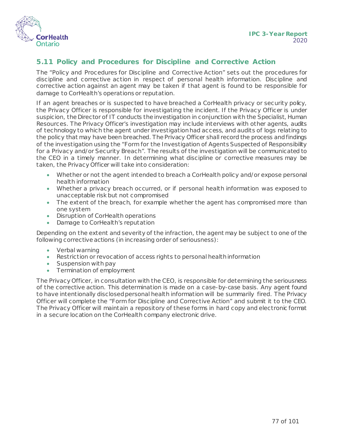

#### **5.11 Policy and Procedures for Discipline and Corrective Action**

The "Policy and Procedures for Discipline and Corrective Action" sets out the procedures for discipline and corrective action in respect of personal health information. Discipline and corrective action against an agent may be taken if that agent is found to be responsible for damage to CorHealth's operations or reputation.

If an agent breaches or is suspected to have breached a CorHealth privacy or security policy, the Privacy Officer is responsible for investigating the incident. If the Privacy Officer is under suspicion, the Director of IT conducts the investigation in conjunction with the Specialist, Human Resources. The Privacy Officer's investigation may include interviews with other agents, audits of technology to which the agent under investigation had access, and audits of logs relating to the policy that may have been breached. The Privacy Officer shall record the process and findings of the investigation using the "Form for the Investigation of Agents Suspected of Responsibility for a Privacy and/or Security Breach". The results of the investigation will be communicated to the CEO in a timely manner. In determining what discipline or corrective measures may be taken, the Privacy Officer will take into consideration:

- Whether or not the agent intended to breach a CorHealth policy and/or expose personal health information
- Whether a privacy breach occurred, or if personal health information was exposed to unacceptable risk but not compromised
- The extent of the breach, for example whether the agent has compromised more than one system
- Disruption of CorHealth operations
- Damage to CorHealth's reputation

Depending on the extent and severity of the infraction, the agent may be subject to one of the following corrective actions (in increasing order of seriousness):

- Verbal warning
- Restriction or revocation of access rights to personal health information
- Suspension with pay
- Termination of employment

The Privacy Officer, in consultation with the CEO, is responsible for determining the seriousness of the corrective action. This determination is made on a case-by-case basis. Any agent found to have intentionally disclosed personal health information will be summarily fired. The Privacy Officer will complete the "Form for Discipline and Corrective Action" and submit it to the CEO. The Privacy Officer will maintain a repository of these forms in hard copy and electronic format in a secure location on the CorHealth company electronic drive.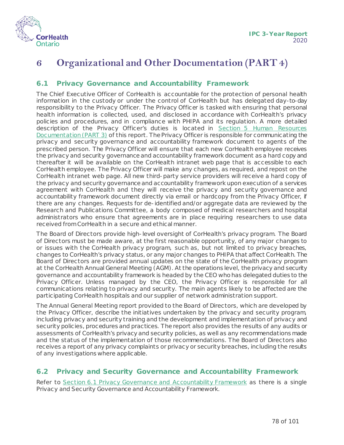

## **6 Organizational and Other Documentation (PART 4)**

#### <span id="page-77-0"></span>**6.1 Privacy Governance and Accountability Framework**

The Chief Executive Officer of CorHealth is accountable for the protection of personal health information in the custody or under the control of CorHealth but has delegated day-to-day responsibility to the Privacy Officer. The Privacy Officer is tasked with ensuring that personal health information is collected, used, and disclosed in accordance with CorHealth's privacy policies and procedures, and in compliance with PHIPA and its regulation*.* A more detailed description of the Privacy Officer's duties is located in [Section 5 Human Resources](#page-68-0)  [Documentation \(PART 3\)](#page-68-0) of this report. The Privacy Officer is responsible for communicating the privacy and security governance and accountability framework document to agents of the prescribed person. The Privacy Officer will ensure that each new CorHealth employee receives the privacy and security governance and accountability framework document as a hard copy and thereafter it will be available on the CorHealth intranet web page that is accessible to each CorHealth employee. The Privacy Officer will make any changes, as required, and repost on the CorHealth intranet web page. All new third-party service providers will receive a hard copy of the privacy and security governance and accountability framework upon execution of a services agreement with CorHealth and they will receive the privacy and security governance and accountability framework document directly via email or hardcopy from the Privacy Officer, if there are any changes. Requests for de-identified and/or aggregate data are reviewed by the Research and Publications Committee, a body composed of medical researchers and hospital administrators who ensure that agreements are in place requiring researchers to use data received from CorHealth in a secure and ethical manner.

The Board of Directors provide high-level oversight of CorHealth's privacy program. The Board of Directors must be made aware, at the first reasonable opportunity, of any major changes to or issues with the CorHealth privacy program, such as, but not limited to privacy breaches, changes to CorHealth's privacy status, or any major changes to PHIPA that affect CorHealth. The Board of Directors are provided annual updates on the state of the CorHealth privacy program at the CorHealth Annual General Meeting (AGM). At the operations level, the privacy and security governance and accountability framework is headed by the CEO who has delegated duties to the Privacy Officer. Unless managed by the CEO, the Privacy Officer is responsible for all communications relating to privacy and security. The main agents likely to be affected are the participating CorHealth hospitals and our supplier of network administration support.

The Annual General Meeting report provided to the Board of Directors, which are developed by the Privacy Officer, describe the initiatives undertaken by the privacy and security program, including privacy and security training and the development and implementation of privacy and security policies, procedures and practices. The report also provides the results of any audits or assessments of CorHealth's privacy and security policies, as well as any recommendations made and the status of the implementation of those recommendations. The Board of Directors also receives a report of any privacy complaints or privacy or security breaches, including the results of any investigations where applicable.

#### **6.2 Privacy and Security Governance and Accountability Framework**

Refer to [Section 6.1 Privacy Governance and Accountability Framework](#page-77-0) as there is a single Privacy and Security Governance and Accountability Framework.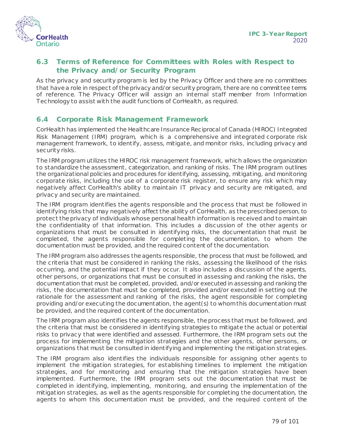

#### **6.3 Terms of Reference for Committees with Roles with Respect to the Privacy and/or Security Program**

As the privacy and security program is led by the Privacy Officer and there are no committees that have a role in respect of the privacy and/or security program, there are no committee terms of reference. The Privacy Officer will assign an internal staff member from Information Technology to assist with the audit functions of CorHealth, as required.

#### **6.4 Corporate Risk Management Framework**

CorHealth has implemented the Healthcare Insurance Reciprocal of Canada (HIROC) Integrated Risk Management (IRM) program, which is a comprehensive and integrated corporate risk management framework, to identify, assess, mitigate, and monitor risks, including privacy and security risks.

The IRM program utilizes the HIROC risk management framework, which allows the organization to standardize the assessment, categorization, and ranking of risks. The IRM program outlines the organizational policies and procedures for identifying, assessing, mitigating, and monitoring corporate risks, including the use of a corporate risk register, to ensure any risk which may negatively affect CorHealth's ability to maintain IT privacy and security are mitigated, and privacy and security are maintained.

The IRM program identifies the agents responsible and the process that must be followed in identifying risks that may negatively affect the ability of CorHealth, as the prescribed person, to protect the privacy of individuals whose personal health information is received and to maintain the confidentiality of that information. This includes a discussion of the other agents or organizations that must be consulted in identifying risks, the documentation that must be completed, the agents responsible for completing the documentation, to whom the documentation must be provided, and the required content of the documentation.

The IRM program also addresses the agents responsible, the process that must be followed, and the criteria that must be considered in ranking the risks, assessing the likelihood of the risks occurring, and the potential impact if they occur. It also includes a discussion of the agents, other persons, or organizations that must be consulted in assessing and ranking the risks, the documentation that must be completed, provided, and/or executed in assessing and ranking the risks, the documentation that must be completed, provided and/or executed in setting out the rationale for the assessment and ranking of the risks, the agent responsible for completing providing and/or executing the documentation, the agent(s) to whom this documentation must be provided, and the required content of the documentation.

The IRM program also identifies the agents responsible, the process that must be followed, and the criteria that must be considered in identifying strategies to mitigate the actual or potential risks to privacy that were identified and assessed. Furthermore, the IRM program sets out the process for implementing the mitigation strategies and the other agents, other persons, or organizations that must be consulted in identifying and implementing the mitigation strategies.

The IRM program also identifies the individuals responsible for assigning other agents to implement the mitigation strategies, for establishing timelines to implement the mitigation strategies, and for monitoring and ensuring that the mitigation strategies have been implemented. Furthermore, the IRM program sets out the documentation that must be completed in identifying, implementing, monitoring, and ensuring the implementation of the mitigation strategies, as well as the agents responsible for completing the documentation, the agents to whom this documentation must be provided, and the required content of the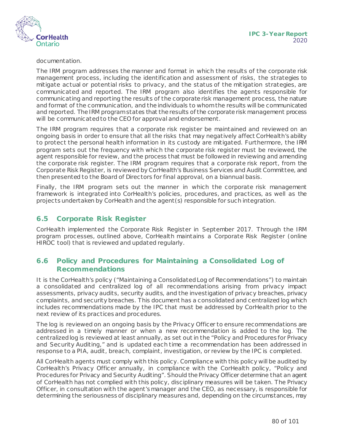

documentation.

The IRM program addresses the manner and format in which the results of the corporate risk management process, including the identification and assessment of risks, the strategies to mitigate actual or potential risks to privacy, and the status of the mitigation strategies, are communicated and reported. The IRM program also identifies the agents responsible for communicating and reporting the results of the corporate risk management process, the nature and format of the communication, and the individuals to whom the results will be communicated and reported. The IRM program states that the results of the corporate risk management process will be communicated to the CEO for approval and endorsement.

The IRM program requires that a corporate risk register be maintained and reviewed on an ongoing basis in order to ensure that all the risks that may negatively affect CorHealth's ability to protect the personal health information in its custody are mitigated. Furthermore, the IRM program sets out the frequency with which the corporate risk register must be reviewed, the agent responsible for review, and the process that must be followed in reviewing and amending the corporate risk register. The IRM program requires that a corporate risk report, from the Corporate Risk Register, is reviewed by CorHealth's Business Services and Audit Committee, and then presented to the Board of Directors for final approval, on a biannual basis.

Finally, the IRM program sets out the manner in which the corporate risk management framework is integrated into CorHealth's policies, procedures, and practices, as well as the projects undertaken by CorHealth and the agent(s) responsible for such integration.

#### **6.5 Corporate Risk Register**

CorHealth implemented the Corporate Risk Register in September 2017. Through the IRM program processes, outlined above, CorHealth maintains a Corporate Risk Register (online HIROC tool) that is reviewed and updated regularly.

#### **6.6 Policy and Procedures for Maintaining a Consolidated Log of Recommendations**

It is the CorHealth's policy ("Maintaining a Consolidated Log of Recommendations") to maintain a consolidated and centralized log of all recommendations arising from privacy impact assessments, privacy audits, security audits, and the investigation of privacy breaches, privacy complaints, and security breaches. This document has a consolidated and centralized log which includes recommendations made by the IPC that must be addressed by CorHealth prior to the next review of its practices and procedures.

The log is reviewed on an ongoing basis by the Privacy Officer to ensure recommendations are addressed in a timely manner or when a new recommendation is added to the log. The centralized log is reviewed at least annually, as set out in the "Policy and Procedures for Privacy and Security Auditing," and is updated each time a recommendation has been addressed in response to a PIA, audit, breach, complaint, investigation, or review by the IPC is completed.

All CorHealth agents must comply with this policy. Compliance with this policy will be audited by CorHealth's Privacy Officer annually, in compliance with the CorHealth policy, "Policy and Procedures for Privacy and Security Auditing". Should the Privacy Officer determine that an agent of CorHealth has not complied with this policy, disciplinary measures will be taken. The Privacy Officer, in consultation with the agent's manager and the CEO, as necessary, is responsible for determining the seriousness of disciplinary measures and, depending on the circumstances, may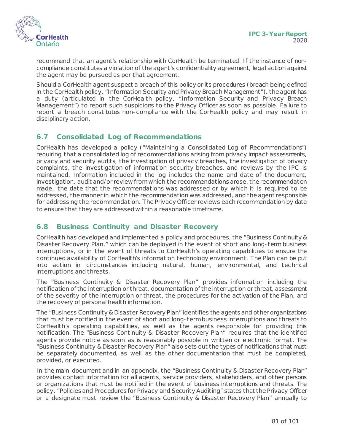

recommend that an agent's relationship with CorHealth be terminated. If the instance of noncompliance constitutes a violation of the agent's confidentiality agreement, legal action against the agent may be pursued as per that agreement.

Should a CorHealth agent suspect a breach of this policy or its procedures (breach being defined in the CorHealth policy, "Information Security and Privacy Breach Management"), the agent has a duty (articulated in the CorHealth policy, "Information Security and Privacy Breach Management") to report such suspicions to the Privacy Officer as soon as possible. Failure to report a breach constitutes non-compliance with the CorHealth policy and may result in disciplinary action.

#### **6.7 Consolidated Log of Recommendations**

CorHealth has developed a policy ("Maintaining a Consolidated Log of Recommendations") requiring that a consolidated log of recommendations arising from privacy impact assessments, privacy and security audits, the investigation of privacy breaches, the investigation of privacy complaints, the investigation of information security breaches, and reviews by the IPC is maintained. Information included in the log includes the name and date of the document, investigation, audit and/or review from which the recommendations arose, the recommendation made, the date that the recommendations was addressed or by which it is required to be addressed, the manner in which the recommendation was addressed, and the agent responsible for addressing the recommendation. The Privacy Officer reviews each recommendation by date to ensure that they are addressed within a reasonable timeframe.

#### **6.8 Business Continuity and Disaster Recovery**

CorHealth has developed and implemented a policy and procedures, the "Business Continuity & Disaster Recovery Plan," which can be deployed in the event of short and long-term business interruptions, or in the event of threats to CorHealth's operating capabilities to ensure the continued availability of CorHealth's information technology environment. The Plan can be put into action in circumstances including natural, human, environmental, and technical interruptions and threats.

The "Business Continuity & Disaster Recovery Plan" provides information including the notification of the interruption or threat, documentation of the interruption or threat, assessment of the severity of the interruption or threat, the procedures for the activation of the Plan, and the recovery of personal health information.

The "Business Continuity & Disaster Recovery Plan" identifies the agents and other organizations that must be notified in the event of short and long-term business interruptions and threats to CorHealth's operating capabilities, as well as the agents responsible for providing this notification. The "Business Continuity & Disaster Recovery Plan" requires that the identified agents provide notice as soon as is reasonably possible in written or electronic format. The "Business Continuity & Disaster Recovery Plan" also sets out the types of notifications that must be separately documented, as well as the other documentation that must be completed, provided, or executed.

In the main document and in an appendix, the "Business Continuity & Disaster Recovery Plan" provides contact information for all agents, service providers, stakeholders, and other persons or organizations that must be notified in the event of business interruptions and threats. The policy, "Policies and Procedures for Privacy and Security Auditing" states that the Privacy Officer or a designate must review the "Business Continuity & Disaster Recovery Plan" annually to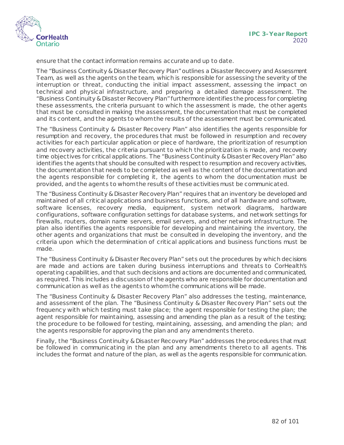

ensure that the contact information remains accurate and up to date.

The "Business Continuity & Disaster Recovery Plan" outlines a Disaster Recovery and Assessment Team, as well as the agents on the team, which is responsible for assessing the severity of the interruption or threat, conducting the initial impact assessment, assessing the impact on technical and physical infrastructure, and preparing a detailed damage assessment. The "Business Continuity & Disaster Recovery Plan" furthermore identifies the process for completing these assessments, the criteria pursuant to which the assessment is made, the other agents that must be consulted in making the assessment, the documentation that must be completed and its content, and the agents to whom the results of the assessment must be communicated.

The "Business Continuity & Disaster Recovery Plan" also identifies the agents responsible for resumption and recovery, the procedures that must be followed in resumption and recovery activities for each particular application or piece of hardware, the prioritization of resumption and recovery activities, the criteria pursuant to which the prioritization is made, and recovery time objectives for critical applications. The "Business Continuity & Disaster Recovery Plan" also identifies the agents that should be consulted with respect to resumption and recovery activities, the documentation that needs to be completed as well as the content of the documentation and the agents responsible for completing it, the agents to whom the documentation must be provided, and the agents to whom the results of these activities must be communicated.

The "Business Continuity & Disaster Recovery Plan" requires that an inventory be developed and maintained of all critical applications and business functions, and of all hardware and software, software licenses, recovery media, equipment, system network diagrams, hardware configurations, software configuration settings for database systems, and network settings for firewalls, routers, domain name servers, email servers, and other network infrastructure. The plan also identifies the agents responsible for developing and maintaining the inventory, the other agents and organizations that must be consulted in developing the inventory, and the criteria upon which the determination of critical applications and business functions must be made.

The "Business Continuity & Disaster Recovery Plan" sets out the procedures by which decisions are made and actions are taken during business interruptions and threats to CorHealth's operating capabilities, and that such decisions and actions are documented and communicated, as required. This includes a discussion of the agents who are responsible for documentation and communication as well as the agents to whom the communications will be made.

The "Business Continuity & Disaster Recovery Plan" also addresses the testing, maintenance, and assessment of the plan. The "Business Continuity & Disaster Recovery Plan" sets out the frequency with which testing must take place; the agent responsible for testing the plan; the agent responsible for maintaining, assessing and amending the plan as a result of the testing; the procedure to be followed for testing, maintaining, assessing, and amending the plan; and the agents responsible for approving the plan and any amendments thereto.

Finally, the "Business Continuity & Disaster Recovery Plan" addresses the procedures that must be followed in communicating in the plan and any amendments thereto to all agents. This includes the format and nature of the plan, as well as the agents responsible for communication.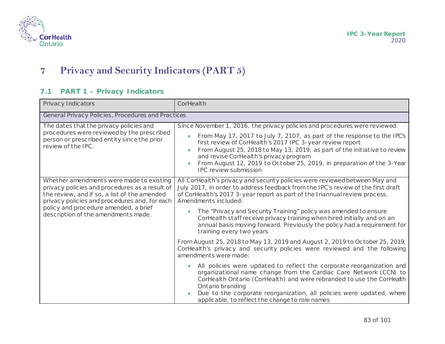

# **7 Privacy and Security Indicators (PART 5)**

#### **7.1 PART 1 – Privacy Indicators**

| Privacy Indicators                                                                                                                                                                                                                                                          | CorHealth                                                                                                                                                                                                                                                                                                                                                                                                                                                                                                                                                                                                                                                                                                                                                                                                                                                                                                                                                                                                                                                                                 |
|-----------------------------------------------------------------------------------------------------------------------------------------------------------------------------------------------------------------------------------------------------------------------------|-------------------------------------------------------------------------------------------------------------------------------------------------------------------------------------------------------------------------------------------------------------------------------------------------------------------------------------------------------------------------------------------------------------------------------------------------------------------------------------------------------------------------------------------------------------------------------------------------------------------------------------------------------------------------------------------------------------------------------------------------------------------------------------------------------------------------------------------------------------------------------------------------------------------------------------------------------------------------------------------------------------------------------------------------------------------------------------------|
| General Privacy Policies, Procedures and Practices                                                                                                                                                                                                                          |                                                                                                                                                                                                                                                                                                                                                                                                                                                                                                                                                                                                                                                                                                                                                                                                                                                                                                                                                                                                                                                                                           |
| The dates that the privacy policies and<br>procedures were reviewed by the prescribed<br>person or prescribed entity since the prior<br>review of the IPC.                                                                                                                  | Since November 1, 2016, the privacy policies and procedures were reviewed:<br>From May 17, 2017 to July 7, 2107, as part of the response to the IPC's<br>$\bullet$<br>first review of CorHealth's 2017 IPC 3-year review report<br>From August 25, 2018 to May 13, 2019, as part of the initiative to review<br>and revise CorHealth's privacy program<br>From August 12, 2019 to October 25, 2019, in preparation of the 3-Year<br><b>IPC</b> review submission                                                                                                                                                                                                                                                                                                                                                                                                                                                                                                                                                                                                                          |
| Whether amendments were made to existing<br>privacy policies and procedures as a result of<br>the review, and if so, a list of the amended<br>privacy policies and procedures and, for each<br>policy and procedure amended, a brief<br>description of the amendments made. | All CorHealth's privacy and security policies were reviewed between May and<br>July 2017, in order to address feedback from the IPC's review of the first draft<br>of CorHealth's 2017 3-year report as part of the triannual review process.<br>Amendments included:<br>The "Privacy and Security Training" policy was amended to ensure<br>CorHealth staff receive privacy training when hired initially and on an<br>annual basis moving forward. Previously the policy had a requirement for<br>training every two years<br>From August 25, 2018 to May 13, 2019 and August 2, 2019 to October 25, 2019,<br>CorHealth's privacy and security policies were reviewed and the following<br>amendments were made:<br>All policies were updated to reflect the corporate reorganization and<br>organizational name change from the Cardiac Care Network (CCN) to<br>CorHealth Ontario (CorHealth) and were rebranded to use the CorHealth<br>Ontario branding<br>Due to the corporate reorganization, all policies were updated, where<br>applicable, to reflect the change to role names |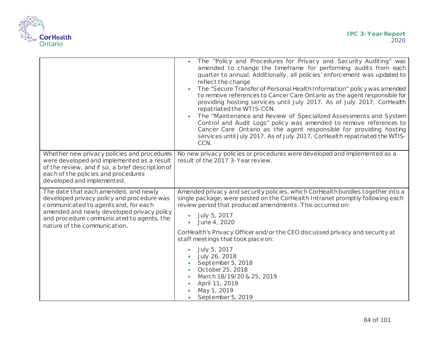

|                                                                                                                                                                                                                                                        | The "Policy and Procedures for Privacy and Security Auditing" was<br>amended to change the timeframe for performing audits from each<br>quarter to annual. Additionally, all policies' enforcement was updated to<br>reflect the change<br>The "Secure Transfer of Personal Health Information" policy was amended<br>to remove references to Cancer Care Ontario as the agent responsible for<br>providing hosting services until July 2017. As of July 2017, CorHealth<br>repatriated the WTIS-CCN.<br>The "Maintenance and Review of Specialized Assessments and System<br>Control and Audit Logs" policy was amended to remove references to<br>Cancer Care Ontario as the agent responsible for providing hosting<br>services until July 2017. As of July 2017, CorHealth repatriated the WTIS-<br>CCN. |
|--------------------------------------------------------------------------------------------------------------------------------------------------------------------------------------------------------------------------------------------------------|--------------------------------------------------------------------------------------------------------------------------------------------------------------------------------------------------------------------------------------------------------------------------------------------------------------------------------------------------------------------------------------------------------------------------------------------------------------------------------------------------------------------------------------------------------------------------------------------------------------------------------------------------------------------------------------------------------------------------------------------------------------------------------------------------------------|
| Whether new privacy policies and procedures<br>were developed and implemented as a result<br>of the review, and if so, a brief description of<br>each of the policies and procedures<br>developed and implemented.                                     | No new privacy policies or procedures were developed and implemented as a<br>result of the 2017 3-Year review.                                                                                                                                                                                                                                                                                                                                                                                                                                                                                                                                                                                                                                                                                               |
| The date that each amended, and newly<br>developed privacy policy and procedure was<br>communicated to agents and, for each<br>amended and newly developed privacy policy<br>and procedure communicated to agents, the<br>nature of the communication. | Amended privacy and security policies, which CorHealth bundles together into a<br>single package, were posted on the CorHealth Intranet promptly following each<br>review period that produced amendments. This occurred on:<br>July 5, 2017<br>$\bullet$<br>June 4, 2020<br>CorHealth's Privacy Officer and/or the CEO discussed privacy and security at<br>staff meetings that took place on:                                                                                                                                                                                                                                                                                                                                                                                                              |
|                                                                                                                                                                                                                                                        | July 5, 2017<br>July 26, 2018<br>September 5, 2018<br>October 25, 2018<br>March 18/19/20 & 25, 2019<br>April 11, 2019<br>May 1, 2019<br>September 5, 2019<br>$\bullet$                                                                                                                                                                                                                                                                                                                                                                                                                                                                                                                                                                                                                                       |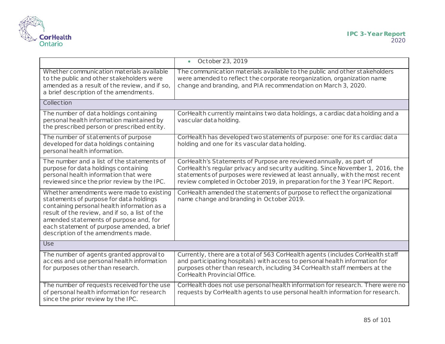

|                                                                                                                                                                                                                                                                                                                     | October 23, 2019<br>$\bullet$                                                                                                                                                                                                                                                                                        |  |
|---------------------------------------------------------------------------------------------------------------------------------------------------------------------------------------------------------------------------------------------------------------------------------------------------------------------|----------------------------------------------------------------------------------------------------------------------------------------------------------------------------------------------------------------------------------------------------------------------------------------------------------------------|--|
| Whether communication materials available<br>to the public and other stakeholders were<br>amended as a result of the review, and if so,<br>a brief description of the amendments.                                                                                                                                   | The communication materials available to the public and other stakeholders<br>were amended to reflect the corporate reorganization, organization name<br>change and branding, and PIA recommendation on March 3, 2020.                                                                                               |  |
| Collection                                                                                                                                                                                                                                                                                                          |                                                                                                                                                                                                                                                                                                                      |  |
| The number of data holdings containing<br>personal health information maintained by<br>the prescribed person or prescribed entity.                                                                                                                                                                                  | CorHealth currently maintains two data holdings, a cardiac data holding and a<br>vascular data holding.                                                                                                                                                                                                              |  |
| The number of statements of purpose<br>developed for data holdings containing<br>personal health information.                                                                                                                                                                                                       | CorHealth has developed two statements of purpose: one for its cardiac data<br>holding and one for its vascular data holding.                                                                                                                                                                                        |  |
| The number and a list of the statements of<br>purpose for data holdings containing<br>personal health information that were<br>reviewed since the prior review by the IPC.                                                                                                                                          | CorHealth's Statements of Purpose are reviewed annually, as part of<br>CorHealth's regular privacy and security auditing. Since November 1, 2016, the<br>statements of purposes were reviewed at least annually, with the most recent<br>review completed in October 2019, in preparation for the 3 Year IPC Report. |  |
| Whether amendments were made to existing<br>statements of purpose for data holdings<br>containing personal health information as a<br>result of the review, and if so, a list of the<br>amended statements of purpose and, for<br>each statement of purpose amended, a brief<br>description of the amendments made. | CorHealth amended the statements of purpose to reflect the organizational<br>name change and branding in October 2019.                                                                                                                                                                                               |  |
| <b>Use</b>                                                                                                                                                                                                                                                                                                          |                                                                                                                                                                                                                                                                                                                      |  |
| The number of agents granted approval to<br>access and use personal health information<br>for purposes other than research.                                                                                                                                                                                         | Currently, there are a total of 563 CorHealth agents (includes CorHealth staff<br>and participating hospitals) with access to personal health information for<br>purposes other than research, including 34 CorHealth staff members at the<br>CorHealth Provincial Office.                                           |  |
| The number of requests received for the use<br>of personal health information for research<br>since the prior review by the IPC.                                                                                                                                                                                    | CorHealth does not use personal health information for research. There were no<br>requests by CorHealth agents to use personal health information for research.                                                                                                                                                      |  |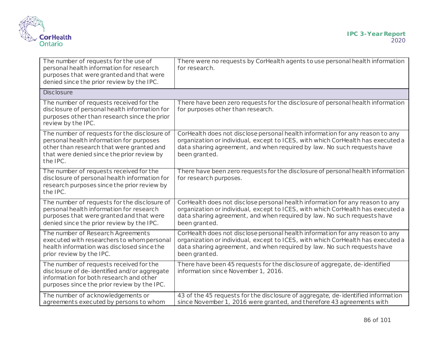

| The number of requests for the use of<br>personal health information for research<br>purposes that were granted and that were<br>denied since the prior review by the IPC.                      | There were no requests by CorHealth agents to use personal health information<br>for research.                                                                                                                                                               |
|-------------------------------------------------------------------------------------------------------------------------------------------------------------------------------------------------|--------------------------------------------------------------------------------------------------------------------------------------------------------------------------------------------------------------------------------------------------------------|
| <b>Disclosure</b>                                                                                                                                                                               |                                                                                                                                                                                                                                                              |
| The number of requests received for the<br>disclosure of personal health information for<br>purposes other than research since the prior<br>review by the IPC.                                  | There have been zero requests for the disclosure of personal health information<br>for purposes other than research.                                                                                                                                         |
| The number of requests for the disclosure of<br>personal health information for purposes<br>other than research that were granted and<br>that were denied since the prior review by<br>the IPC. | CorHealth does not disclose personal health information for any reason to any<br>organization or individual, except to ICES, with which CorHealth has executed a<br>data sharing agreement, and when required by law. No such requests have<br>been granted. |
| The number of requests received for the<br>disclosure of personal health information for<br>research purposes since the prior review by<br>the IPC.                                             | There have been zero requests for the disclosure of personal health information<br>for research purposes.                                                                                                                                                    |
| The number of requests for the disclosure of<br>personal health information for research<br>purposes that were granted and that were<br>denied since the prior review by the IPC.               | CorHealth does not disclose personal health information for any reason to any<br>organization or individual, except to ICES, with which CorHealth has executed a<br>data sharing agreement, and when required by law. No such requests have<br>been granted. |
| The number of Research Agreements<br>executed with researchers to whom personal<br>health information was disclosed since the<br>prior review by the IPC.                                       | CorHealth does not disclose personal health information for any reason to any<br>organization or individual, except to ICES, with which CorHealth has executed a<br>data sharing agreement, and when required by law. No such requests have<br>been granted. |
| The number of requests received for the<br>disclosure of de-identified and/or aggregate<br>information for both research and other<br>purposes since the prior review by the IPC.               | There have been 45 requests for the disclosure of aggregate, de-identified<br>information since November 1, 2016.                                                                                                                                            |
| The number of acknowledgements or<br>agreements executed by persons to whom                                                                                                                     | 43 of the 45 requests for the disclosure of aggregate, de-identified information<br>since November 1, 2016 were granted, and therefore 43 agreements with                                                                                                    |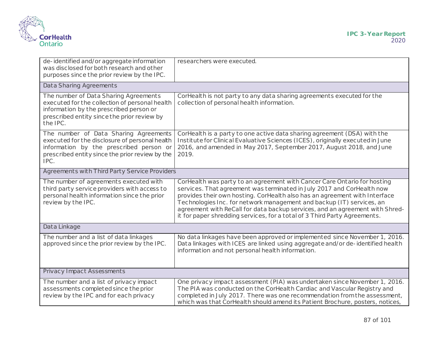

| de-identified and/or aggregate information<br>was disclosed for both research and other<br>purposes since the prior review by the IPC.                                                        | researchers were executed.                                                                                                                                                                                                                                                                                                                                                                                                                                             |  |
|-----------------------------------------------------------------------------------------------------------------------------------------------------------------------------------------------|------------------------------------------------------------------------------------------------------------------------------------------------------------------------------------------------------------------------------------------------------------------------------------------------------------------------------------------------------------------------------------------------------------------------------------------------------------------------|--|
| Data Sharing Agreements                                                                                                                                                                       |                                                                                                                                                                                                                                                                                                                                                                                                                                                                        |  |
| The number of Data Sharing Agreements<br>executed for the collection of personal health<br>information by the prescribed person or<br>prescribed entity since the prior review by<br>the IPC. | CorHealth is not party to any data sharing agreements executed for the<br>collection of personal health information.                                                                                                                                                                                                                                                                                                                                                   |  |
| The number of Data Sharing Agreements<br>executed for the disclosure of personal health<br>information by the prescribed person or<br>prescribed entity since the prior review by the<br>IPC. | CorHealth is a party to one active data sharing agreement (DSA) with the<br>Institute for Clinical Evaluative Sciences (ICES), originally executed in June<br>2016, and amended in May 2017, September 2017, August 2018, and June<br>2019.                                                                                                                                                                                                                            |  |
| Agreements with Third Party Service Providers                                                                                                                                                 |                                                                                                                                                                                                                                                                                                                                                                                                                                                                        |  |
| The number of agreements executed with<br>third party service providers with access to<br>personal health information since the prior<br>review by the IPC.                                   | CorHealth was party to an agreement with Cancer Care Ontario for hosting<br>services. That agreement was terminated in July 2017 and CorHealth now<br>provides their own hosting. CorHealth also has an agreement with Interface<br>Technologies Inc. for network management and backup (IT) services, an<br>agreement with ReCall for data backup services, and an agreement with Shred-<br>it for paper shredding services, for a total of 3 Third Party Agreements. |  |
| Data Linkage                                                                                                                                                                                  |                                                                                                                                                                                                                                                                                                                                                                                                                                                                        |  |
| The number and a list of data linkages<br>approved since the prior review by the IPC.                                                                                                         | No data linkages have been approved or implemented since November 1, 2016.<br>Data linkages with ICES are linked using aggregate and/or de-identified health<br>information and not personal health information.                                                                                                                                                                                                                                                       |  |
| <b>Privacy Impact Assessments</b>                                                                                                                                                             |                                                                                                                                                                                                                                                                                                                                                                                                                                                                        |  |
| The number and a list of privacy impact<br>assessments completed since the prior<br>review by the IPC and for each privacy                                                                    | One privacy impact assessment (PIA) was undertaken since November 1, 2016.<br>The PIA was conducted on the CorHealth Cardiac and Vascular Registry and<br>completed in July 2017. There was one recommendation from the assessment,<br>which was that CorHealth should amend its Patient Brochure, posters, notices,                                                                                                                                                   |  |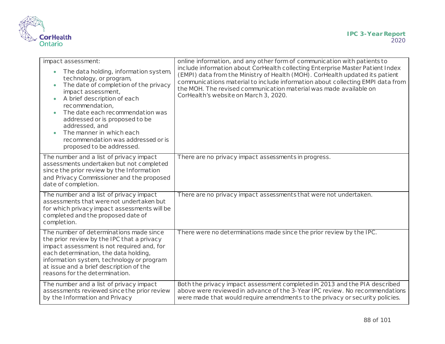

| impact assessment:<br>The data holding, information system,<br>technology, or program,<br>The date of completion of the privacy<br>$\bullet$<br>impact assessment,<br>A brief description of each<br>$\bullet$<br>recommendation,<br>The date each recommendation was<br>addressed or is proposed to be<br>addressed, and<br>The manner in which each<br>recommendation was addressed or is | online information, and any other form of communication with patients to<br>include information about CorHealth collecting Enterprise Master Patient Index<br>(EMPI) data from the Ministry of Health (MOH). CorHealth updated its patient<br>communications material to include information about collecting EMPI data from<br>the MOH. The revised communication material was made available on<br>CorHealth's website on March 3, 2020. |
|---------------------------------------------------------------------------------------------------------------------------------------------------------------------------------------------------------------------------------------------------------------------------------------------------------------------------------------------------------------------------------------------|--------------------------------------------------------------------------------------------------------------------------------------------------------------------------------------------------------------------------------------------------------------------------------------------------------------------------------------------------------------------------------------------------------------------------------------------|
| proposed to be addressed.<br>The number and a list of privacy impact<br>assessments undertaken but not completed<br>since the prior review by the Information<br>and Privacy Commissioner and the proposed<br>date of completion.                                                                                                                                                           | There are no privacy impact assessments in progress.                                                                                                                                                                                                                                                                                                                                                                                       |
| The number and a list of privacy impact<br>assessments that were not undertaken but<br>for which privacy impact assessments will be<br>completed and the proposed date of<br>completion.                                                                                                                                                                                                    | There are no privacy impact assessments that were not undertaken.                                                                                                                                                                                                                                                                                                                                                                          |
| The number of determinations made since<br>the prior review by the IPC that a privacy<br>impact assessment is not required and, for<br>each determination, the data holding,<br>information system, technology or program<br>at issue and a brief description of the<br>reasons for the determination.                                                                                      | There were no determinations made since the prior review by the IPC.                                                                                                                                                                                                                                                                                                                                                                       |
| The number and a list of privacy impact<br>assessments reviewed since the prior review<br>by the Information and Privacy                                                                                                                                                                                                                                                                    | Both the privacy impact assessment completed in 2013 and the PIA described<br>above were reviewed in advance of the 3-Year IPC review. No recommendations<br>were made that would require amendments to the privacy or security policies.                                                                                                                                                                                                  |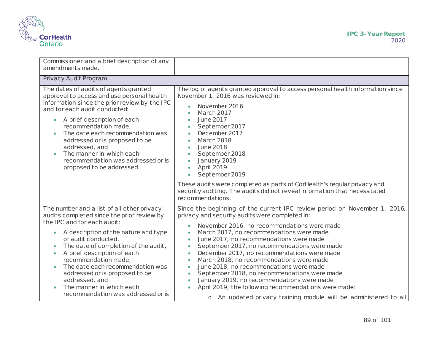

| Commissioner and a brief description of any<br>amendments made.                                                                                                                                                                                                                                                                                                                                                                                                           |                                                                                                                                                                                                                                                                                                                                                                                                                                                                                                                                                                                                                                                                                                                                                                                                        |
|---------------------------------------------------------------------------------------------------------------------------------------------------------------------------------------------------------------------------------------------------------------------------------------------------------------------------------------------------------------------------------------------------------------------------------------------------------------------------|--------------------------------------------------------------------------------------------------------------------------------------------------------------------------------------------------------------------------------------------------------------------------------------------------------------------------------------------------------------------------------------------------------------------------------------------------------------------------------------------------------------------------------------------------------------------------------------------------------------------------------------------------------------------------------------------------------------------------------------------------------------------------------------------------------|
| Privacy Audit Program                                                                                                                                                                                                                                                                                                                                                                                                                                                     |                                                                                                                                                                                                                                                                                                                                                                                                                                                                                                                                                                                                                                                                                                                                                                                                        |
| The dates of audits of agents granted<br>approval to access and use personal health<br>information since the prior review by the IPC<br>and for each audit conducted:<br>A brief description of each<br>$\bullet$<br>recommendation made,<br>The date each recommendation was<br>addressed or is proposed to be<br>addressed, and<br>The manner in which each<br>recommendation was addressed or is<br>proposed to be addressed.                                          | The log of agents granted approval to access personal health information since<br>November 1, 2016 was reviewed in:<br>November 2016<br><b>March 2017</b><br><b>June 2017</b><br>$\bullet$<br>September 2017<br>$\bullet$<br>December 2017<br>$\bullet$<br><b>March 2018</b><br>$\bullet$<br><b>June 2018</b><br>$\bullet$<br>September 2018<br>$\bullet$<br>January 2019<br>April 2019<br>$\bullet$<br>September 2019<br>$\bullet$<br>These audits were completed as parts of CorHealth's regular privacy and<br>security auditing. The audits did not reveal information that necessitated                                                                                                                                                                                                           |
|                                                                                                                                                                                                                                                                                                                                                                                                                                                                           | recommendations.                                                                                                                                                                                                                                                                                                                                                                                                                                                                                                                                                                                                                                                                                                                                                                                       |
| The number and a list of all other privacy<br>audits completed since the prior review by<br>the IPC and for each audit:<br>A description of the nature and type<br>$\bullet$<br>of audit conducted,<br>The date of completion of the audit,<br>A brief description of each<br>$\bullet$<br>recommendation made,<br>The date each recommendation was<br>addressed or is proposed to be<br>addressed, and<br>The manner in which each<br>recommendation was addressed or is | Since the beginning of the current IPC review period on November 1, 2016,<br>privacy and security audits were completed in:<br>November 2016, no recommendations were made<br>$\bullet$<br>March 2017, no recommendations were made<br>$\bullet$<br>June 2017, no recommendations were made<br>$\bullet$<br>September 2017, no recommendations were made<br>$\bullet$<br>December 2017, no recommendations were made<br>$\bullet$<br>March 2018, no recommendations were made<br>$\bullet$<br>June 2018, no recommendations were made<br>$\bullet$<br>September 2018, no recommendations were made<br>$\bullet$<br>January 2019, no recommendations were made<br>$\bullet$<br>April 2019, the following recommendations were made:<br>o An updated privacy training module will be administered to all |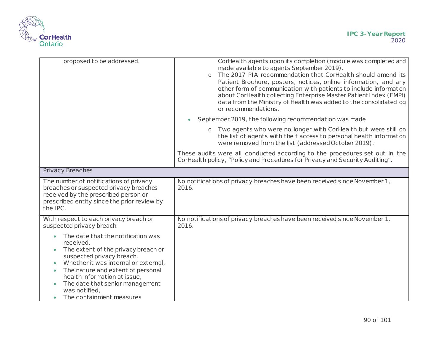

| proposed to be addressed.                                                                                                                                                                                                                                                                                                                                            | CorHealth agents upon its completion (module was completed and<br>made available to agents September 2019).<br>The 2017 PIA recommendation that CorHealth should amend its<br>$\Omega$<br>Patient Brochure, posters, notices, online information, and any<br>other form of communication with patients to include information<br>about CorHealth collecting Enterprise Master Patient Index (EMPI)<br>data from the Ministry of Health was added to the consolidated log<br>or recommendations. |
|----------------------------------------------------------------------------------------------------------------------------------------------------------------------------------------------------------------------------------------------------------------------------------------------------------------------------------------------------------------------|-------------------------------------------------------------------------------------------------------------------------------------------------------------------------------------------------------------------------------------------------------------------------------------------------------------------------------------------------------------------------------------------------------------------------------------------------------------------------------------------------|
|                                                                                                                                                                                                                                                                                                                                                                      | September 2019, the following recommendation was made                                                                                                                                                                                                                                                                                                                                                                                                                                           |
|                                                                                                                                                                                                                                                                                                                                                                      | Two agents who were no longer with CorHealth but were still on<br>$\circ$<br>the list of agents with the f access to personal health information<br>were removed from the list (addressed October 2019).                                                                                                                                                                                                                                                                                        |
|                                                                                                                                                                                                                                                                                                                                                                      | These audits were all conducted according to the procedures set out in the<br>CorHealth policy, "Policy and Procedures for Privacy and Security Auditing".                                                                                                                                                                                                                                                                                                                                      |
| <b>Privacy Breaches</b>                                                                                                                                                                                                                                                                                                                                              |                                                                                                                                                                                                                                                                                                                                                                                                                                                                                                 |
| The number of notifications of privacy<br>breaches or suspected privacy breaches<br>received by the prescribed person or<br>prescribed entity since the prior review by<br>the IPC.                                                                                                                                                                                  | No notifications of privacy breaches have been received since November 1,<br>2016.                                                                                                                                                                                                                                                                                                                                                                                                              |
| With respect to each privacy breach or<br>suspected privacy breach:                                                                                                                                                                                                                                                                                                  | No notifications of privacy breaches have been received since November 1,<br>2016.                                                                                                                                                                                                                                                                                                                                                                                                              |
| The date that the notification was<br>received,<br>The extent of the privacy breach or<br>$\bullet$<br>suspected privacy breach,<br>Whether it was internal or external,<br>$\bullet$<br>The nature and extent of personal<br>$\bullet$<br>health information at issue,<br>The date that senior management<br>$\bullet$<br>was notified,<br>The containment measures |                                                                                                                                                                                                                                                                                                                                                                                                                                                                                                 |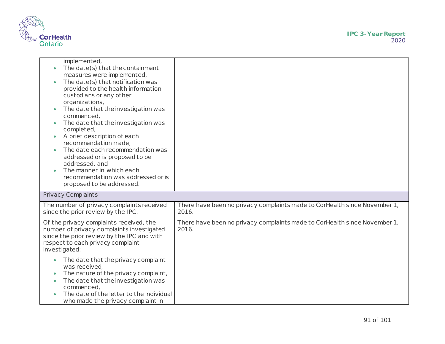

| implemented,<br>The date(s) that the containment<br>measures were implemented,<br>The date(s) that notification was<br>provided to the health information<br>custodians or any other<br>organizations,<br>The date that the investigation was<br>commenced,<br>The date that the investigation was<br>$\bullet$<br>completed,<br>A brief description of each<br>recommendation made,<br>The date each recommendation was<br>addressed or is proposed to be<br>addressed, and<br>The manner in which each<br>recommendation was addressed or is<br>proposed to be addressed. |                                                                                    |
|-----------------------------------------------------------------------------------------------------------------------------------------------------------------------------------------------------------------------------------------------------------------------------------------------------------------------------------------------------------------------------------------------------------------------------------------------------------------------------------------------------------------------------------------------------------------------------|------------------------------------------------------------------------------------|
| Privacy Complaints                                                                                                                                                                                                                                                                                                                                                                                                                                                                                                                                                          |                                                                                    |
| The number of privacy complaints received<br>since the prior review by the IPC.                                                                                                                                                                                                                                                                                                                                                                                                                                                                                             | There have been no privacy complaints made to CorHealth since November 1,<br>2016. |
| Of the privacy complaints received, the<br>number of privacy complaints investigated<br>since the prior review by the IPC and with<br>respect to each privacy complaint<br>investigated:<br>The date that the privacy complaint<br>$\bullet$                                                                                                                                                                                                                                                                                                                                | There have been no privacy complaints made to CorHealth since November 1,<br>2016. |
| was received,<br>The nature of the privacy complaint,<br>$\bullet$<br>The date that the investigation was<br>$\bullet$<br>commenced,<br>The date of the letter to the individual<br>who made the privacy complaint in                                                                                                                                                                                                                                                                                                                                                       |                                                                                    |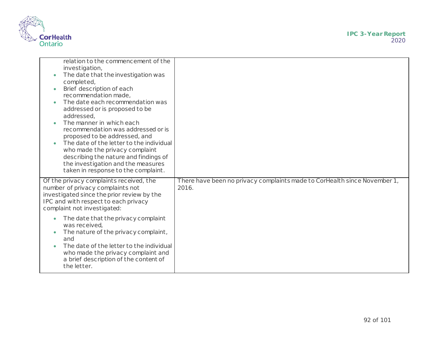

| relation to the commencement of the<br>investigation,<br>The date that the investigation was<br>completed,<br>Brief description of each<br>recommendation made,<br>The date each recommendation was<br>$\bullet$<br>addressed or is proposed to be<br>addressed,<br>The manner in which each<br>$\bullet$<br>recommendation was addressed or is<br>proposed to be addressed, and<br>The date of the letter to the individual<br>who made the privacy complaint<br>describing the nature and findings of<br>the investigation and the measures<br>taken in response to the complaint. |                                                                                    |
|--------------------------------------------------------------------------------------------------------------------------------------------------------------------------------------------------------------------------------------------------------------------------------------------------------------------------------------------------------------------------------------------------------------------------------------------------------------------------------------------------------------------------------------------------------------------------------------|------------------------------------------------------------------------------------|
| Of the privacy complaints received, the<br>number of privacy complaints not<br>investigated since the prior review by the<br>IPC and with respect to each privacy<br>complaint not investigated:                                                                                                                                                                                                                                                                                                                                                                                     | There have been no privacy complaints made to CorHealth since November 1,<br>2016. |
| The date that the privacy complaint<br>$\bullet$<br>was received,<br>The nature of the privacy complaint,<br>and<br>The date of the letter to the individual<br>who made the privacy complaint and<br>a brief description of the content of<br>the letter.                                                                                                                                                                                                                                                                                                                           |                                                                                    |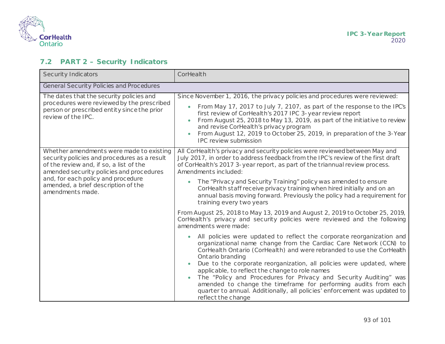

## **7.2 PART 2 – Security Indicators**

| Security Indicators                                                                                                                                                                                                                                                              | CorHealth                                                                                                                                                                                                                                                                                                                                                                                                                                                                                                                                                                                                                                                                                                                         |
|----------------------------------------------------------------------------------------------------------------------------------------------------------------------------------------------------------------------------------------------------------------------------------|-----------------------------------------------------------------------------------------------------------------------------------------------------------------------------------------------------------------------------------------------------------------------------------------------------------------------------------------------------------------------------------------------------------------------------------------------------------------------------------------------------------------------------------------------------------------------------------------------------------------------------------------------------------------------------------------------------------------------------------|
| General Security Policies and Procedures                                                                                                                                                                                                                                         |                                                                                                                                                                                                                                                                                                                                                                                                                                                                                                                                                                                                                                                                                                                                   |
| The dates that the security policies and<br>procedures were reviewed by the prescribed<br>person or prescribed entity since the prior<br>review of the IPC.                                                                                                                      | Since November 1, 2016, the privacy policies and procedures were reviewed:<br>From May 17, 2017 to July 7, 2107, as part of the response to the IPC's<br>$\bullet$<br>first review of CorHealth's 2017 IPC 3-year review report<br>From August 25, 2018 to May 13, 2019, as part of the initiative to review<br>and revise CorHealth's privacy program<br>From August 12, 2019 to October 25, 2019, in preparation of the 3-Year<br><b>IPC review submission</b>                                                                                                                                                                                                                                                                  |
| Whether amendments were made to existing<br>security policies and procedures as a result<br>of the review and, if so, a list of the<br>amended security policies and procedures<br>and, for each policy and procedure<br>amended, a brief description of the<br>amendments made. | All CorHealth's privacy and security policies were reviewed between May and<br>July 2017, in order to address feedback from the IPC's review of the first draft<br>of CorHealth's 2017 3-year report, as part of the triannual review process.<br>Amendments included:<br>The "Privacy and Security Training" policy was amended to ensure<br>$\bullet$<br>CorHealth staff receive privacy training when hired initially and on an<br>annual basis moving forward. Previously the policy had a requirement for<br>training every two years<br>From August 25, 2018 to May 13, 2019 and August 2, 2019 to October 25, 2019,                                                                                                        |
|                                                                                                                                                                                                                                                                                  | CorHealth's privacy and security policies were reviewed and the following<br>amendments were made:<br>All policies were updated to reflect the corporate reorganization and<br>$\bullet$<br>organizational name change from the Cardiac Care Network (CCN) to<br>CorHealth Ontario (CorHealth) and were rebranded to use the CorHealth<br>Ontario branding<br>Due to the corporate reorganization, all policies were updated, where<br>applicable, to reflect the change to role names<br>The "Policy and Procedures for Privacy and Security Auditing" was<br>amended to change the timeframe for performing audits from each<br>quarter to annual. Additionally, all policies' enforcement was updated to<br>reflect the change |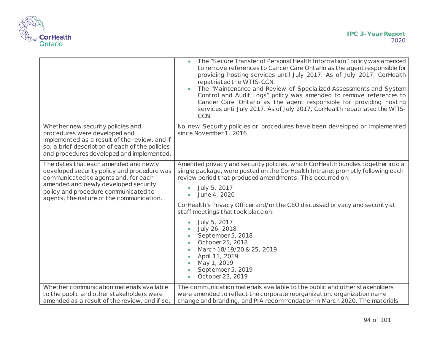

|                                                                                                                                                                                                                                                          | The "Secure Transfer of Personal Health Information" policy was amended<br>to remove references to Cancer Care Ontario as the agent responsible for<br>providing hosting services until July 2017. As of July 2017, CorHealth<br>repatriated the WTIS-CCN.<br>The "Maintenance and Review of Specialized Assessments and System<br>Control and Audit Logs" policy was amended to remove references to<br>Cancer Care Ontario as the agent responsible for providing hosting<br>services until July 2017. As of July 2017, CorHealth repatriated the WTIS-<br>CCN.                                          |
|----------------------------------------------------------------------------------------------------------------------------------------------------------------------------------------------------------------------------------------------------------|------------------------------------------------------------------------------------------------------------------------------------------------------------------------------------------------------------------------------------------------------------------------------------------------------------------------------------------------------------------------------------------------------------------------------------------------------------------------------------------------------------------------------------------------------------------------------------------------------------|
| Whether new security policies and<br>procedures were developed and<br>implemented as a result of the review, and if<br>so, a brief description of each of the policies<br>and procedures developed and implemented.                                      | No new Security policies or procedures have been developed or implemented<br>since November 1, 2016                                                                                                                                                                                                                                                                                                                                                                                                                                                                                                        |
| The dates that each amended and newly<br>developed security policy and procedure was<br>communicated to agents and, for each<br>amended and newly developed security<br>policy and procedure communicated to<br>agents, the nature of the communication. | Amended privacy and security policies, which CorHealth bundles together into a<br>single package, were posted on the CorHealth Intranet promptly following each<br>review period that produced amendments. This occurred on:<br>July 5, 2017<br>June 4, 2020<br>CorHealth's Privacy Officer and/or the CEO discussed privacy and security at<br>staff meetings that took place on:<br>July 5, 2017<br>July 26, 2018<br>September 5, 2018<br>October 25, 2018<br>March 18/19/20 & 25, 2019<br>April 11, 2019<br>$\bullet$<br>May 1, 2019<br>$\bullet$<br>September 5, 2019<br>October 23, 2019<br>$\bullet$ |
| Whether communication materials available<br>to the public and other stakeholders were<br>amended as a result of the review, and if so,                                                                                                                  | The communication materials available to the public and other stakeholders<br>were amended to reflect the corporate reorganization, organization name<br>change and branding, and PIA recommendation in March 2020. The materials                                                                                                                                                                                                                                                                                                                                                                          |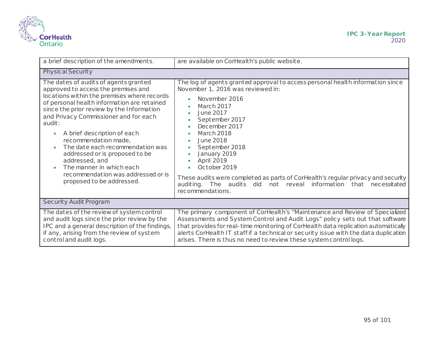

| a brief description of the amendments.                                                                                                                                                                                                                                                                                                                                                                                                                                                                                   | are available on CorHealth's public website.                                                                                                                                                                                                                                                                                                                                                                                                                                                      |
|--------------------------------------------------------------------------------------------------------------------------------------------------------------------------------------------------------------------------------------------------------------------------------------------------------------------------------------------------------------------------------------------------------------------------------------------------------------------------------------------------------------------------|---------------------------------------------------------------------------------------------------------------------------------------------------------------------------------------------------------------------------------------------------------------------------------------------------------------------------------------------------------------------------------------------------------------------------------------------------------------------------------------------------|
| <b>Physical Security</b>                                                                                                                                                                                                                                                                                                                                                                                                                                                                                                 |                                                                                                                                                                                                                                                                                                                                                                                                                                                                                                   |
| The dates of audits of agents granted<br>approved to access the premises and<br>locations within the premises where records<br>of personal health information are retained<br>since the prior review by the Information<br>and Privacy Commissioner and for each<br>audit:<br>A brief description of each<br>recommendation made,<br>The date each recommendation was<br>addressed or is proposed to be<br>addressed, and<br>The manner in which each<br>recommendation was addressed or is<br>proposed to be addressed. | The log of agents granted approval to access personal health information since<br>November 1, 2016 was reviewed in:<br>November 2016<br><b>March 2017</b><br>June 2017<br>September 2017<br>December 2017<br>March 2018<br>$\bullet$<br>June 2018<br>September 2018<br>January 2019<br>April 2019<br>October 2019<br>These audits were completed as parts of CorHealth's regular privacy and security<br>auditing. The audits did<br>not reveal information that necessitated<br>recommendations. |
| Security Audit Program                                                                                                                                                                                                                                                                                                                                                                                                                                                                                                   |                                                                                                                                                                                                                                                                                                                                                                                                                                                                                                   |
| The dates of the review of system control<br>and audit logs since the prior review by the<br>IPC and a general description of the findings,<br>if any, arising from the review of system<br>control and audit logs.                                                                                                                                                                                                                                                                                                      | The primary component of CorHealth's "Maintenance and Review of Specialized<br>Assessments and System Control and Audit Logs" policy sets out that software<br>that provides for real-time monitoring of CorHealth data replication automatically<br>alerts CorHealth IT staff if a technical or security issue with the data duplication<br>arises. There is thus no need to review these system controllogs.                                                                                    |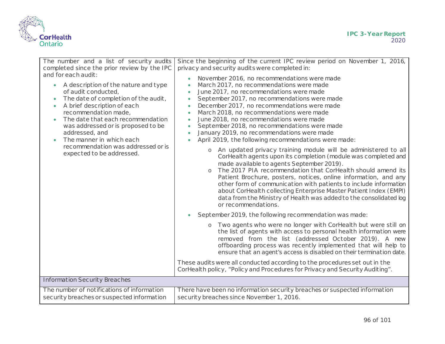

| The number and a list of security audits<br>completed since the prior review by the IPC<br>and for each audit:<br>A description of the nature and type<br>$\bullet$<br>of audit conducted,<br>The date of completion of the audit,<br>$\bullet$<br>A brief description of each<br>$\bullet$<br>recommendation made,<br>The date that each recommendation<br>was addressed or is proposed to be<br>addressed, and<br>The manner in which each<br>recommendation was addressed or is<br>expected to be addressed. | Since the beginning of the current IPC review period on November 1, 2016,<br>privacy and security audits were completed in:<br>November 2016, no recommendations were made<br>March 2017, no recommendations were made<br>$\bullet$<br>June 2017, no recommendations were made<br>$\bullet$<br>September 2017, no recommendations were made<br>$\bullet$<br>December 2017, no recommendations were made<br>$\bullet$<br>March 2018, no recommendations were made<br>$\bullet$<br>June 2018, no recommendations were made<br>$\bullet$<br>September 2018, no recommendations were made<br>$\bullet$<br>January 2019, no recommendations were made<br>April 2019, the following recommendations were made: |
|-----------------------------------------------------------------------------------------------------------------------------------------------------------------------------------------------------------------------------------------------------------------------------------------------------------------------------------------------------------------------------------------------------------------------------------------------------------------------------------------------------------------|----------------------------------------------------------------------------------------------------------------------------------------------------------------------------------------------------------------------------------------------------------------------------------------------------------------------------------------------------------------------------------------------------------------------------------------------------------------------------------------------------------------------------------------------------------------------------------------------------------------------------------------------------------------------------------------------------------|
|                                                                                                                                                                                                                                                                                                                                                                                                                                                                                                                 | o An updated privacy training module will be administered to all<br>CorHealth agents upon its completion (module was completed and<br>made available to agents September 2019).<br>The 2017 PIA recommendation that CorHealth should amend its<br>Patient Brochure, posters, notices, online information, and any<br>other form of communication with patients to include information<br>about CorHealth collecting Enterprise Master Patient Index (EMPI)<br>data from the Ministry of Health was added to the consolidated log<br>or recommendations.                                                                                                                                                  |
|                                                                                                                                                                                                                                                                                                                                                                                                                                                                                                                 | September 2019, the following recommendation was made:<br>Two agents who were no longer with CorHealth but were still on<br>$\circ$<br>the list of agents with access to personal health information were<br>removed from the list (addressed October 2019). A new<br>offboarding process was recently implemented that will help to<br>ensure that an agent's access is disabled on their termination date.<br>These audits were all conducted according to the procedures set out in the<br>CorHealth policy, "Policy and Procedures for Privacy and Security Auditing".                                                                                                                               |
| <b>Information Security Breaches</b>                                                                                                                                                                                                                                                                                                                                                                                                                                                                            |                                                                                                                                                                                                                                                                                                                                                                                                                                                                                                                                                                                                                                                                                                          |
| The number of notifications of information<br>security breaches or suspected information                                                                                                                                                                                                                                                                                                                                                                                                                        | There have been no information security breaches or suspected information<br>security breaches since November 1, 2016.                                                                                                                                                                                                                                                                                                                                                                                                                                                                                                                                                                                   |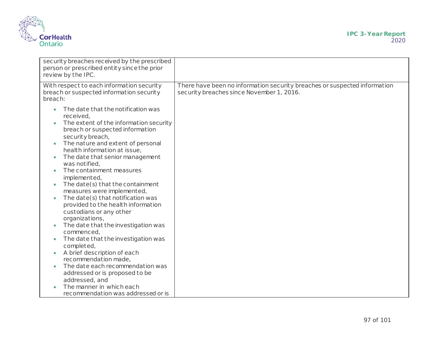

| security breaches received by the prescribed<br>person or prescribed entity since the prior<br>review by the IPC.                                                                                                                                                                                                                                                                                                                                                                                                                                                                |                                                                                                                        |
|----------------------------------------------------------------------------------------------------------------------------------------------------------------------------------------------------------------------------------------------------------------------------------------------------------------------------------------------------------------------------------------------------------------------------------------------------------------------------------------------------------------------------------------------------------------------------------|------------------------------------------------------------------------------------------------------------------------|
| With respect to each information security<br>breach or suspected information security<br>breach:                                                                                                                                                                                                                                                                                                                                                                                                                                                                                 | There have been no information security breaches or suspected information<br>security breaches since November 1, 2016. |
| The date that the notification was<br>received,<br>The extent of the information security<br>breach or suspected information<br>security breach,<br>The nature and extent of personal<br>$\bullet$<br>health information at issue,<br>The date that senior management<br>$\bullet$<br>was notified,<br>The containment measures<br>implemented,<br>The date(s) that the containment<br>measures were implemented,<br>The date(s) that notification was<br>provided to the health information<br>custodians or any other<br>organizations,<br>The date that the investigation was |                                                                                                                        |
| commenced,<br>The date that the investigation was<br>completed,                                                                                                                                                                                                                                                                                                                                                                                                                                                                                                                  |                                                                                                                        |
| A brief description of each<br>recommendation made,<br>The date each recommendation was                                                                                                                                                                                                                                                                                                                                                                                                                                                                                          |                                                                                                                        |
| addressed or is proposed to be<br>addressed, and                                                                                                                                                                                                                                                                                                                                                                                                                                                                                                                                 |                                                                                                                        |
| The manner in which each<br>recommendation was addressed or is                                                                                                                                                                                                                                                                                                                                                                                                                                                                                                                   |                                                                                                                        |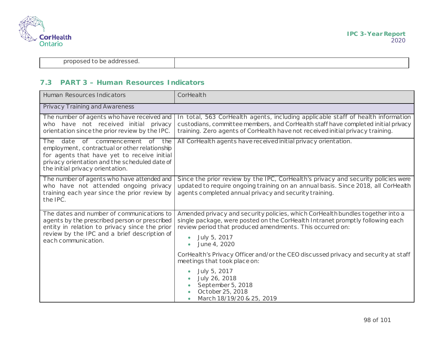

proposed to be addressed.

#### **7.3 PART 3 – Human Resources Indicators**

| Human Resources Indicators                                                                                                                                                                                                     | CorHealth                                                                                                                                                                                                                                                                                                                                                                          |
|--------------------------------------------------------------------------------------------------------------------------------------------------------------------------------------------------------------------------------|------------------------------------------------------------------------------------------------------------------------------------------------------------------------------------------------------------------------------------------------------------------------------------------------------------------------------------------------------------------------------------|
| <b>Privacy Training and Awareness</b>                                                                                                                                                                                          |                                                                                                                                                                                                                                                                                                                                                                                    |
| The number of agents who have received and<br>who have not received initial privacy<br>orientation since the prior review by the IPC.                                                                                          | In total, 563 CorHealth agents, including applicable staff of health information<br>custodians, committee members, and CorHealth staff have completed initial privacy<br>training. Zero agents of CorHealth have not received initial privacy training.                                                                                                                            |
| date of commencement of the<br><b>The</b><br>employment, contractual or other relationship<br>for agents that have yet to receive initial<br>privacy orientation and the scheduled date of<br>the initial privacy orientation. | All CorHealth agents have received initial privacy orientation.                                                                                                                                                                                                                                                                                                                    |
| The number of agents who have attended and<br>who have not attended ongoing privacy<br>training each year since the prior review by<br>the IPC.                                                                                | Since the prior review by the IPC, CorHealth's privacy and security policies were<br>updated to require ongoing training on an annual basis. Since 2018, all CorHealth<br>agents completed annual privacy and security training.                                                                                                                                                   |
| The dates and number of communications to<br>agents by the prescribed person or prescribed<br>entity in relation to privacy since the prior<br>review by the IPC and a brief description of<br>each communication.             | Amended privacy and security policies, which CorHealth bundles together into a<br>single package, were posted on the CorHealth Intranet promptly following each<br>review period that produced amendments. This occurred on:<br>July 5, 2017<br>June 4, 2020<br>CorHealth's Privacy Officer and/or the CEO discussed privacy and security at staff<br>meetings that took place on: |
|                                                                                                                                                                                                                                | July 5, 2017<br>July 26, 2018<br>September 5, 2018<br>October 25, 2018<br>March 18/19/20 & 25, 2019                                                                                                                                                                                                                                                                                |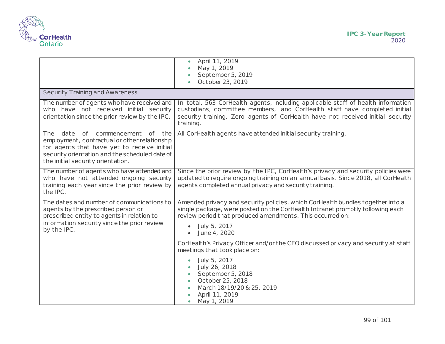

|                                                                                                                                                                                                                        | April 11, 2019<br>May 1, 2019<br>September 5, 2019<br>October 23, 2019                                                                                                                                                                                       |
|------------------------------------------------------------------------------------------------------------------------------------------------------------------------------------------------------------------------|--------------------------------------------------------------------------------------------------------------------------------------------------------------------------------------------------------------------------------------------------------------|
| <b>Security Training and Awareness</b>                                                                                                                                                                                 |                                                                                                                                                                                                                                                              |
| The number of agents who have received and<br>who have not received initial security<br>orientation since the prior review by the IPC.                                                                                 | In total, 563 CorHealth agents, including applicable staff of health information<br>custodians, committee members, and CorHealth staff have completed initial<br>security training. Zero agents of CorHealth have not received initial security<br>training. |
| The date of commencement of the<br>employment, contractual or other relationship<br>for agents that have yet to receive initial<br>security orientation and the scheduled date of<br>the initial security orientation. | All CorHealth agents have attended initial security training.                                                                                                                                                                                                |
| The number of agents who have attended and<br>who have not attended ongoing security<br>training each year since the prior review by<br>the IPC.                                                                       | Since the prior review by the IPC, CorHealth's privacy and security policies were<br>updated to require ongoing training on an annual basis. Since 2018, all CorHealth<br>agents completed annual privacy and security training.                             |
| The dates and number of communications to<br>agents by the prescribed person or<br>prescribed entity to agents in relation to<br>information security since the prior review<br>by the IPC.                            | Amended privacy and security policies, which CorHealth bundles together into a<br>single package, were posted on the CorHealth Intranet promptly following each<br>review period that produced amendments. This occurred on:<br>July 5, 2017<br>June 4, 2020 |
|                                                                                                                                                                                                                        | CorHealth's Privacy Officer and/or the CEO discussed privacy and security at staff<br>meetings that took place on:                                                                                                                                           |
|                                                                                                                                                                                                                        | July 5, 2017<br>July 26, 2018<br>September 5, 2018<br>October 25, 2018<br>March 18/19/20 & 25, 2019<br>April 11, 2019<br>May 1, 2019                                                                                                                         |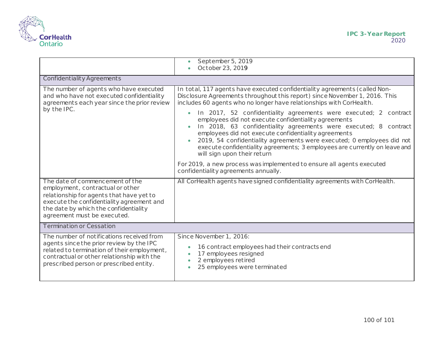

|                                                                                                                                                                                                                                      | September 5, 2019<br>October 23, 2019                                                                                                                                                                                                                                                                                                                                                                                                                                                                                                                                                                                                                                                                                                                                                           |
|--------------------------------------------------------------------------------------------------------------------------------------------------------------------------------------------------------------------------------------|-------------------------------------------------------------------------------------------------------------------------------------------------------------------------------------------------------------------------------------------------------------------------------------------------------------------------------------------------------------------------------------------------------------------------------------------------------------------------------------------------------------------------------------------------------------------------------------------------------------------------------------------------------------------------------------------------------------------------------------------------------------------------------------------------|
| Confidentiality Agreements                                                                                                                                                                                                           |                                                                                                                                                                                                                                                                                                                                                                                                                                                                                                                                                                                                                                                                                                                                                                                                 |
| The number of agents who have executed<br>and who have not executed confidentiality<br>agreements each year since the prior review<br>by the IPC.                                                                                    | In total, 117 agents have executed confidentiality agreements (called Non-<br>Disclosure Agreements throughout this report) since November 1, 2016. This<br>includes 60 agents who no longer have relationships with CorHealth.<br>In 2017, 52 confidentiality agreements were executed; 2 contract<br>employees did not execute confidentiality agreements<br>In 2018, 63 confidentiality agreements were executed; 8 contract<br>employees did not execute confidentiality agreements<br>2019, 54 confidentiality agreements were executed; 0 employees did not<br>execute confidentiality agreements; 3 employees are currently on leave and<br>will sign upon their return<br>For 2019, a new process was implemented to ensure all agents executed<br>confidentiality agreements annually. |
| The date of commencement of the<br>employment, contractual or other<br>relationship for agents that have yet to<br>execute the confidentiality agreement and<br>the date by which the confidentiality<br>agreement must be executed. | All CorHealth agents have signed confidentiality agreements with CorHealth.                                                                                                                                                                                                                                                                                                                                                                                                                                                                                                                                                                                                                                                                                                                     |
| <b>Termination or Cessation</b>                                                                                                                                                                                                      |                                                                                                                                                                                                                                                                                                                                                                                                                                                                                                                                                                                                                                                                                                                                                                                                 |
| The number of notifications received from<br>agents since the prior review by the IPC<br>related to termination of their employment,<br>contractual or other relationship with the<br>prescribed person or prescribed entity.        | Since November 1, 2016:<br>16 contract employees had their contracts end<br>17 employees resigned<br>2 employees retired<br>25 employees were terminated                                                                                                                                                                                                                                                                                                                                                                                                                                                                                                                                                                                                                                        |